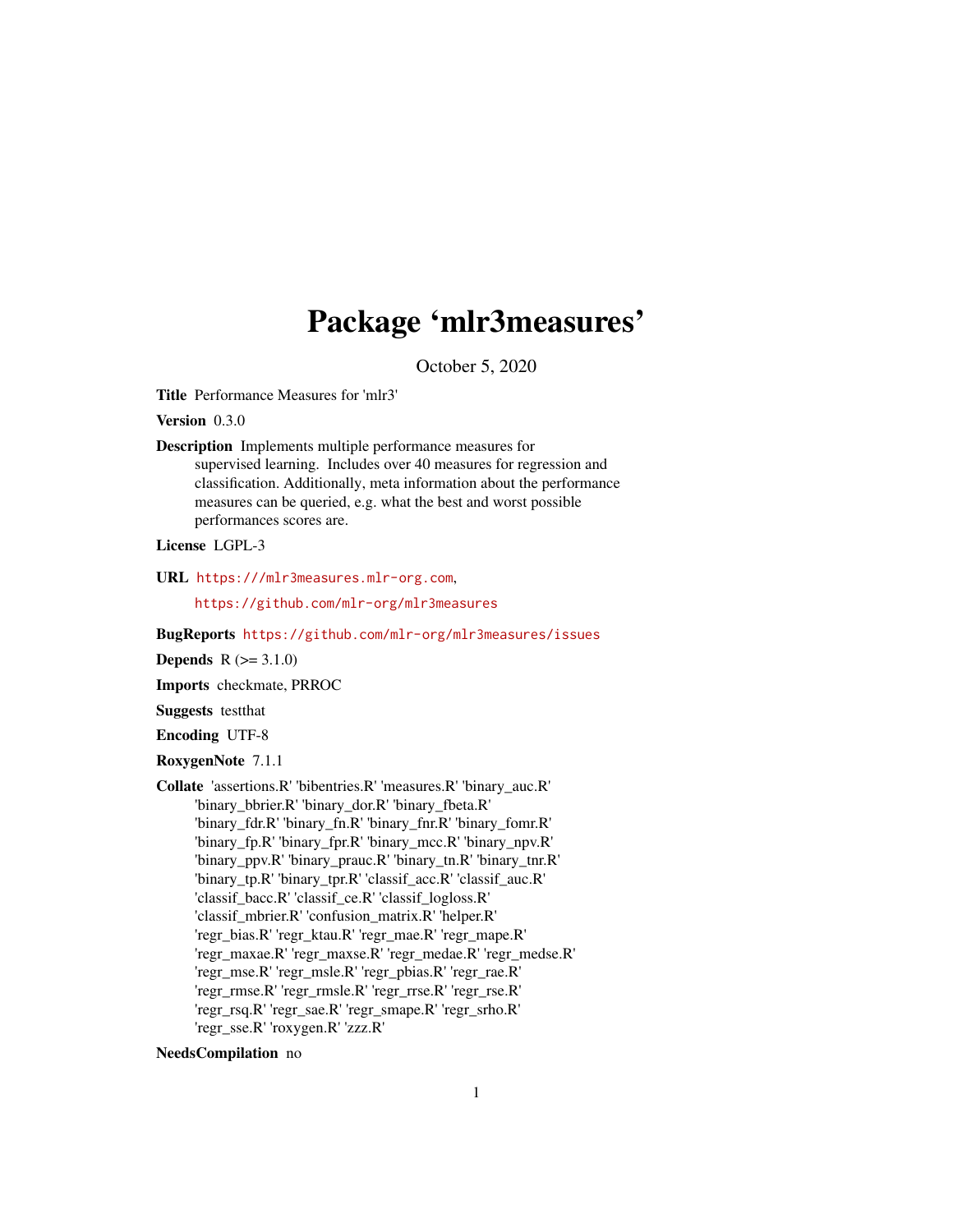# Package 'mlr3measures'

October 5, 2020

<span id="page-0-0"></span>Title Performance Measures for 'mlr3'

Version 0.3.0

Description Implements multiple performance measures for supervised learning. Includes over 40 measures for regression and classification. Additionally, meta information about the performance measures can be queried, e.g. what the best and worst possible performances scores are.

License LGPL-3

URL <https:///mlr3measures.mlr-org.com>,

<https://github.com/mlr-org/mlr3measures>

BugReports <https://github.com/mlr-org/mlr3measures/issues>

**Depends**  $R (= 3.1.0)$ 

Imports checkmate, PRROC

Suggests testthat

Encoding UTF-8

RoxygenNote 7.1.1

Collate 'assertions.R' 'bibentries.R' 'measures.R' 'binary\_auc.R' 'binary\_bbrier.R' 'binary\_dor.R' 'binary\_fbeta.R' 'binary\_fdr.R' 'binary\_fn.R' 'binary\_fnr.R' 'binary\_fomr.R' 'binary\_fp.R' 'binary\_fpr.R' 'binary\_mcc.R' 'binary\_npv.R' 'binary\_ppv.R' 'binary\_prauc.R' 'binary\_tn.R' 'binary\_tnr.R' 'binary\_tp.R' 'binary\_tpr.R' 'classif\_acc.R' 'classif\_auc.R' 'classif\_bacc.R' 'classif\_ce.R' 'classif\_logloss.R' 'classif\_mbrier.R' 'confusion\_matrix.R' 'helper.R' 'regr\_bias.R' 'regr\_ktau.R' 'regr\_mae.R' 'regr\_mape.R' 'regr\_maxae.R' 'regr\_maxse.R' 'regr\_medae.R' 'regr\_medse.R' 'regr\_mse.R' 'regr\_msle.R' 'regr\_pbias.R' 'regr\_rae.R' 'regr\_rmse.R' 'regr\_rmsle.R' 'regr\_rrse.R' 'regr\_rse.R' 'regr\_rsq.R' 'regr\_sae.R' 'regr\_smape.R' 'regr\_srho.R' 'regr\_sse.R' 'roxygen.R' 'zzz.R'

NeedsCompilation no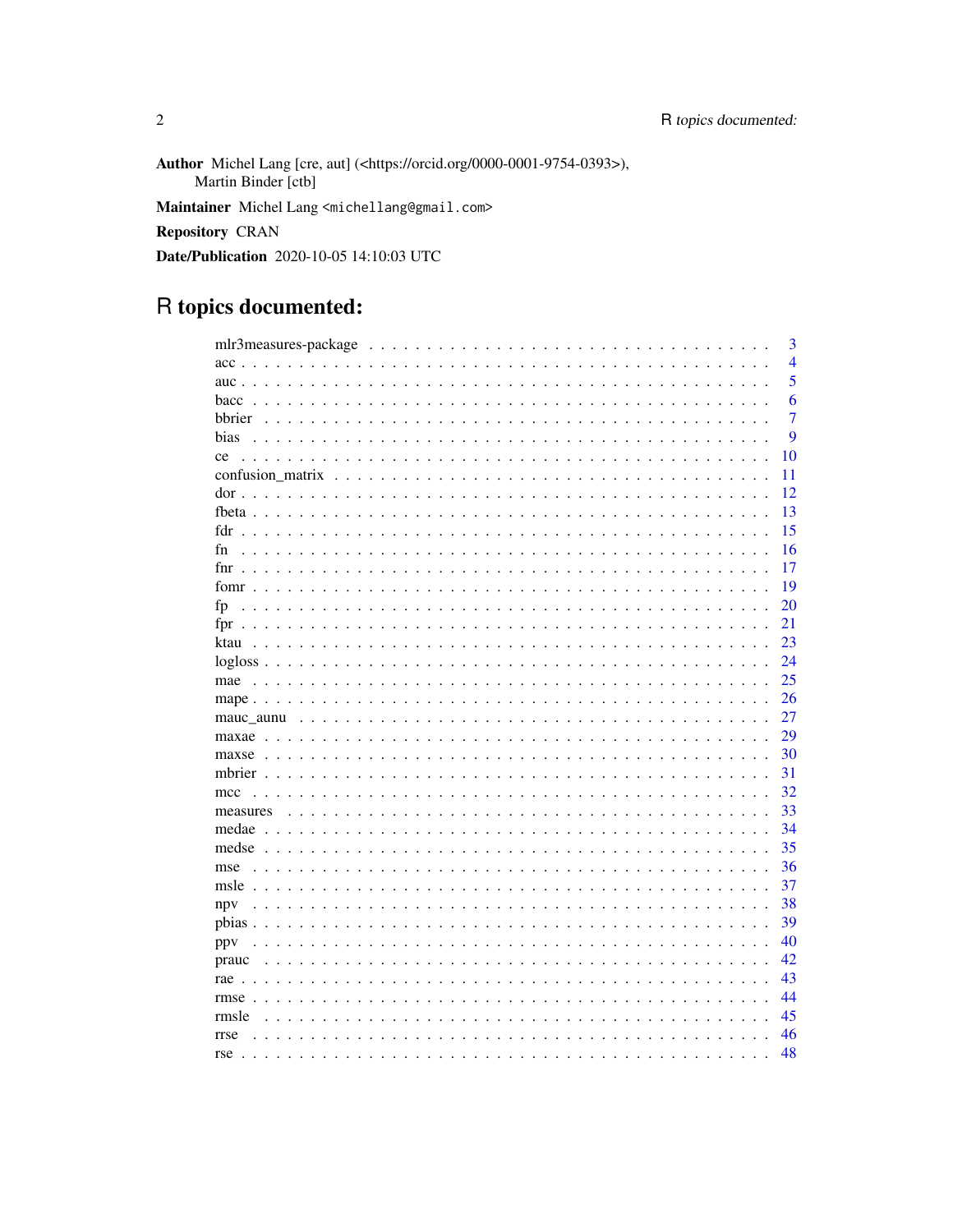Author Michel Lang [cre, aut] (<https://orcid.org/0000-0001-9754-0393>), Martin Binder [ctb] Maintainer Michel Lang <michellang@gmail.com> Repository CRAN Date/Publication 2020-10-05 14:10:03 UTC

# R topics documented:

| 3                                                                                       |
|-----------------------------------------------------------------------------------------|
| $\overline{4}$                                                                          |
| 5<br>auc. $\cdots$                                                                      |
| 6<br>bacc<br>$\cdot$<br>$\mathbf{L}$                                                    |
| $\overline{7}$<br>bbrier                                                                |
| 9<br>bias                                                                               |
| 10<br>ce                                                                                |
| 11                                                                                      |
| 12                                                                                      |
| 13                                                                                      |
| 15<br>fdr                                                                               |
| 16<br>fn                                                                                |
| 17                                                                                      |
| 19                                                                                      |
| 20<br>fp                                                                                |
| 21<br>fpr<br>$\mathbf{r}$<br>$\ddotsc$                                                  |
| 23<br>ktau<br>1.1.1.1.1<br>$\sim$                                                       |
| 24                                                                                      |
| 25<br>mae                                                                               |
| 26<br>$\sim 10$<br>$\sim$                                                               |
| 27                                                                                      |
| 29                                                                                      |
|                                                                                         |
| 30<br>maxse                                                                             |
| 31                                                                                      |
| 32<br>mcc                                                                               |
| 33<br>measures                                                                          |
| 34                                                                                      |
| 35<br>$medse$<br>$\ddot{\phantom{0}}$                                                   |
| 36<br>mse<br>$\mathbf{L}$                                                               |
| 37<br>msle                                                                              |
| 38<br>npv                                                                               |
| 39<br>pbias $\ldots$                                                                    |
| 40<br>ppy<br>.<br>$\ddot{\phantom{0}}$                                                  |
| 42<br>prauc<br>$\mathbf{1}$ and $\mathbf{1}$<br>$\sim$ $\sim$<br>$\mathbf{r}$<br>$\sim$ |
| 43<br>rae $\cdots$<br>$\sim$ $\sim$                                                     |
| 44<br>$rmse$                                                                            |
| 45<br>rmsle<br>$\ddots$                                                                 |
| 46<br>rrse                                                                              |
| 48<br>$rse \dots$ .                                                                     |

 $\overline{2}$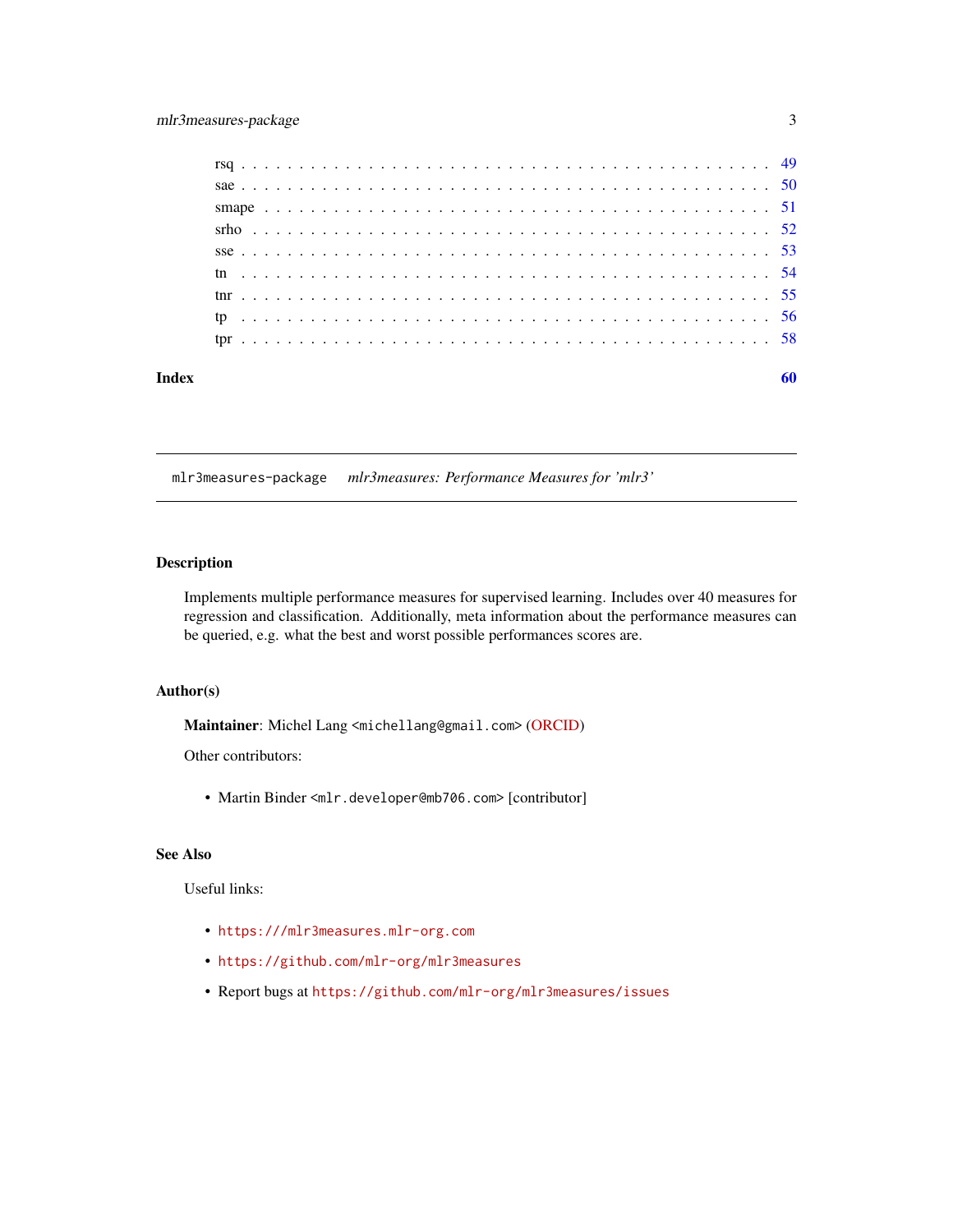<span id="page-2-0"></span>

| Index |  |  |  |  |  |  |  |  |  |  |  |  |  |  |  |  |  |  |  |  |  |  | 60 |
|-------|--|--|--|--|--|--|--|--|--|--|--|--|--|--|--|--|--|--|--|--|--|--|----|
|       |  |  |  |  |  |  |  |  |  |  |  |  |  |  |  |  |  |  |  |  |  |  |    |
|       |  |  |  |  |  |  |  |  |  |  |  |  |  |  |  |  |  |  |  |  |  |  |    |
|       |  |  |  |  |  |  |  |  |  |  |  |  |  |  |  |  |  |  |  |  |  |  |    |
|       |  |  |  |  |  |  |  |  |  |  |  |  |  |  |  |  |  |  |  |  |  |  |    |
|       |  |  |  |  |  |  |  |  |  |  |  |  |  |  |  |  |  |  |  |  |  |  |    |
|       |  |  |  |  |  |  |  |  |  |  |  |  |  |  |  |  |  |  |  |  |  |  |    |
|       |  |  |  |  |  |  |  |  |  |  |  |  |  |  |  |  |  |  |  |  |  |  |    |
|       |  |  |  |  |  |  |  |  |  |  |  |  |  |  |  |  |  |  |  |  |  |  |    |
|       |  |  |  |  |  |  |  |  |  |  |  |  |  |  |  |  |  |  |  |  |  |  |    |

mlr3measures-package *mlr3measures: Performance Measures for 'mlr3'*

### Description

Implements multiple performance measures for supervised learning. Includes over 40 measures for regression and classification. Additionally, meta information about the performance measures can be queried, e.g. what the best and worst possible performances scores are.

### Author(s)

Maintainer: Michel Lang <michellang@gmail.com> [\(ORCID\)](https://orcid.org/0000-0001-9754-0393)

Other contributors:

• Martin Binder <mlr.developer@mb706.com> [contributor]

#### See Also

### Useful links:

- <https:///mlr3measures.mlr-org.com>
- <https://github.com/mlr-org/mlr3measures>
- Report bugs at <https://github.com/mlr-org/mlr3measures/issues>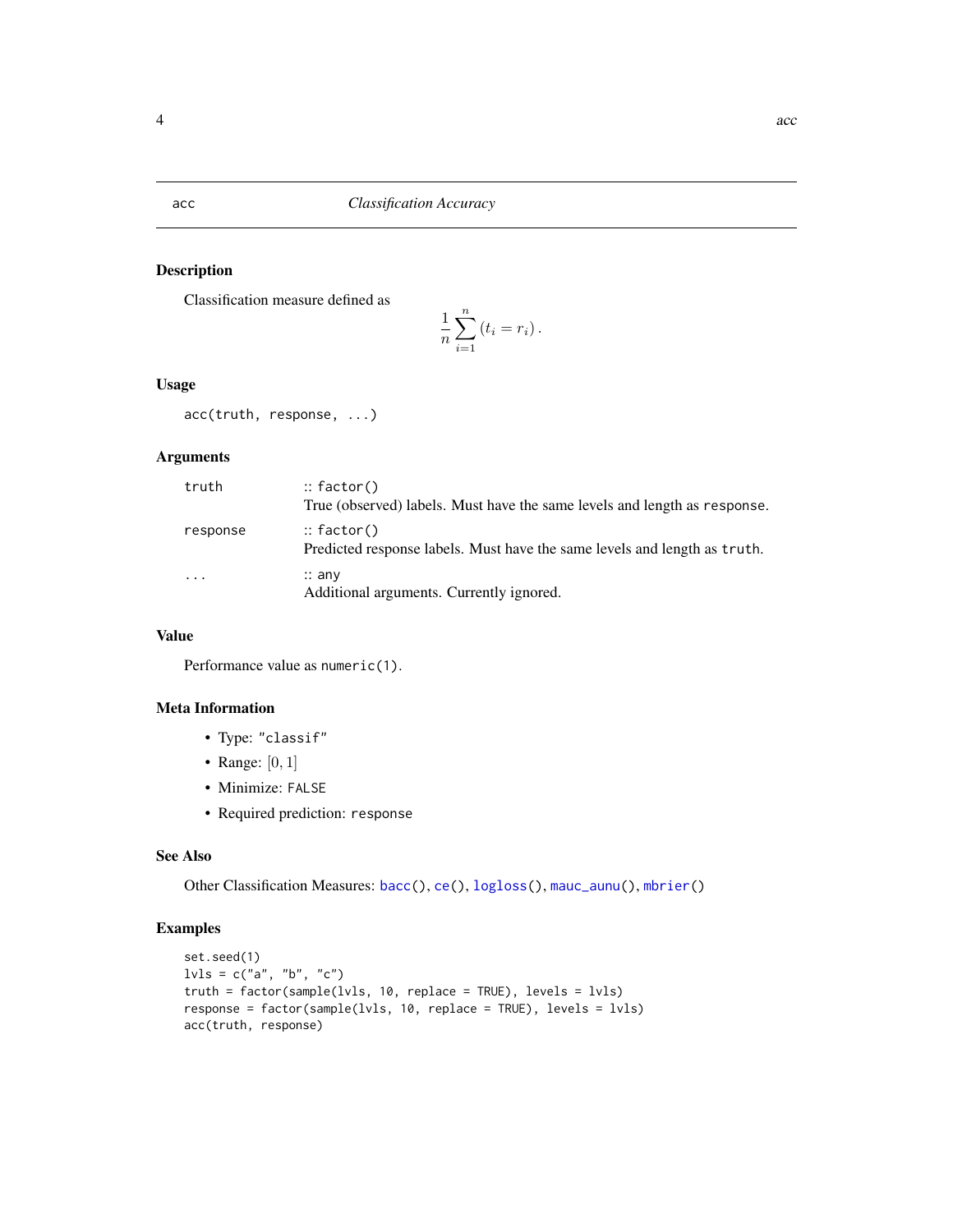<span id="page-3-1"></span><span id="page-3-0"></span>acc *Classification Accuracy*

### Description

Classification measure defined as

$$
\frac{1}{n}\sum_{i=1}^n (t_i = r_i).
$$

### Usage

acc(truth, response, ...)

### Arguments

| truth                   | $::$ factor()<br>True (observed) labels. Must have the same levels and length as response.         |
|-------------------------|----------------------------------------------------------------------------------------------------|
| response                | $\therefore$ factor()<br>Predicted response labels. Must have the same levels and length as truth. |
| $\cdot$ $\cdot$ $\cdot$ | $\therefore$ any<br>Additional arguments. Currently ignored.                                       |

### Value

Performance value as numeric(1).

#### Meta Information

- Type: "classif"
- Range:  $[0, 1]$
- Minimize: FALSE
- Required prediction: response

### See Also

Other Classification Measures: [bacc\(](#page-5-1)), [ce\(](#page-9-1)), [logloss\(](#page-23-1)), [mauc\\_aunu\(](#page-26-1)), [mbrier\(](#page-30-1))

```
set.seed(1)
lvls = c("a", "b", "c")truth = factor(sample(lvls, 10, replace = TRUE), levels = lvls)
response = factor(sample(lvls, 10, replace = TRUE), levels = lvls)
acc(truth, response)
```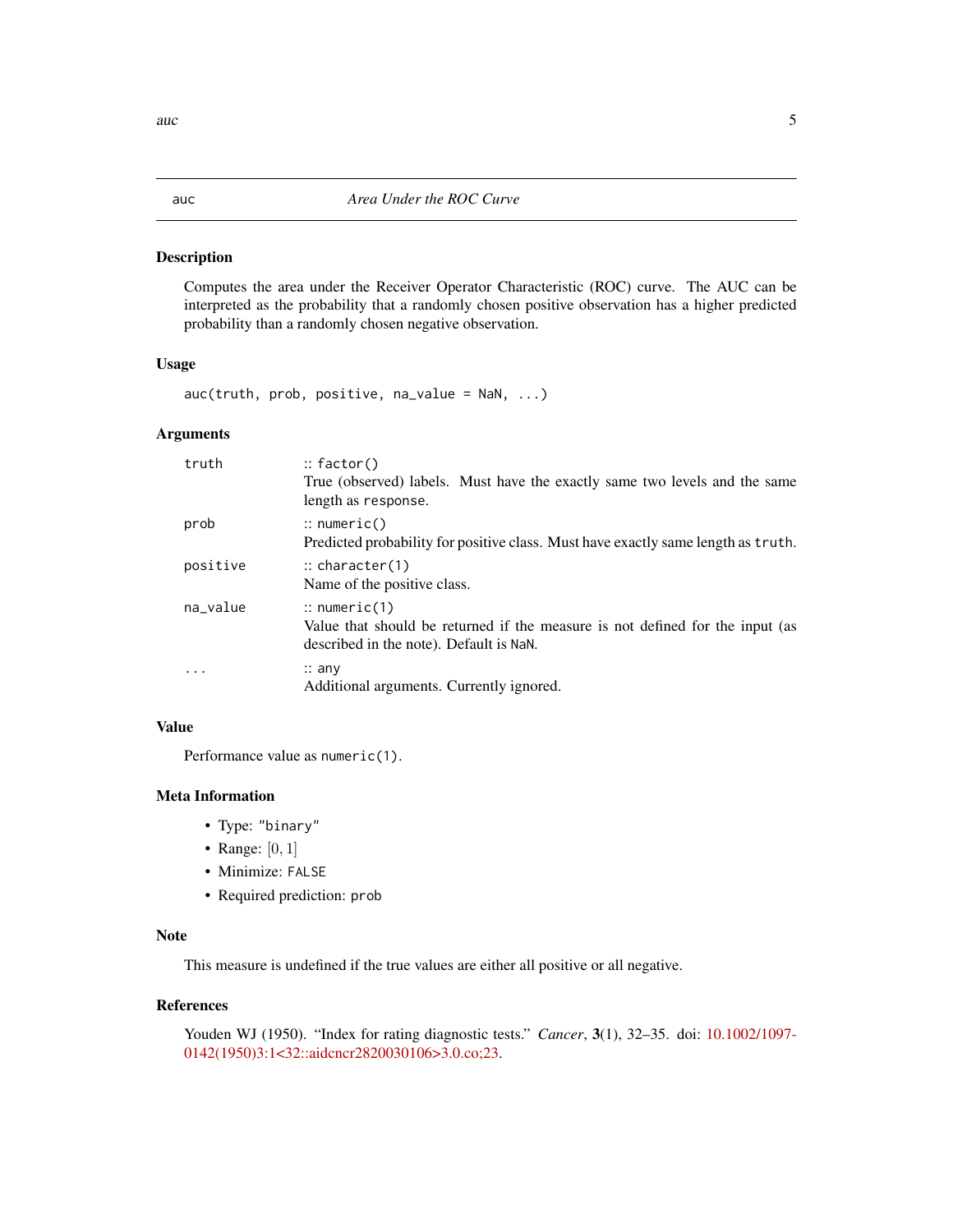#### Description

Computes the area under the Receiver Operator Characteristic (ROC) curve. The AUC can be interpreted as the probability that a randomly chosen positive observation has a higher predicted probability than a randomly chosen negative observation.

#### Usage

 $auc(truth, prob, positive, na_value = NaN, ...)$ 

#### Arguments

| truth    | $\therefore$ factor()<br>True (observed) labels. Must have the exactly same two levels and the same<br>length as response.                          |
|----------|-----------------------------------------------------------------------------------------------------------------------------------------------------|
| prob     | $\therefore$ numeric()<br>Predicted probability for positive class. Must have exactly same length as truth.                                         |
| positive | $\therefore$ character(1)<br>Name of the positive class.                                                                                            |
| na_value | $\therefore$ numeric(1)<br>Value that should be returned if the measure is not defined for the input (as<br>described in the note). Default is NaN. |
| $\cdots$ | $\therefore$ any<br>Additional arguments. Currently ignored.                                                                                        |

### Value

Performance value as numeric(1).

#### Meta Information

- Type: "binary"
- Range:  $[0, 1]$
- Minimize: FALSE
- Required prediction: prob

#### Note

This measure is undefined if the true values are either all positive or all negative.

#### References

Youden WJ (1950). "Index for rating diagnostic tests." *Cancer*, 3(1), 32–35. doi: [10.1002/1097-](https://doi.org/10.1002/1097-0142(1950)3:1<32::aid-cncr2820030106>3.0.co;2-3) [0142\(1950\)3:1<32::aidcncr2820030106>3.0.co;23.](https://doi.org/10.1002/1097-0142(1950)3:1<32::aid-cncr2820030106>3.0.co;2-3)

<span id="page-4-1"></span><span id="page-4-0"></span> $\frac{1}{5}$  auch  $\frac{5}{5}$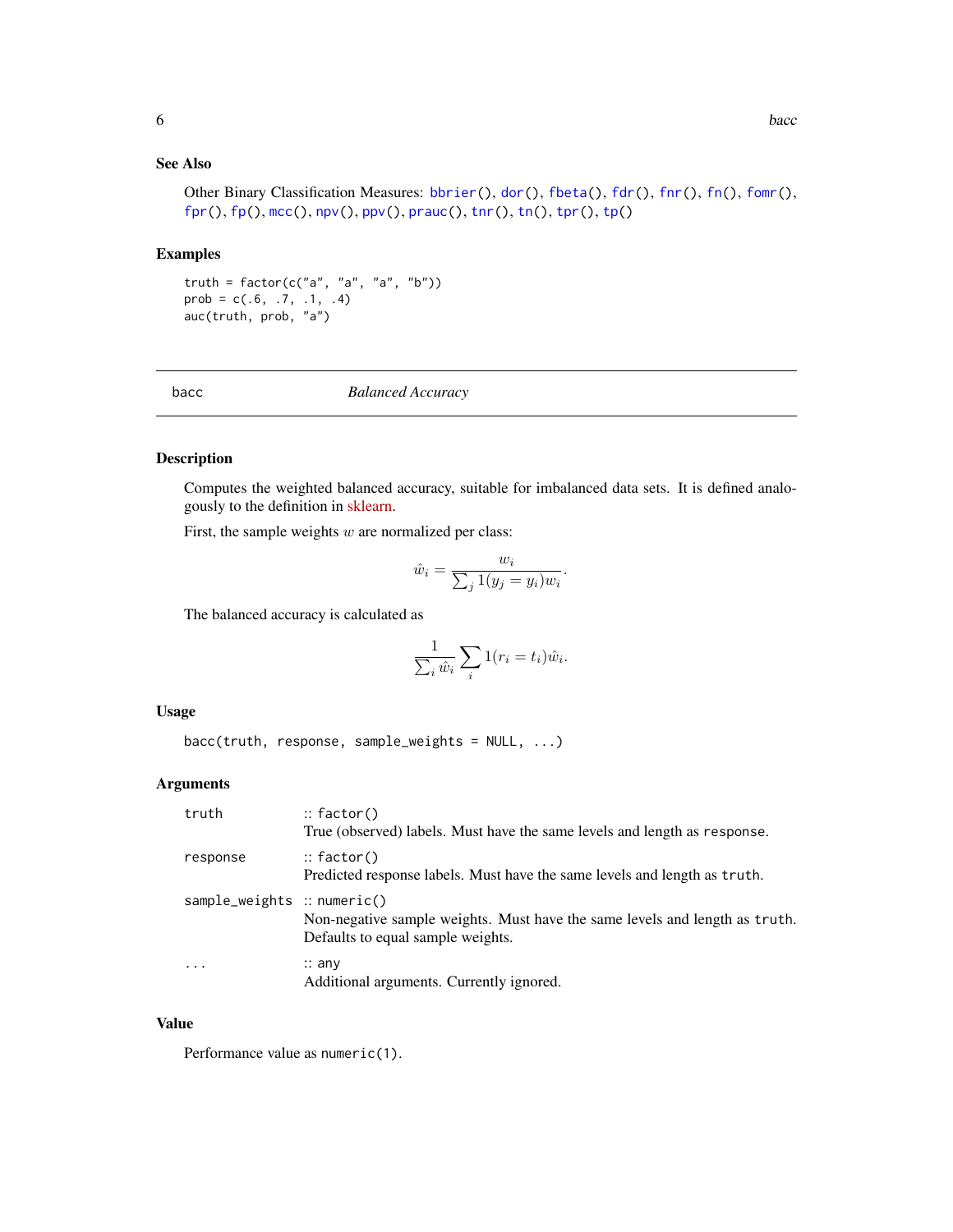### <span id="page-5-0"></span>See Also

Other Binary Classification Measures: [bbrier\(](#page-6-1)), [dor\(](#page-11-1)), [fbeta\(](#page-12-1)), [fdr\(](#page-14-1)), [fnr\(](#page-16-1)), [fn\(](#page-15-1)), [fomr\(](#page-18-1)), [fpr\(](#page-20-1)), [fp\(](#page-19-1)), [mcc\(](#page-31-1)), [npv\(](#page-37-1)), [ppv\(](#page-39-1)), [prauc\(](#page-41-1)), [tnr\(](#page-54-1)), [tn\(](#page-53-1)), [tpr\(](#page-57-1)), [tp\(](#page-55-1))

#### Examples

truth =  $factor(c("a", "a", "a", "b"))$ prob =  $c(.6, .7, .1, .4)$ auc(truth, prob, "a")

<span id="page-5-1"></span>bacc *Balanced Accuracy*

#### Description

Computes the weighted balanced accuracy, suitable for imbalanced data sets. It is defined analogously to the definition in [sklearn.](https://scikit-learn.org/)

First, the sample weights  $w$  are normalized per class:

$$
\hat{w}_i = \frac{w_i}{\sum_j 1(y_j = y_i) w_i}.
$$

The balanced accuracy is calculated as

$$
\frac{1}{\sum_{i} \hat{w}_i} \sum_{i} 1(r_i = t_i) \hat{w}_i.
$$

#### Usage

bacc(truth, response, sample\_weights = NULL, ...)

#### Arguments

| truth                       | $\therefore$ factor()<br>True (observed) labels. Must have the same levels and length as response.               |
|-----------------------------|------------------------------------------------------------------------------------------------------------------|
| response                    | $\therefore$ factor()<br>Predicted response labels. Must have the same levels and length as truth.               |
| sample_weights :: numeric() | Non-negative sample weights. Must have the same levels and length as truth.<br>Defaults to equal sample weights. |
| $\ddotsc$                   | $\therefore$ any<br>Additional arguments. Currently ignored.                                                     |

#### Value

Performance value as numeric(1).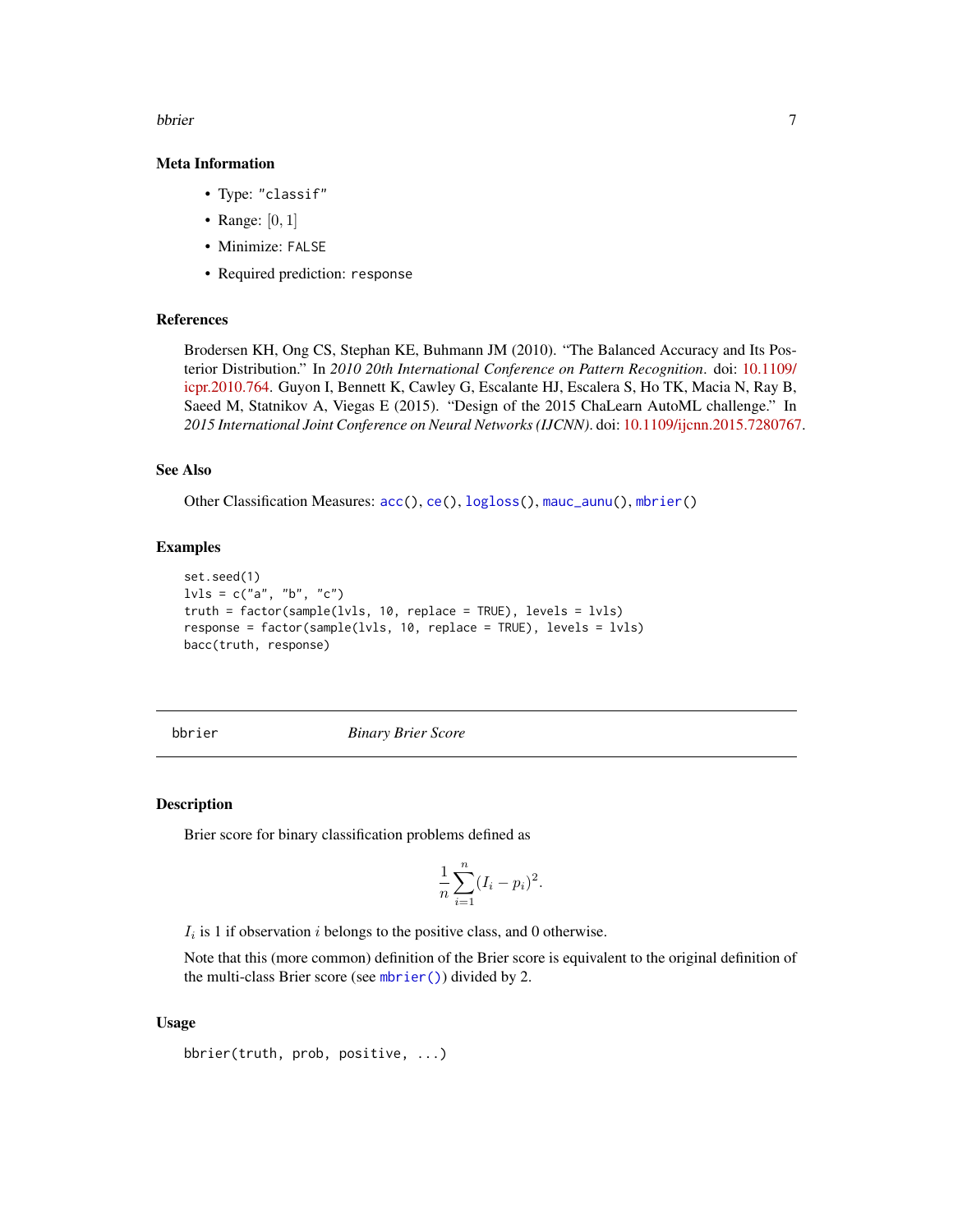#### <span id="page-6-0"></span>bbrier 7 and 2008 and 2008 and 2008 and 2008 and 2008 and 2008 and 2008 and 2008 and 2008 and 2008 and 2008 and 2008 and 2008 and 2008 and 2008 and 2008 and 2008 and 2008 and 2008 and 2008 and 2008 and 2008 and 2008 and 20

#### Meta Information

- Type: "classif"
- Range:  $[0, 1]$
- Minimize: FALSE
- Required prediction: response

#### References

Brodersen KH, Ong CS, Stephan KE, Buhmann JM (2010). "The Balanced Accuracy and Its Posterior Distribution." In *2010 20th International Conference on Pattern Recognition*. doi: [10.1109/](https://doi.org/10.1109/icpr.2010.764) [icpr.2010.764.](https://doi.org/10.1109/icpr.2010.764) Guyon I, Bennett K, Cawley G, Escalante HJ, Escalera S, Ho TK, Macia N, Ray B, Saeed M, Statnikov A, Viegas E (2015). "Design of the 2015 ChaLearn AutoML challenge." In *2015 International Joint Conference on Neural Networks (IJCNN)*. doi: [10.1109/ijcnn.2015.7280767.](https://doi.org/10.1109/ijcnn.2015.7280767)

### See Also

Other Classification Measures: [acc\(](#page-3-1)), [ce\(](#page-9-1)), [logloss\(](#page-23-1)), [mauc\\_aunu\(](#page-26-1)), [mbrier\(](#page-30-1))

#### Examples

```
set.seed(1)
l\nu l s = c("a", "b", "c")truth = factor(sample(lvls, 10, replace = TRUE), levels = lvls)
response = factor(sample(lvls, 10, replace = TRUE), levels = lvls)
bacc(truth, response)
```
<span id="page-6-1"></span>

bbrier *Binary Brier Score*

#### Description

Brier score for binary classification problems defined as

$$
\frac{1}{n}\sum_{i=1}^{n}(I_i - p_i)^2.
$$

 $I_i$  is 1 if observation i belongs to the positive class, and 0 otherwise.

Note that this (more common) definition of the Brier score is equivalent to the original definition of the multi-class Brier score (see [mbrier\(\)](#page-30-1)) divided by 2.

#### Usage

```
bbrier(truth, prob, positive, ...)
```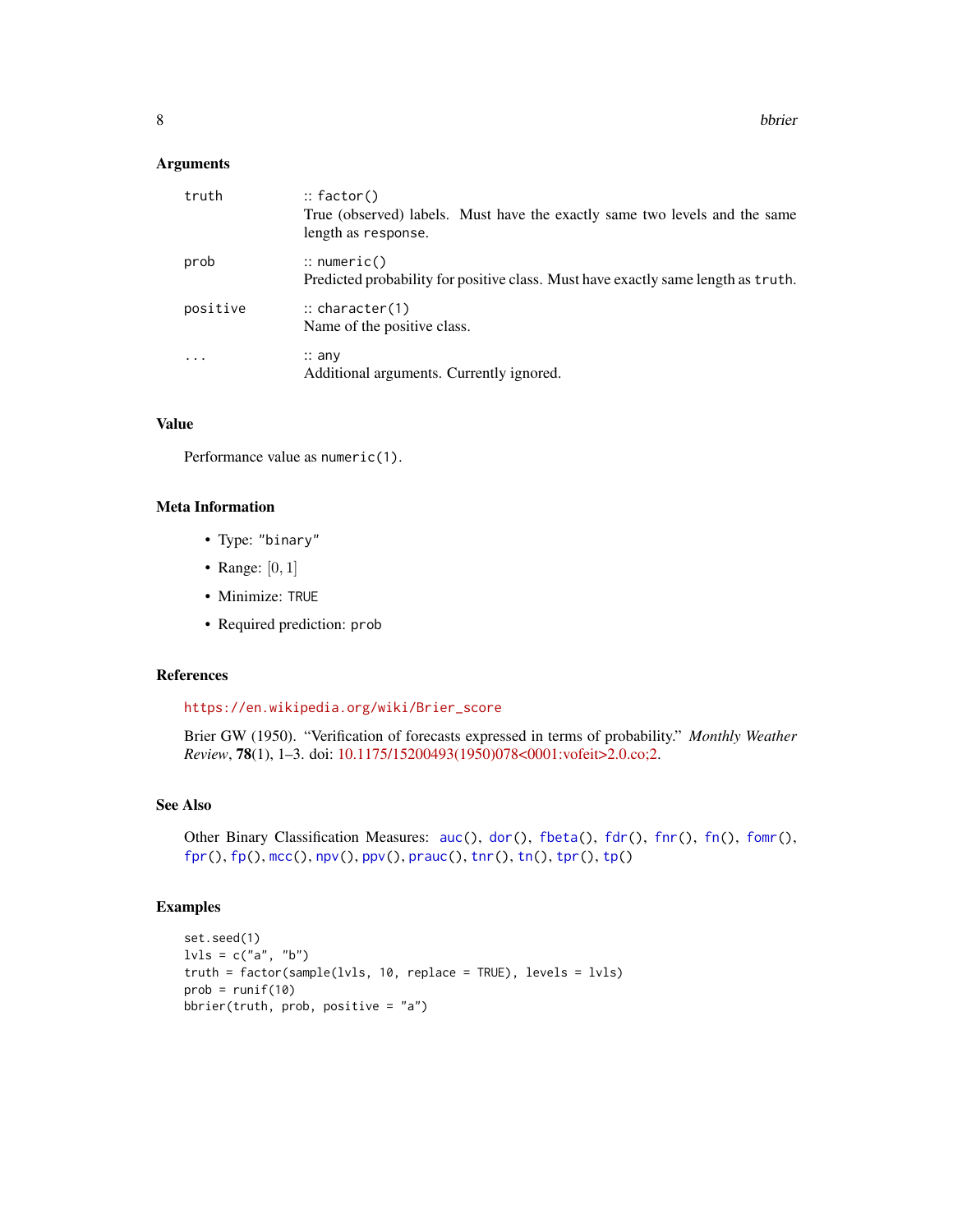<span id="page-7-0"></span>8 bbrier in the state of the state of the state of the state of the state of the state of the state of the state of the state of the state of the state of the state of the state of the state of the state of the state of th

#### Arguments

| truth    | $::$ factor()<br>True (observed) labels. Must have the exactly same two levels and the same<br>length as response. |
|----------|--------------------------------------------------------------------------------------------------------------------|
| prob     | $\therefore$ numeric()<br>Predicted probability for positive class. Must have exactly same length as truth.        |
| positive | $\therefore$ character(1)<br>Name of the positive class.                                                           |
| $\cdots$ | $\therefore$ any<br>Additional arguments. Currently ignored.                                                       |

### Value

Performance value as numeric(1).

### Meta Information

- Type: "binary"
- Range: [0, 1]
- Minimize: TRUE
- Required prediction: prob

### References

[https://en.wikipedia.org/wiki/Brier\\_score](https://en.wikipedia.org/wiki/Brier_score)

Brier GW (1950). "Verification of forecasts expressed in terms of probability." *Monthly Weather Review*, 78(1), 1–3. doi: [10.1175/15200493\(1950\)078<0001:vofeit>2.0.co;2.](https://doi.org/10.1175/1520-0493(1950)078<0001:vofeit>2.0.co;2)

#### See Also

Other Binary Classification Measures: [auc\(](#page-4-1)), [dor\(](#page-11-1)), [fbeta\(](#page-12-1)), [fdr\(](#page-14-1)), [fnr\(](#page-16-1)), [fn\(](#page-15-1)), [fomr\(](#page-18-1)),  $fpr(), fp(), mcc(), npv(), ppv(), prauc(), thr(), tn(), tpr(), tp()$  $fpr(), fp(), mcc(), npv(), ppv(), prauc(), thr(), tn(), tpr(), tp()$  $fpr(), fp(), mcc(), npv(), ppv(), prauc(), thr(), tn(), tpr(), tp()$  $fpr(), fp(), mcc(), npv(), ppv(), prauc(), thr(), tn(), tpr(), tp()$  $fpr(), fp(), mcc(), npv(), ppv(), prauc(), thr(), tn(), tpr(), tp()$  $fpr(), fp(), mcc(), npv(), ppv(), prauc(), thr(), tn(), tpr(), tp()$  $fpr(), fp(), mcc(), npv(), ppv(), prauc(), thr(), tn(), tpr(), tp()$  $fpr(), fp(), mcc(), npv(), ppv(), prauc(), thr(), tn(), tpr(), tp()$  $fpr(), fp(), mcc(), npv(), ppv(), prauc(), thr(), tn(), tpr(), tp()$  $fpr(), fp(), mcc(), npv(), ppv(), prauc(), thr(), tn(), tpr(), tp()$  $fpr(), fp(), mcc(), npv(), ppv(), prauc(), thr(), tn(), tpr(), tp()$  $fpr(), fp(), mcc(), npv(), ppv(), prauc(), thr(), tn(), tpr(), tp()$  $fpr(), fp(), mcc(), npv(), ppv(), prauc(), thr(), tn(), tpr(), tp()$  $fpr(), fp(), mcc(), npv(), ppv(), prauc(), thr(), tn(), tpr(), tp()$  $fpr(), fp(), mcc(), npv(), ppv(), prauc(), thr(), tn(), tpr(), tp()$  $fpr(), fp(), mcc(), npv(), ppv(), prauc(), thr(), tn(), tpr(), tp()$  $fpr(), fp(), mcc(), npv(), ppv(), prauc(), thr(), tn(), tpr(), tp()$  $fpr(), fp(), mcc(), npv(), ppv(), prauc(), thr(), tn(), tpr(), tp()$ 

```
set.seed(1)
lvls = c("a", "b")truth = factor(sample(lvls, 10, replace = TRUE), levels = lvls)
prob = runif(10)bbrier(truth, prob, positive = "a")
```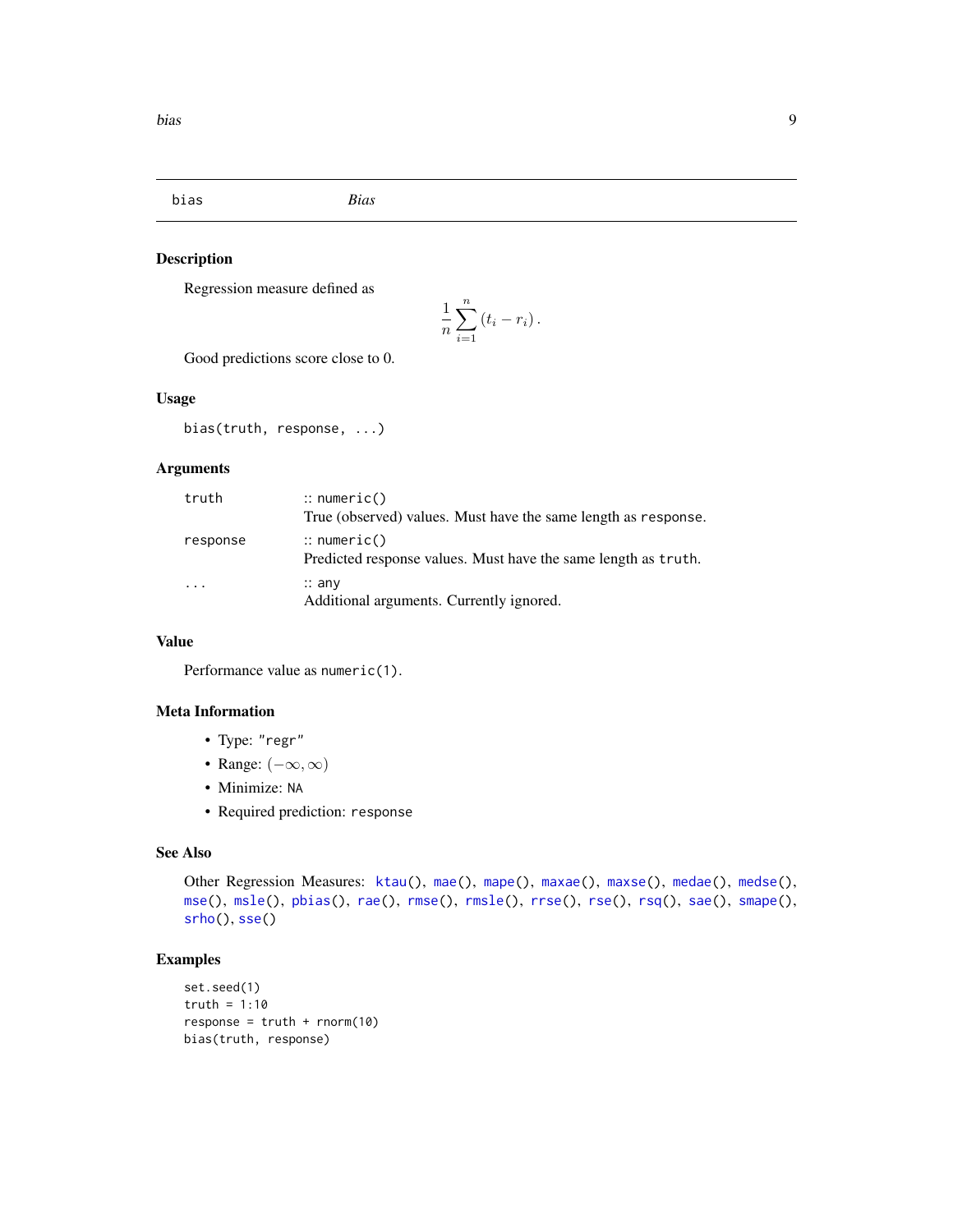<span id="page-8-1"></span><span id="page-8-0"></span>bias *Bias*

### Description

Regression measure defined as

$$
\frac{1}{n}\sum_{i=1}^n (t_i - r_i).
$$

Good predictions score close to 0.

#### Usage

bias(truth, response, ...)

#### Arguments

| truth     | $\therefore$ numeric()<br>True (observed) values. Must have the same length as response. |
|-----------|------------------------------------------------------------------------------------------|
| response  | $\therefore$ numeric()<br>Predicted response values. Must have the same length as truth. |
| $\ddotsc$ | $\therefore$ any<br>Additional arguments. Currently ignored.                             |

### Value

Performance value as numeric(1).

### Meta Information

- Type: "regr"
- Range:  $(-\infty, \infty)$
- Minimize: NA
- Required prediction: response

### See Also

```
ktau(mae(mape(maxae(maxse(medae(medse(),
mse(), msle(), pbias(), rae(), rmse(), rmsle(), rrse(), rse(), rsq(), sae(), smape(),
srho(), sse()
```

```
set.seed(1)
truth = 1:10response = truth + rnorm(10)bias(truth, response)
```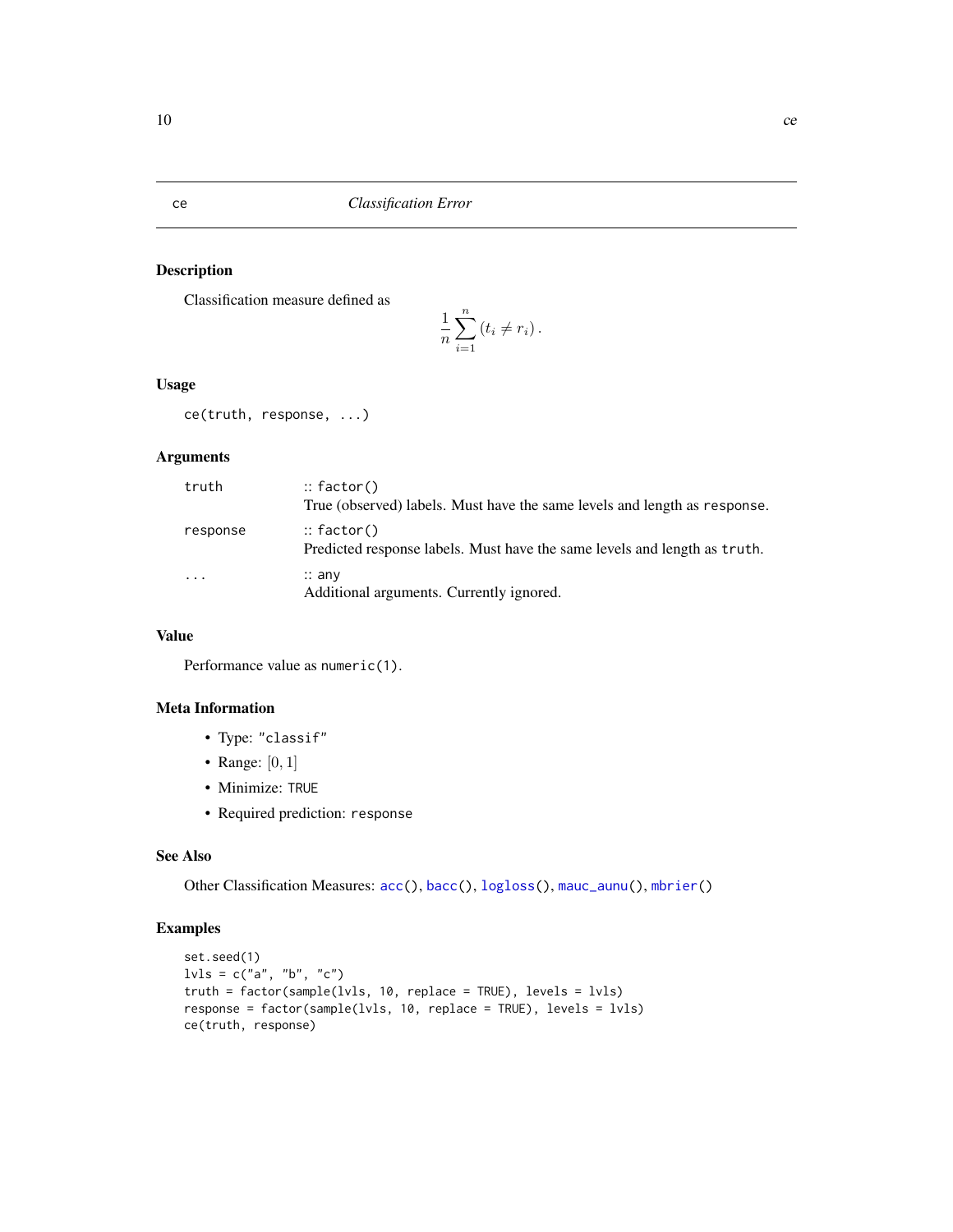<span id="page-9-0"></span>ce *Classification Error*

### Description

Classification measure defined as

$$
\frac{1}{n}\sum_{i=1}^n (t_i \neq r_i).
$$

### Usage

ce(truth, response, ...)

### Arguments

| truth    | $::$ factor()<br>True (observed) labels. Must have the same levels and length as response. |
|----------|--------------------------------------------------------------------------------------------|
| response | $::$ factor()<br>Predicted response labels. Must have the same levels and length as truth. |
| $\cdots$ | $\therefore$ any<br>Additional arguments. Currently ignored.                               |

### Value

Performance value as numeric(1).

#### Meta Information

- Type: "classif"
- Range:  $[0, 1]$
- Minimize: TRUE
- Required prediction: response

### See Also

Other Classification Measures: [acc\(](#page-3-1)), [bacc\(](#page-5-1)), [logloss\(](#page-23-1)), [mauc\\_aunu\(](#page-26-1)), [mbrier\(](#page-30-1))

```
set.seed(1)
lvls = c("a", "b", "c")truth = factor(sample(lvls, 10, replace = TRUE), levels = lvls)
response = factor(sample(lvls, 10, replace = TRUE), levels = lvls)
ce(truth, response)
```
<span id="page-9-1"></span>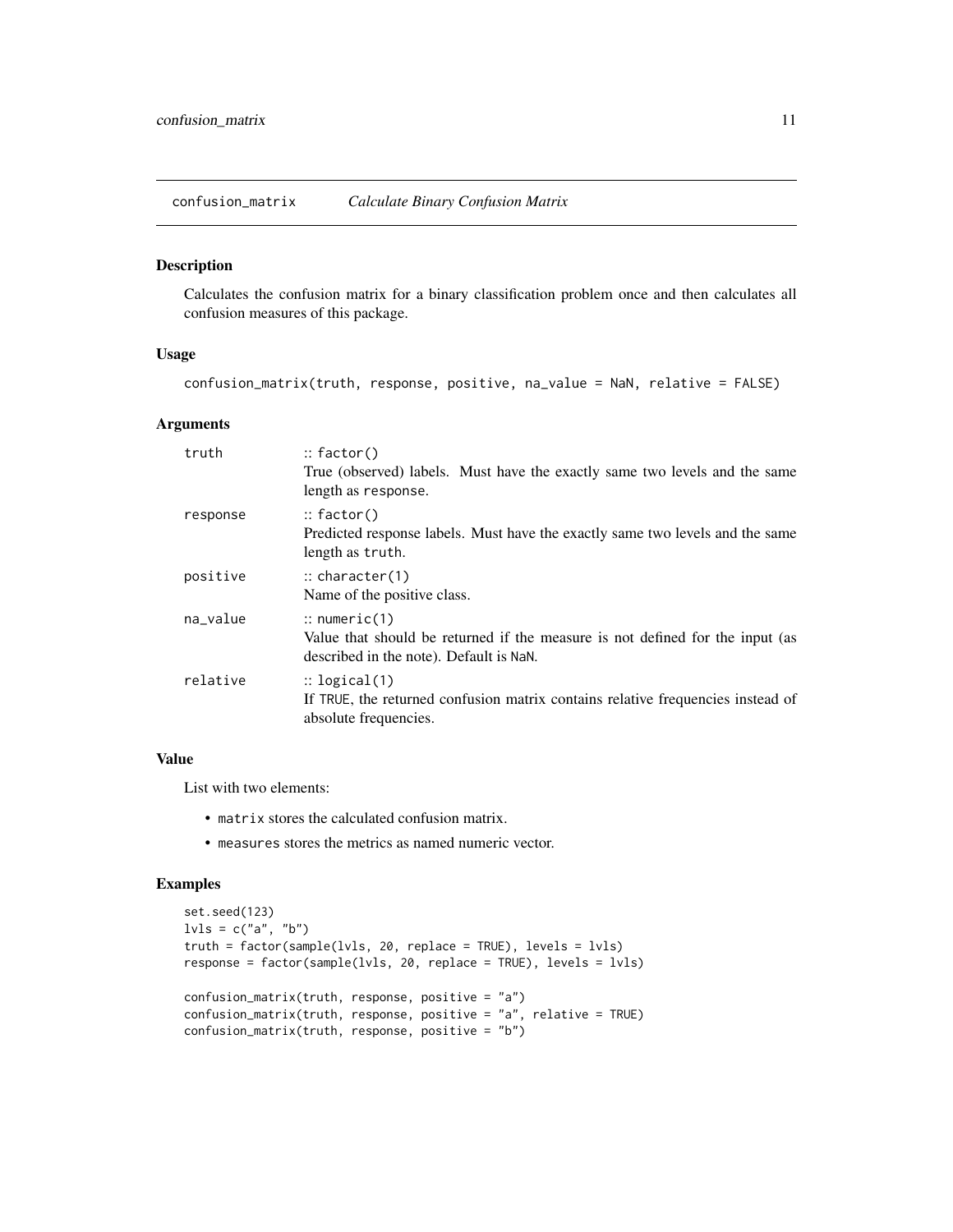<span id="page-10-0"></span>confusion\_matrix *Calculate Binary Confusion Matrix*

#### Description

Calculates the confusion matrix for a binary classification problem once and then calculates all confusion measures of this package.

#### Usage

confusion\_matrix(truth, response, positive, na\_value = NaN, relative = FALSE)

#### Arguments

| truth    | $\therefore$ factor()<br>True (observed) labels. Must have the exactly same two levels and the same<br>length as response.                          |
|----------|-----------------------------------------------------------------------------------------------------------------------------------------------------|
| response | $::$ factor()<br>Predicted response labels. Must have the exactly same two levels and the same<br>length as truth.                                  |
| positive | $\therefore$ character(1)<br>Name of the positive class.                                                                                            |
| na_value | $\therefore$ numeric(1)<br>Value that should be returned if the measure is not defined for the input (as<br>described in the note). Default is NaN. |
| relative | $\therefore$ logical(1)<br>If TRUE, the returned confusion matrix contains relative frequencies instead of<br>absolute frequencies.                 |

#### Value

List with two elements:

- matrix stores the calculated confusion matrix.
- measures stores the metrics as named numeric vector.

```
set.seed(123)
lvls = c("a", "b")truth = factor(sample(lvls, 20, replace = TRUE), levels = lvls)
response = factor(sample(lvls, 20, replace = TRUE), levels = lvls)
confusion_matrix(truth, response, positive = "a")
confusion_matrix(truth, response, positive = "a", relative = TRUE)
confusion_matrix(truth, response, positive = "b")
```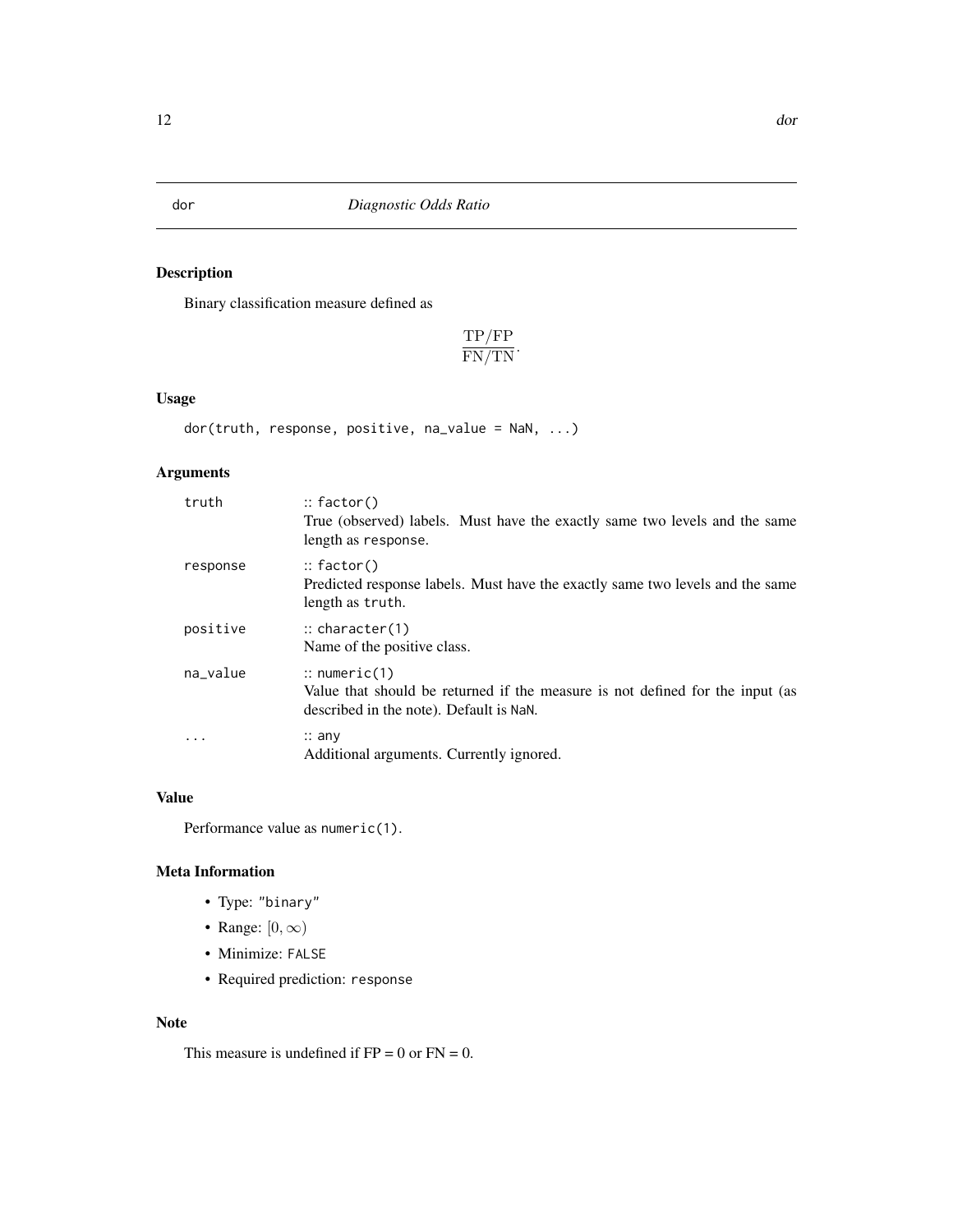### Description

Binary classification measure defined as

TP/FP  $\frac{11/11}{FN/TN}$ .

### Usage

dor(truth, response, positive, na\_value = NaN, ...)

### Arguments

| truth    | $::$ factor()<br>True (observed) labels. Must have the exactly same two levels and the same<br>length as response.                                  |
|----------|-----------------------------------------------------------------------------------------------------------------------------------------------------|
| response | $::$ factor()<br>Predicted response labels. Must have the exactly same two levels and the same<br>length as truth.                                  |
| positive | $\therefore$ character(1)<br>Name of the positive class.                                                                                            |
| na_value | $\therefore$ numeric(1)<br>Value that should be returned if the measure is not defined for the input (as<br>described in the note). Default is NaN. |
| .        | $\therefore$ any<br>Additional arguments. Currently ignored.                                                                                        |

### Value

Performance value as numeric(1).

### Meta Information

- Type: "binary"
- Range:  $[0, \infty)$
- Minimize: FALSE
- Required prediction: response

#### Note

This measure is undefined if  $FP = 0$  or  $FN = 0$ .

<span id="page-11-1"></span><span id="page-11-0"></span>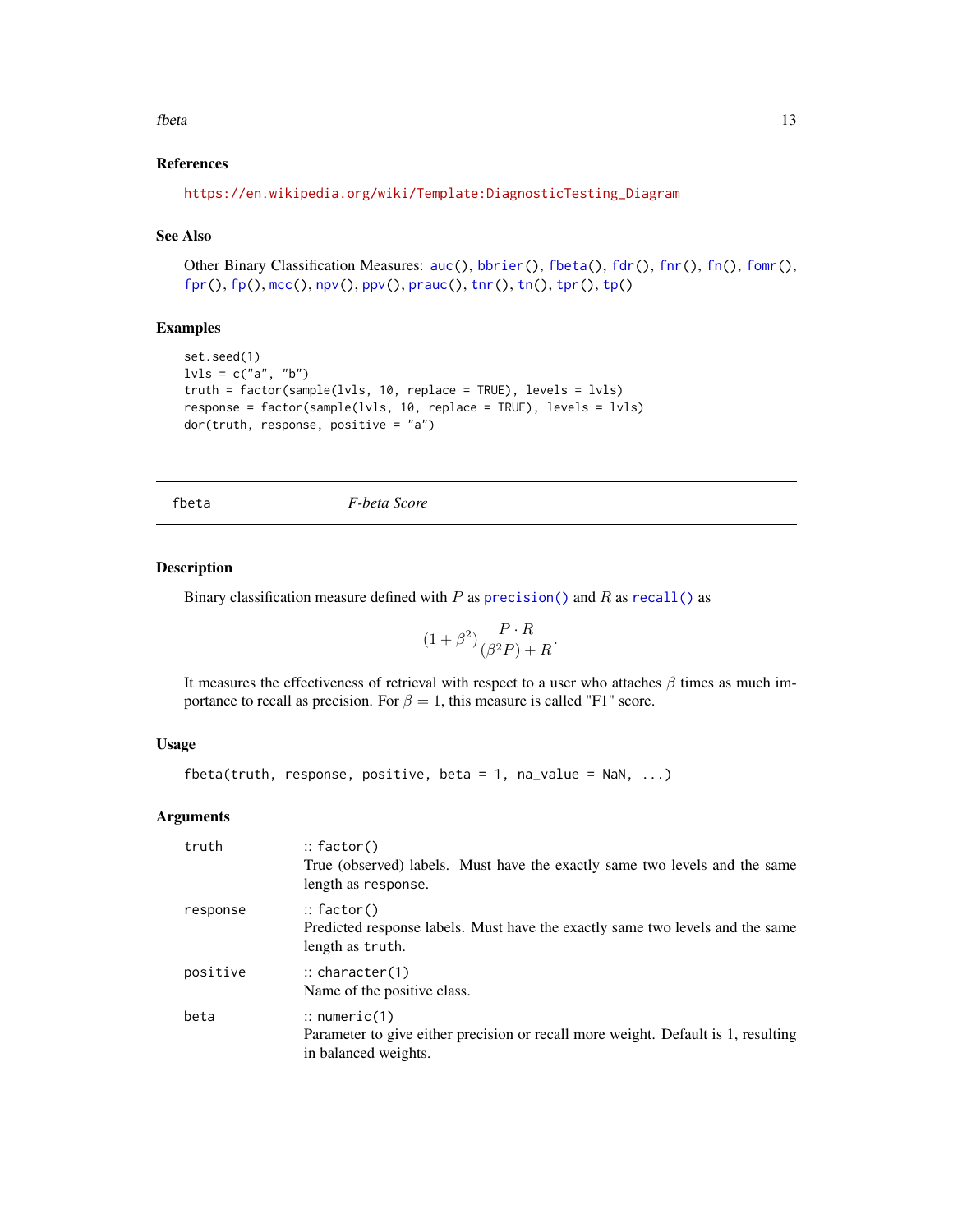#### <span id="page-12-0"></span>fbeta 13

### References

```
https://en.wikipedia.org/wiki/Template:DiagnosticTesting_Diagram
```
### See Also

Other Binary Classification Measures: [auc\(](#page-4-1)), [bbrier\(](#page-6-1)), [fbeta\(](#page-12-1)), [fdr\(](#page-14-1)), [fnr\(](#page-16-1)), [fn\(](#page-15-1)), [fomr\(](#page-18-1)),  $fpr(), fp(), mcc(), npv(), ppv(), prauc(), thr(), tn(), tpr(), tp()$  $fpr(), fp(), mcc(), npv(), ppv(), prauc(), thr(), tn(), tpr(), tp()$  $fpr(), fp(), mcc(), npv(), ppv(), prauc(), thr(), tn(), tpr(), tp()$  $fpr(), fp(), mcc(), npv(), ppv(), prauc(), thr(), tn(), tpr(), tp()$  $fpr(), fp(), mcc(), npv(), ppv(), prauc(), thr(), tn(), tpr(), tp()$  $fpr(), fp(), mcc(), npv(), ppv(), prauc(), thr(), tn(), tpr(), tp()$  $fpr(), fp(), mcc(), npv(), ppv(), prauc(), thr(), tn(), tpr(), tp()$  $fpr(), fp(), mcc(), npv(), ppv(), prauc(), thr(), tn(), tpr(), tp()$  $fpr(), fp(), mcc(), npv(), ppv(), prauc(), thr(), tn(), tpr(), tp()$  $fpr(), fp(), mcc(), npv(), ppv(), prauc(), thr(), tn(), tpr(), tp()$  $fpr(), fp(), mcc(), npv(), ppv(), prauc(), thr(), tn(), tpr(), tp()$  $fpr(), fp(), mcc(), npv(), ppv(), prauc(), thr(), tn(), tpr(), tp()$  $fpr(), fp(), mcc(), npv(), ppv(), prauc(), thr(), tn(), tpr(), tp()$  $fpr(), fp(), mcc(), npv(), ppv(), prauc(), thr(), tn(), tpr(), tp()$  $fpr(), fp(), mcc(), npv(), ppv(), prauc(), thr(), tn(), tpr(), tp()$  $fpr(), fp(), mcc(), npv(), ppv(), prauc(), thr(), tn(), tpr(), tp()$  $fpr(), fp(), mcc(), npv(), ppv(), prauc(), thr(), tn(), tpr(), tp()$  $fpr(), fp(), mcc(), npv(), ppv(), prauc(), thr(), tn(), tpr(), tp()$ 

#### Examples

```
set.seed(1)
lvls = c("a", "b")truth = factor(sample(lvls, 10, replace = TRUE), levels = lvls)
response = factor(sample(lvls, 10, replace = TRUE), levels = lvls)
dor(truth, response, positive = "a")
```
<span id="page-12-1"></span>fbeta *F-beta Score*

#### Description

Binary classification measure defined with  $P$  as [precision\(\)](#page-39-2) and  $R$  as [recall\(\)](#page-57-2) as

$$
(1 + \beta^2) \frac{P \cdot R}{(\beta^2 P) + R}.
$$

It measures the effectiveness of retrieval with respect to a user who attaches  $\beta$  times as much importance to recall as precision. For  $\beta = 1$ , this measure is called "F1" score.

### Usage

```
fbeta(truth, response, positive, beta = 1, na_value = NaN, \ldots)
```
#### Arguments

| truth    | $::$ factor()<br>True (observed) labels. Must have the exactly same two levels and the same<br>length as response.                   |
|----------|--------------------------------------------------------------------------------------------------------------------------------------|
| response | $::$ factor()<br>Predicted response labels. Must have the exactly same two levels and the same<br>length as truth.                   |
| positive | $\therefore$ character(1)<br>Name of the positive class.                                                                             |
| beta     | $\therefore$ numeric(1)<br>Parameter to give either precision or recall more weight. Default is 1, resulting<br>in balanced weights. |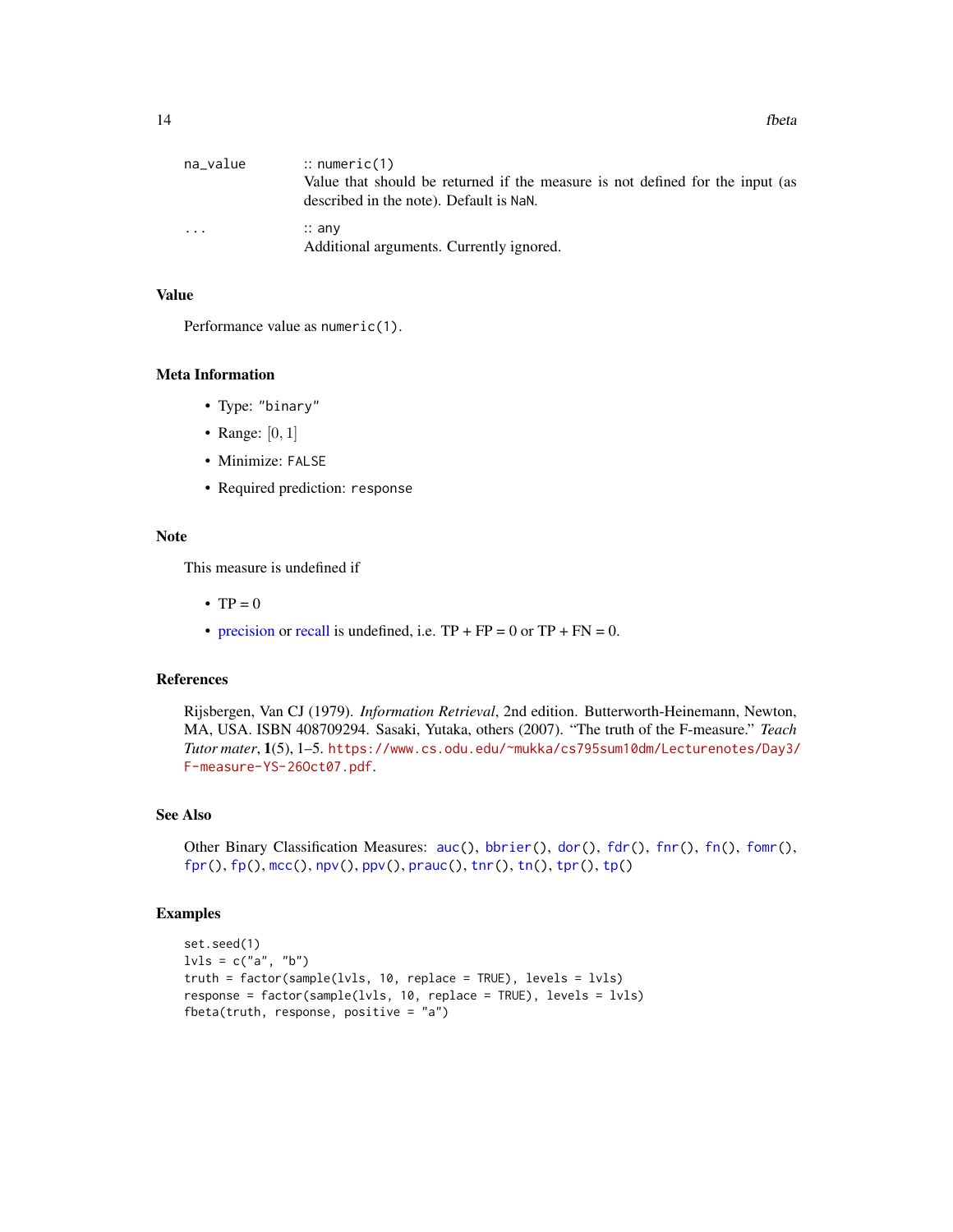<span id="page-13-0"></span>

| na_value | $\therefore$ numeric(1)                                                       |
|----------|-------------------------------------------------------------------------------|
|          | Value that should be returned if the measure is not defined for the input (as |
|          | described in the note). Default is NaN.                                       |
| $\cdots$ | $\therefore$ any                                                              |
|          | Additional arguments. Currently ignored.                                      |

#### Value

Performance value as numeric(1).

#### Meta Information

- Type: "binary"
- Range:  $[0, 1]$
- Minimize: FALSE
- Required prediction: response

### Note

This measure is undefined if

- $TP = 0$
- [precision](#page-39-2) or [recall](#page-57-2) is undefined, i.e.  $TP + FP = 0$  or  $TP + FN = 0$ .

### References

Rijsbergen, Van CJ (1979). *Information Retrieval*, 2nd edition. Butterworth-Heinemann, Newton, MA, USA. ISBN 408709294. Sasaki, Yutaka, others (2007). "The truth of the F-measure." *Teach Tutor mater*, 1(5), 1–5. [https://www.cs.odu.edu/~mukka/cs795sum10dm/Lecturenotes/Day3/](https://www.cs.odu.edu/~mukka/cs795sum10dm/Lecturenotes/Day3/F-measure-YS-26Oct07.pdf) [F-measure-YS-26Oct07.pdf](https://www.cs.odu.edu/~mukka/cs795sum10dm/Lecturenotes/Day3/F-measure-YS-26Oct07.pdf).

### See Also

Other Binary Classification Measures: [auc\(](#page-4-1)), [bbrier\(](#page-6-1)), [dor\(](#page-11-1)), [fdr\(](#page-14-1)), [fnr\(](#page-16-1)), [fn\(](#page-15-1)), [fomr\(](#page-18-1)),  $fpr(), fp(), mec(), npv(), ppv(), prauc(), thr(), tn(), tpr(), tp()$  $fpr(), fp(), mec(), npv(), ppv(), prauc(), thr(), tn(), tpr(), tp()$  $fpr(), fp(), mec(), npv(), ppv(), prauc(), thr(), tn(), tpr(), tp()$  $fpr(), fp(), mec(), npv(), ppv(), prauc(), thr(), tn(), tpr(), tp()$  $fpr(), fp(), mec(), npv(), ppv(), prauc(), thr(), tn(), tpr(), tp()$  $fpr(), fp(), mec(), npv(), ppv(), prauc(), thr(), tn(), tpr(), tp()$  $fpr(), fp(), mec(), npv(), ppv(), prauc(), thr(), tn(), tpr(), tp()$  $fpr(), fp(), mec(), npv(), ppv(), prauc(), thr(), tn(), tpr(), tp()$  $fpr(), fp(), mec(), npv(), ppv(), prauc(), thr(), tn(), tpr(), tp()$  $fpr(), fp(), mec(), npv(), ppv(), prauc(), thr(), tn(), tpr(), tp()$  $fpr(), fp(), mec(), npv(), ppv(), prauc(), thr(), tn(), tpr(), tp()$  $fpr(), fp(), mec(), npv(), ppv(), prauc(), thr(), tn(), tpr(), tp()$  $fpr(), fp(), mec(), npv(), ppv(), prauc(), thr(), tn(), tpr(), tp()$  $fpr(), fp(), mec(), npv(), ppv(), prauc(), thr(), tn(), tpr(), tp()$  $fpr(), fp(), mec(), npv(), ppv(), prauc(), thr(), tn(), tpr(), tp()$  $fpr(), fp(), mec(), npv(), ppv(), prauc(), thr(), tn(), tpr(), tp()$ 

```
set.seed(1)
lvls = c("a", "b")truth = factor(sample(lvls, 10, replace = TRUE), levels = lvls)
response = factor(sample(lvls, 10, replace = TRUE), levels = lvls)
fbeta(truth, response, positive = "a")
```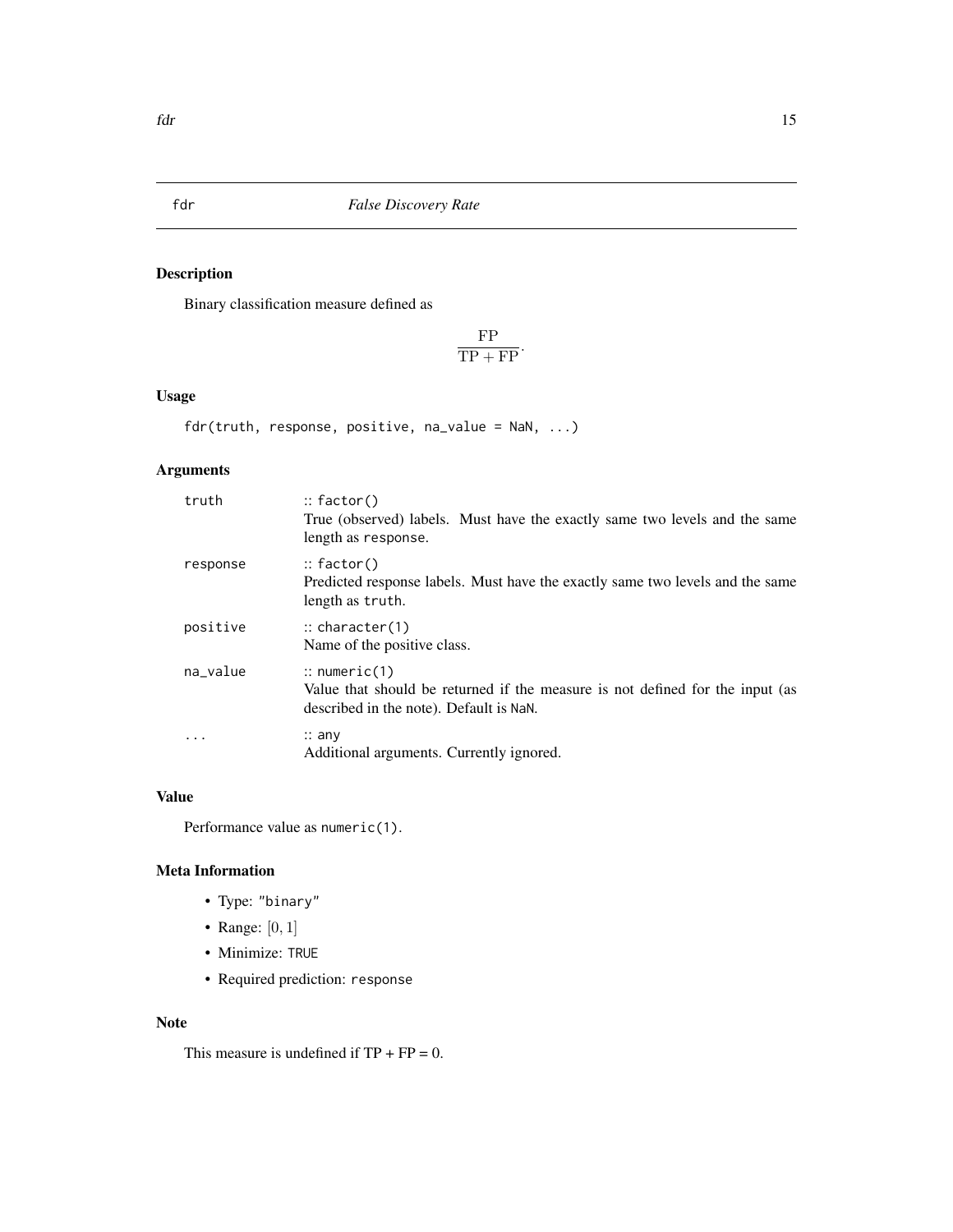<span id="page-14-1"></span><span id="page-14-0"></span>fdr *False Discovery Rate*

### Description

Binary classification measure defined as

FP  $\frac{1}{TP + FP}$ .

## Usage

fdr(truth, response, positive, na\_value = NaN, ...)

### Arguments

| truth    | $::$ factor()<br>True (observed) labels. Must have the exactly same two levels and the same<br>length as response.                                  |
|----------|-----------------------------------------------------------------------------------------------------------------------------------------------------|
| response | $::$ factor()<br>Predicted response labels. Must have the exactly same two levels and the same<br>length as truth.                                  |
| positive | $\therefore$ character(1)<br>Name of the positive class.                                                                                            |
| na_value | $\therefore$ numeric(1)<br>Value that should be returned if the measure is not defined for the input (as<br>described in the note). Default is NaN. |
| .        | $\therefore$ any<br>Additional arguments. Currently ignored.                                                                                        |

## Value

Performance value as numeric(1).

### Meta Information

- Type: "binary"
- Range: [0, 1]
- Minimize: TRUE
- Required prediction: response

#### Note

This measure is undefined if  $TP + FP = 0$ .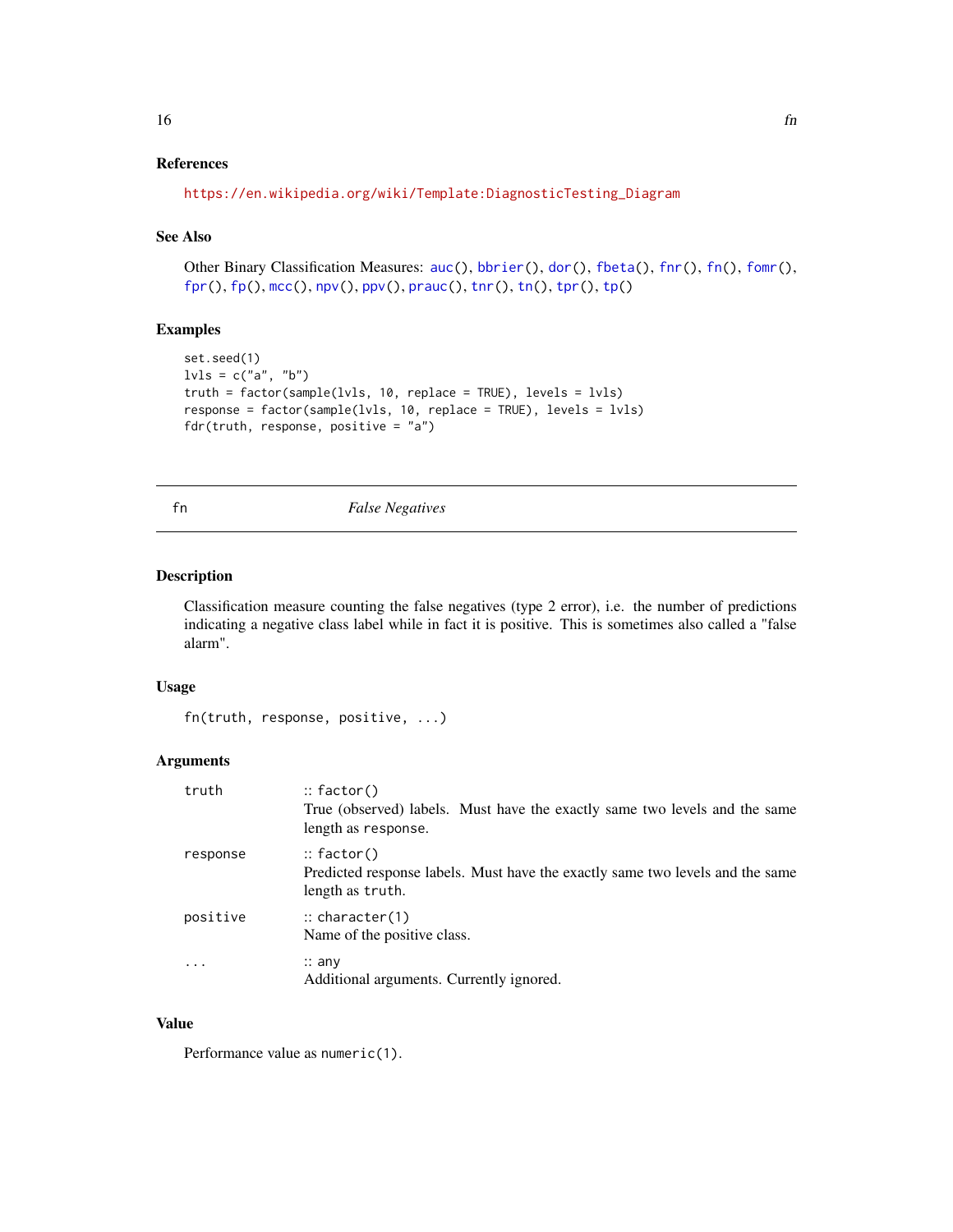### <span id="page-15-0"></span>References

```
https://en.wikipedia.org/wiki/Template:DiagnosticTesting_Diagram
```
#### See Also

Other Binary Classification Measures: [auc\(](#page-4-1)), [bbrier\(](#page-6-1)), [dor\(](#page-11-1)), [fbeta\(](#page-12-1)), [fnr\(](#page-16-1)), [fn\(](#page-15-1)), [fomr\(](#page-18-1)), [fpr\(](#page-20-1)), [fp\(](#page-19-1)), [mcc\(](#page-31-1)), [npv\(](#page-37-1)), [ppv\(](#page-39-1)), [prauc\(](#page-41-1)), [tnr\(](#page-54-1)), [tn\(](#page-53-1)), [tpr\(](#page-57-1)), [tp\(](#page-55-1))

### Examples

```
set.seed(1)
lvls = c("a", "b")truth = factor(sample(lvls, 10, replace = TRUE), levels = lvls)
response = factor(sample(lvls, 10, replace = TRUE), levels = lvls)
fdr(truth, response, positive = "a")
```
<span id="page-15-1"></span>fn *False Negatives*

### Description

Classification measure counting the false negatives (type 2 error), i.e. the number of predictions indicating a negative class label while in fact it is positive. This is sometimes also called a "false alarm".

### Usage

```
fn(truth, response, positive, ...)
```
### Arguments

| truth                   | $::$ factor()<br>True (observed) labels. Must have the exactly same two levels and the same<br>length as response. |
|-------------------------|--------------------------------------------------------------------------------------------------------------------|
| response                | $::$ factor()<br>Predicted response labels. Must have the exactly same two levels and the same<br>length as truth. |
| positive                | $\therefore$ character(1)<br>Name of the positive class.                                                           |
| $\cdot$ $\cdot$ $\cdot$ | $\therefore$ any<br>Additional arguments. Currently ignored.                                                       |

#### Value

Performance value as numeric(1).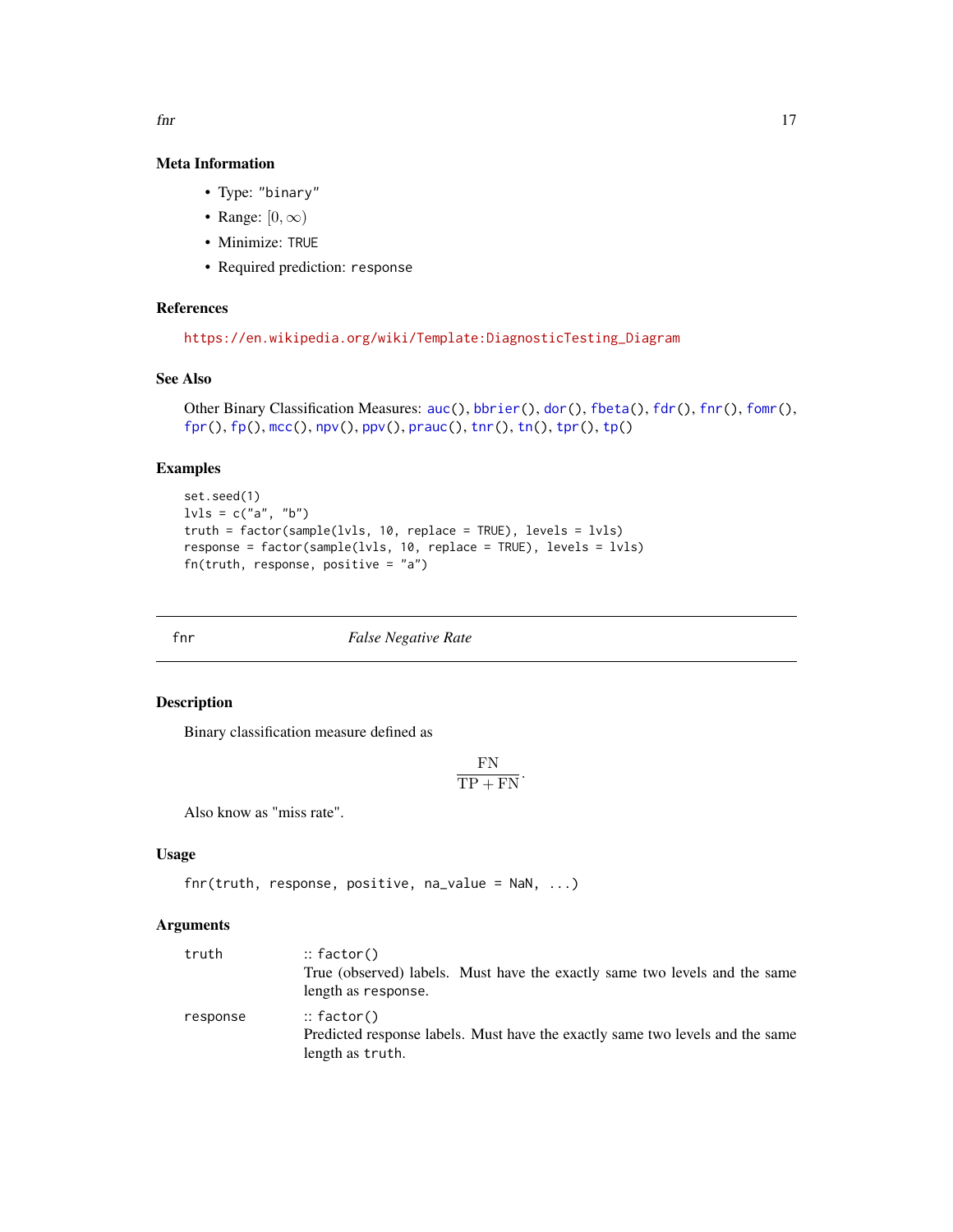#### Meta Information

- Type: "binary"
- Range:  $[0, \infty)$
- Minimize: TRUE
- Required prediction: response

### References

```
https://en.wikipedia.org/wiki/Template:DiagnosticTesting_Diagram
```
### See Also

```
Other Binary Classification Measures: auc(), bbrier(), dor(), fbeta(), fdr(), fnr(), fomr(),
fpr(), fp(), mcc(), npv(), ppv(), prauc(), tnr(), tn(), tpr(), tp()
```
#### Examples

```
set.seed(1)
lvls = c("a", "b")truth = factor(sample(lvls, 10, replace = TRUE), levels = lvls)
response = factor(sample(lvls, 10, replace = TRUE), levels = lvls)
fn(truth, response, positive = "a")
```
<span id="page-16-1"></span>

fnr *False Negative Rate*

### Description

Binary classification measure defined as

$$
\frac{\text{FN}}{\text{TP} + \text{FN}}.
$$

Also know as "miss rate".

### Usage

```
fnr(truth, response, positive, na_value = NaN, ...)
```
### Arguments

| truth    | $::$ factor()                                                                 |
|----------|-------------------------------------------------------------------------------|
|          | True (observed) labels. Must have the exactly same two levels and the same    |
|          | length as response.                                                           |
| response | $::$ factor()                                                                 |
|          | Predicted response labels. Must have the exactly same two levels and the same |
|          | length as truth.                                                              |

<span id="page-16-0"></span> $\int$  17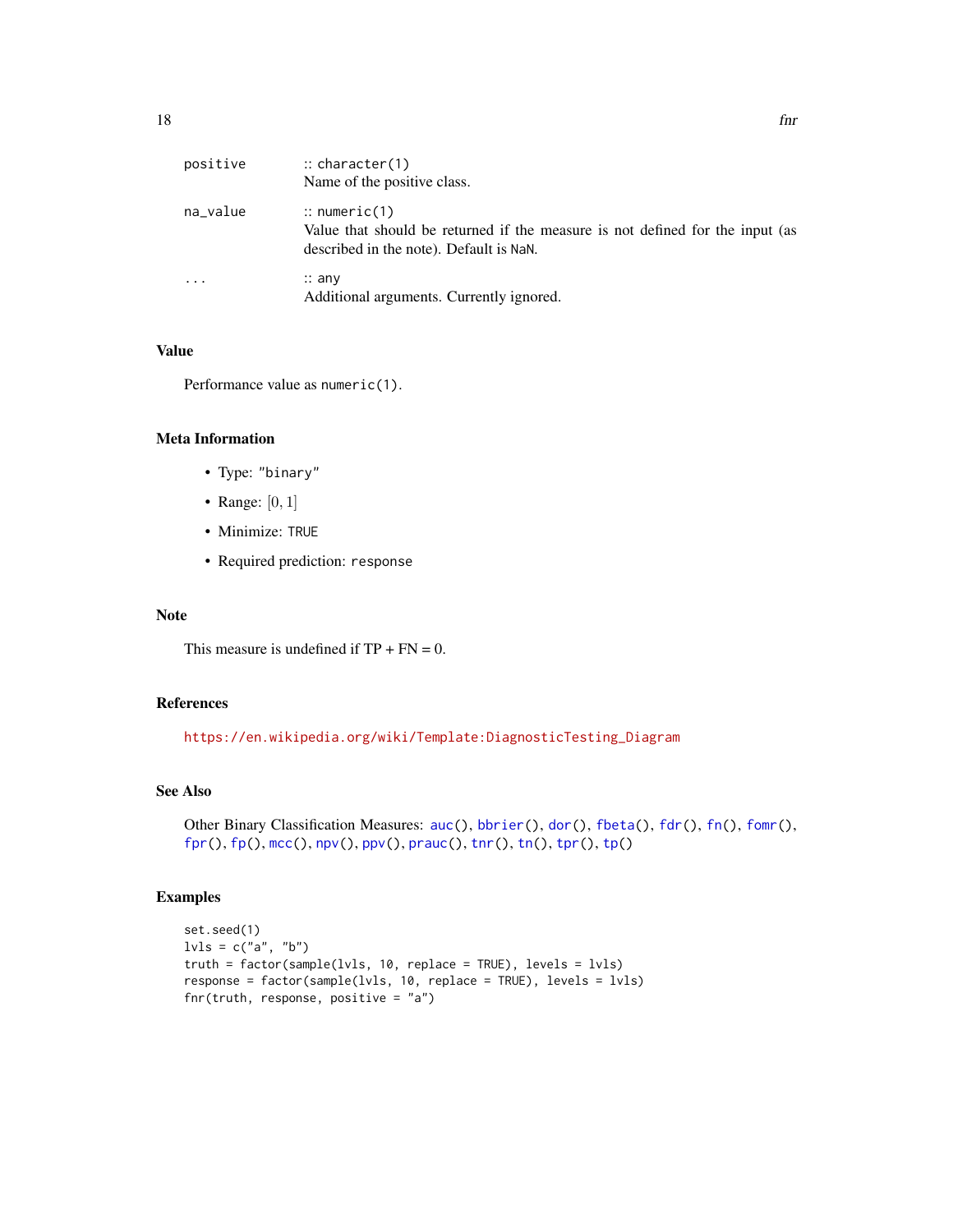<span id="page-17-0"></span>

| positive                | $\therefore$ character(1)<br>Name of the positive class.                                                                                            |
|-------------------------|-----------------------------------------------------------------------------------------------------------------------------------------------------|
| na_value                | $\therefore$ numeric(1)<br>Value that should be returned if the measure is not defined for the input (as<br>described in the note). Default is NaN. |
| $\cdot$ $\cdot$ $\cdot$ | $\therefore$ any<br>Additional arguments. Currently ignored.                                                                                        |

### Value

Performance value as numeric(1).

#### Meta Information

- Type: "binary"
- Range: [0, 1]
- Minimize: TRUE
- Required prediction: response

### Note

This measure is undefined if  $TP + FN = 0$ .

### References

[https://en.wikipedia.org/wiki/Template:DiagnosticTesting\\_Diagram](https://en.wikipedia.org/wiki/Template:DiagnosticTesting_Diagram)

### See Also

```
auc(bbrier(dor(fbeta(fdr(fn(fomr(),
fpr(), fp(), mcc(), npv(), ppv(), prauc(), tnr(), tn(), tpr(), tp()
```

```
set.seed(1)
lvls = c("a", "b")truth = factor(sample(lvls, 10, replace = TRUE), levels = lvls)
response = factor(sample(lvls, 10, replace = TRUE), levels = lvls)
fnr(truth, response, positive = "a")
```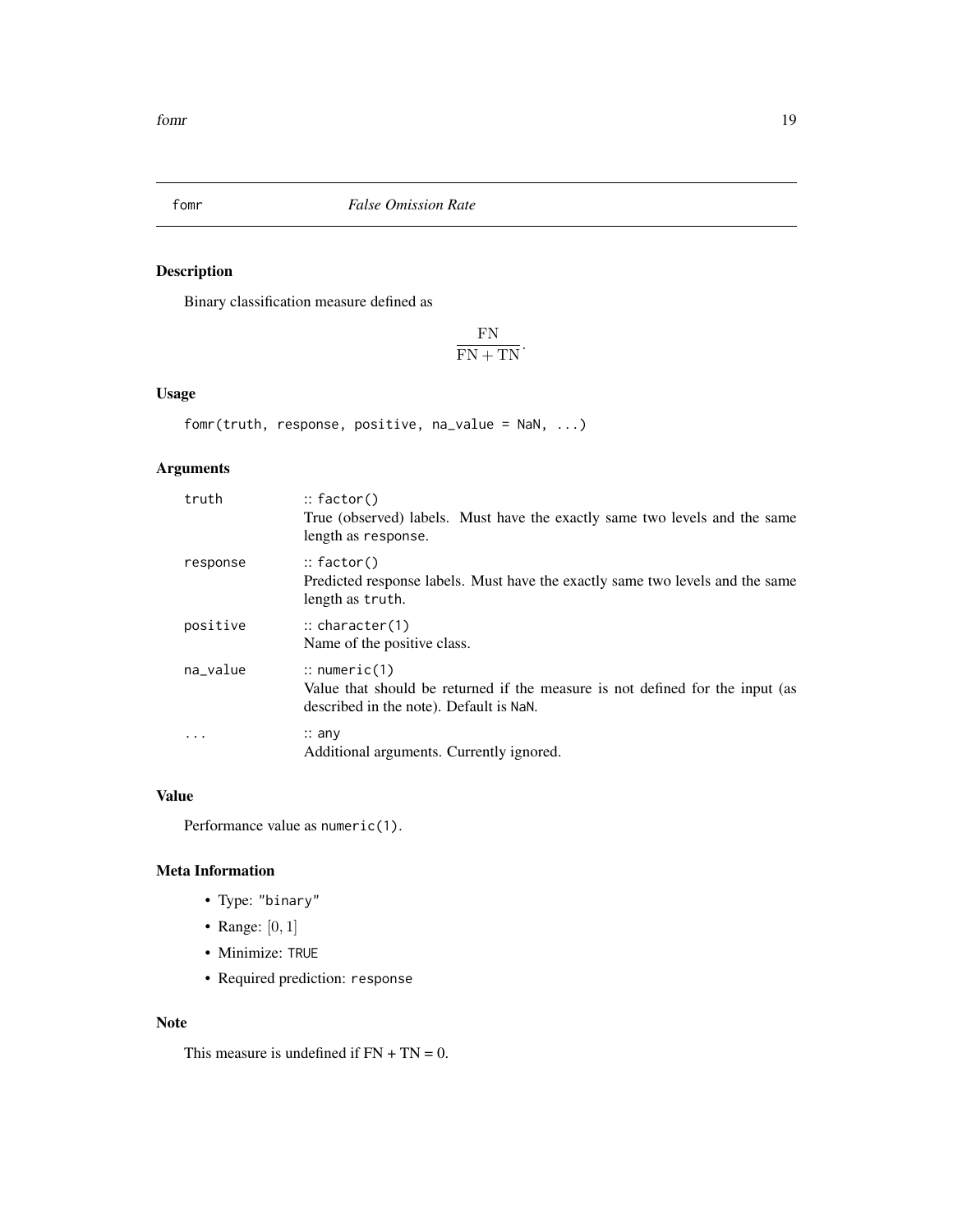<span id="page-18-1"></span><span id="page-18-0"></span>

### Description

Binary classification measure defined as

FN  $\frac{1}{FN}$ .

### Usage

```
fomr(truth, response, positive, na_value = NaN, ...)
```
### Arguments

| truth    | $\therefore$ factor()<br>True (observed) labels. Must have the exactly same two levels and the same<br>length as response.                          |
|----------|-----------------------------------------------------------------------------------------------------------------------------------------------------|
| response | $::$ factor()<br>Predicted response labels. Must have the exactly same two levels and the same<br>length as truth.                                  |
| positive | $\therefore$ character(1)<br>Name of the positive class.                                                                                            |
| na_value | $\therefore$ numeric(1)<br>Value that should be returned if the measure is not defined for the input (as<br>described in the note). Default is NaN. |
| $\cdots$ | $\therefore$ any<br>Additional arguments. Currently ignored.                                                                                        |

### Value

Performance value as numeric(1).

### Meta Information

- Type: "binary"
- Range: [0, 1]
- Minimize: TRUE
- Required prediction: response

#### Note

This measure is undefined if  $FN + TN = 0$ .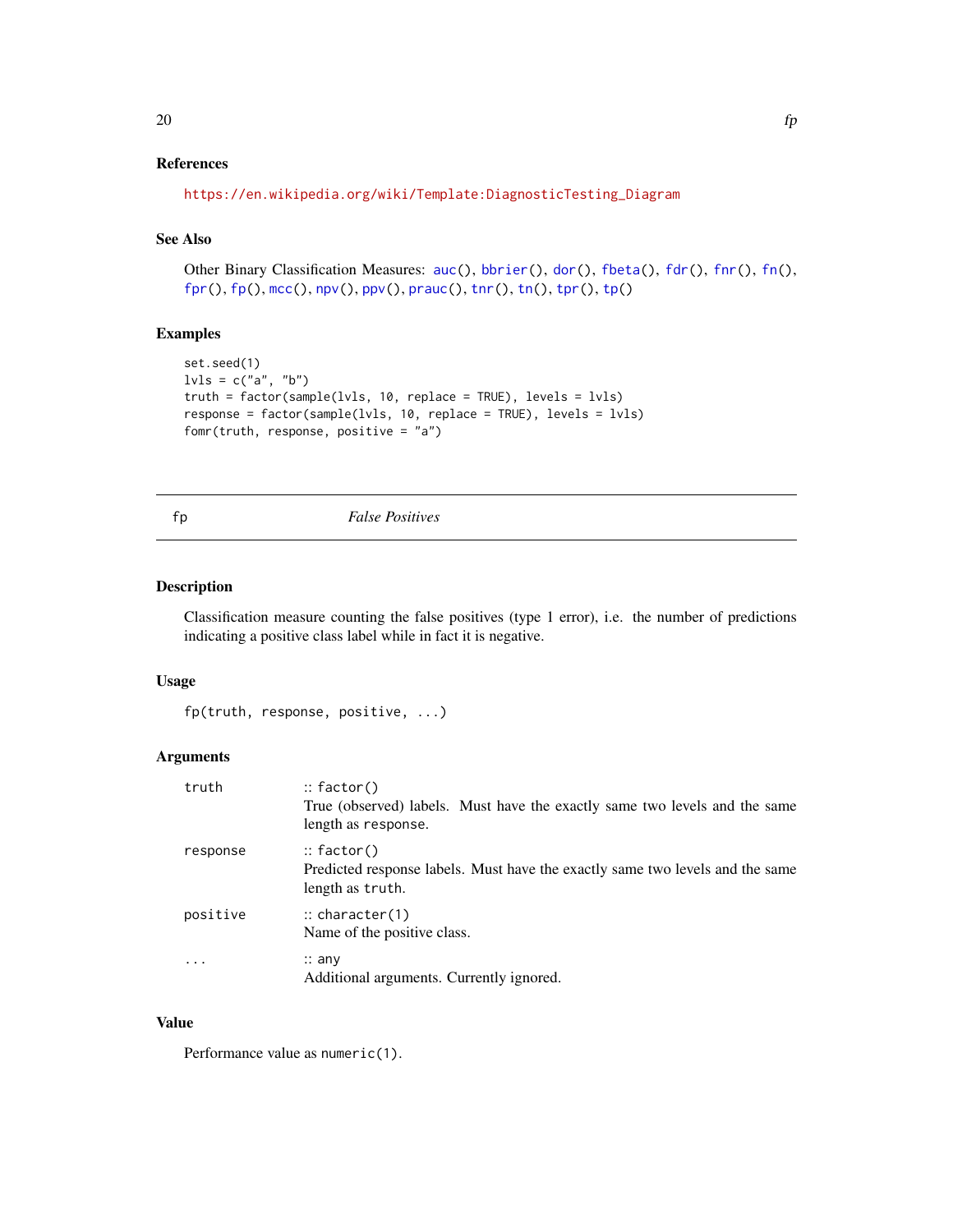### <span id="page-19-0"></span>References

```
https://en.wikipedia.org/wiki/Template:DiagnosticTesting_Diagram
```
### See Also

Other Binary Classification Measures: [auc\(](#page-4-1)), [bbrier\(](#page-6-1)), [dor\(](#page-11-1)), [fbeta\(](#page-12-1)), [fdr\(](#page-14-1)), [fnr\(](#page-16-1)), [fn\(](#page-15-1)), [fpr\(](#page-20-1)), [fp\(](#page-19-1)), [mcc\(](#page-31-1)), [npv\(](#page-37-1)), [ppv\(](#page-39-1)), [prauc\(](#page-41-1)), [tnr\(](#page-54-1)), [tn\(](#page-53-1)), [tpr\(](#page-57-1)), [tp\(](#page-55-1))

### Examples

```
set.seed(1)
lvls = c("a", "b")truth = factor(sample(lvls, 10, replace = TRUE), levels = lvls)
response = factor(sample(lvls, 10, replace = TRUE), levels = lvls)
fomr(truth, response, positive = "a")
```
<span id="page-19-1"></span>

#### fp *False Positives*

#### Description

Classification measure counting the false positives (type 1 error), i.e. the number of predictions indicating a positive class label while in fact it is negative.

#### Usage

```
fp(truth, response, positive, ...)
```
### Arguments

| truth    | $\therefore$ factor()<br>True (observed) labels. Must have the exactly same two levels and the same<br>length as response. |
|----------|----------------------------------------------------------------------------------------------------------------------------|
| response | $\therefore$ factor()<br>Predicted response labels. Must have the exactly same two levels and the same<br>length as truth. |
| positive | $\therefore$ character(1)<br>Name of the positive class.                                                                   |
| $\cdot$  | $\therefore$ any<br>Additional arguments. Currently ignored.                                                               |

#### Value

Performance value as numeric(1).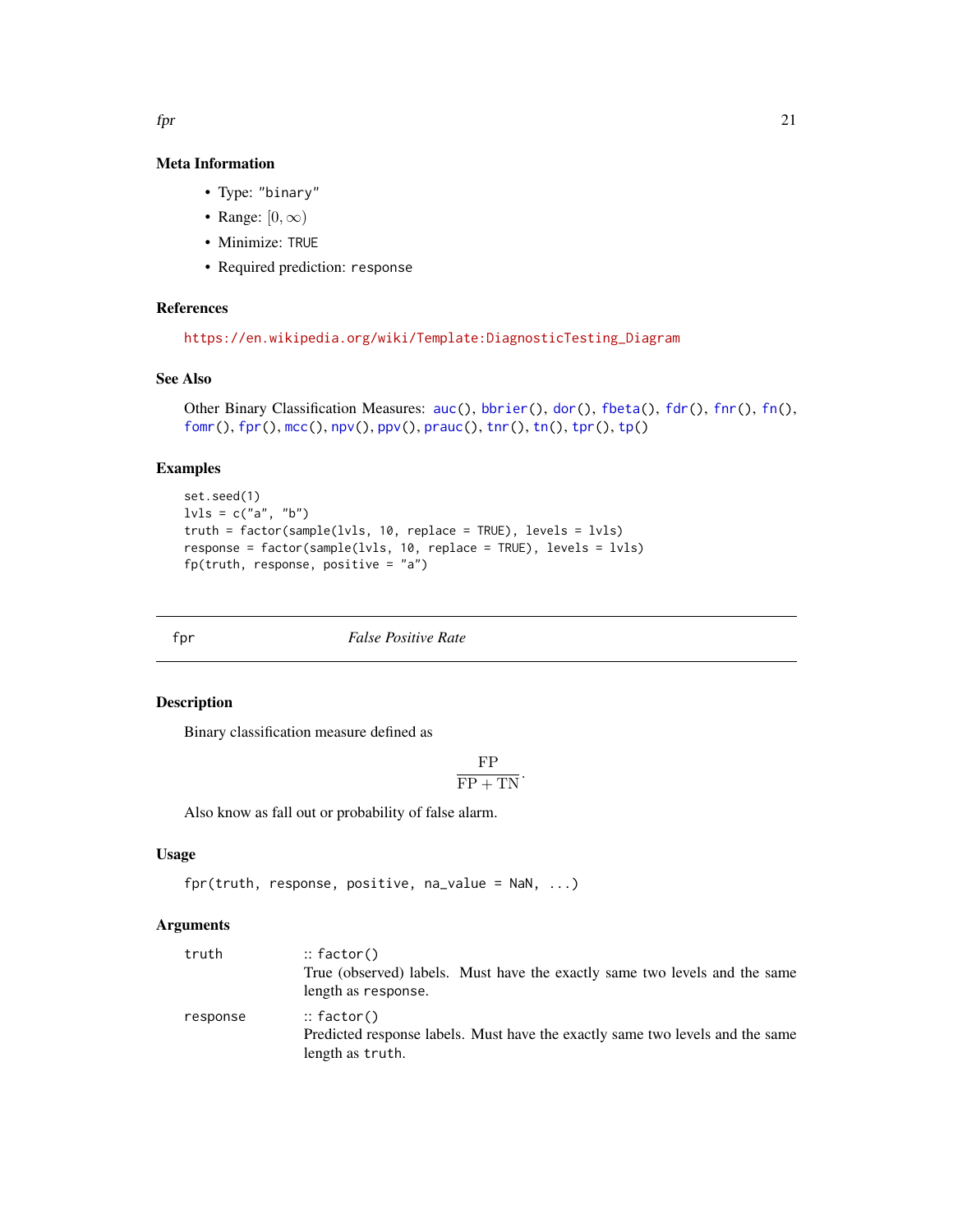#### Meta Information

- Type: "binary"
- Range:  $[0, \infty)$
- Minimize: TRUE
- Required prediction: response

### References

```
https://en.wikipedia.org/wiki/Template:DiagnosticTesting_Diagram
```
### See Also

```
auc(bbrier(dor(fbeta(fdr(fnr(fn(),
fomr(), fpr(), mcc(), npv(), ppv(), prauc(), tnr(), tn(), tpr(), tp()
```
#### Examples

```
set.seed(1)
lvls = c("a", "b")truth = factor(sample(lvls, 10, replace = TRUE), levels = lvls)
response = factor(sample(lvls, 10, replace = TRUE), levels = lvls)
fp(truth, response, positive = "a")
```
<span id="page-20-1"></span>fpr *False Positive Rate*

### Description

Binary classification measure defined as

$$
\frac{\text{FP}}{\text{FP} + \text{TN}}.
$$

Also know as fall out or probability of false alarm.

### Usage

```
fpr(truth, response, positive, na_value = NaN, ...)
```
### Arguments

| truth    | $::$ factor()                                                                 |
|----------|-------------------------------------------------------------------------------|
|          | True (observed) labels. Must have the exactly same two levels and the same    |
|          | length as response.                                                           |
| response | $::$ factor()                                                                 |
|          | Predicted response labels. Must have the exactly same two levels and the same |
|          | length as truth.                                                              |

<span id="page-20-0"></span> $\epsilon$  fpr 21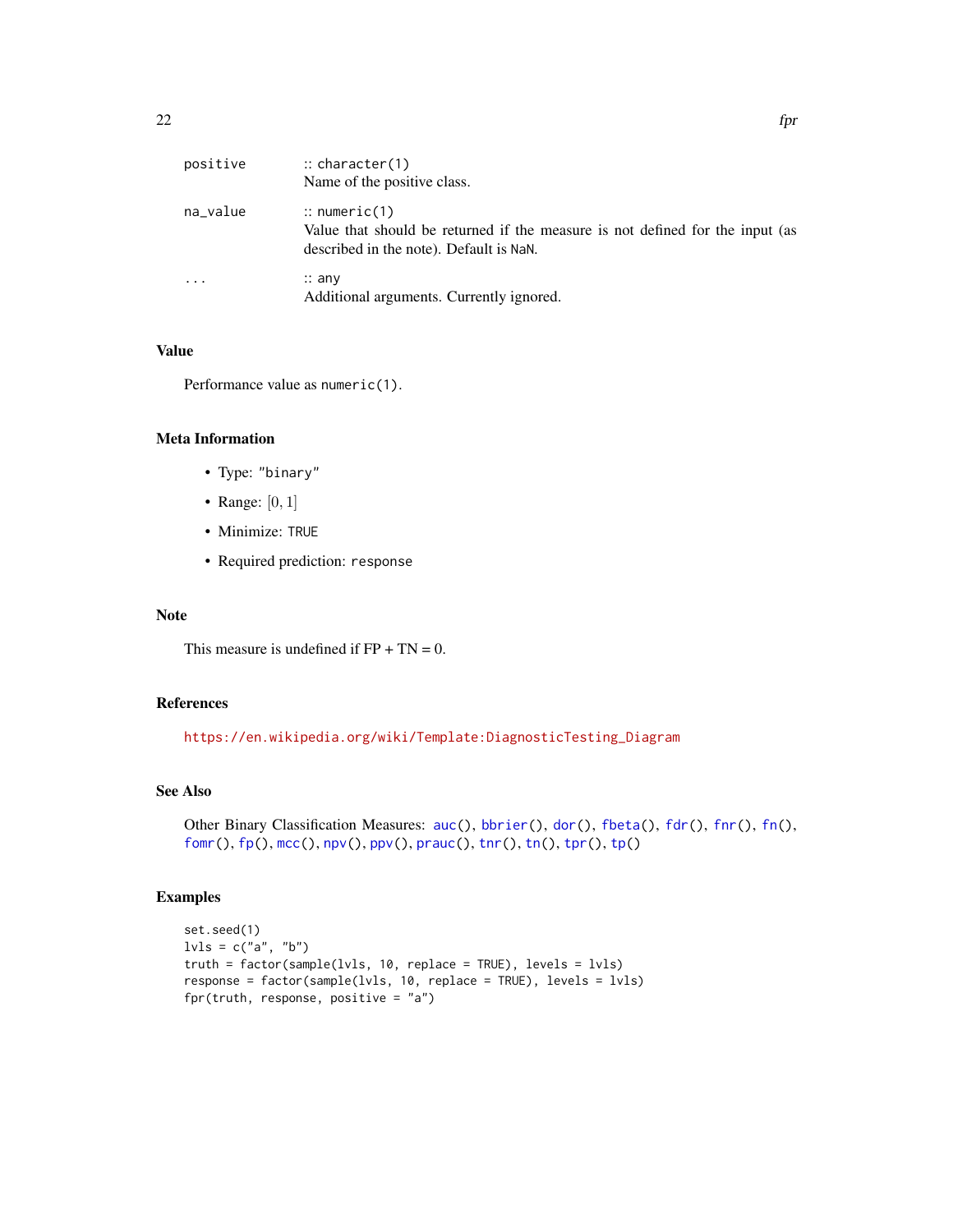<span id="page-21-0"></span>

| positive | $\therefore$ character(1)<br>Name of the positive class.                                                                                            |
|----------|-----------------------------------------------------------------------------------------------------------------------------------------------------|
| na_value | $\therefore$ numeric(1)<br>Value that should be returned if the measure is not defined for the input (as<br>described in the note). Default is NaN. |
| $\cdots$ | $\therefore$ any<br>Additional arguments. Currently ignored.                                                                                        |

### Value

Performance value as numeric(1).

#### Meta Information

- Type: "binary"
- Range: [0, 1]
- Minimize: TRUE
- Required prediction: response

### Note

This measure is undefined if  $FP + TN = 0$ .

### References

[https://en.wikipedia.org/wiki/Template:DiagnosticTesting\\_Diagram](https://en.wikipedia.org/wiki/Template:DiagnosticTesting_Diagram)

### See Also

```
auc(bbrier(dor(fbeta(fdr(fnr(fn(),
fomr(), fp(), mcc(), npv(), ppv(), prauc(), tnr(), tn(), tpr(), tp()
```

```
set.seed(1)
lvls = c("a", "b")truth = factor(sample(lvls, 10, replace = TRUE), levels = lvls)
response = factor(sample(lvls, 10, replace = TRUE), levels = lvls)
fpr(truth, response, positive = "a")
```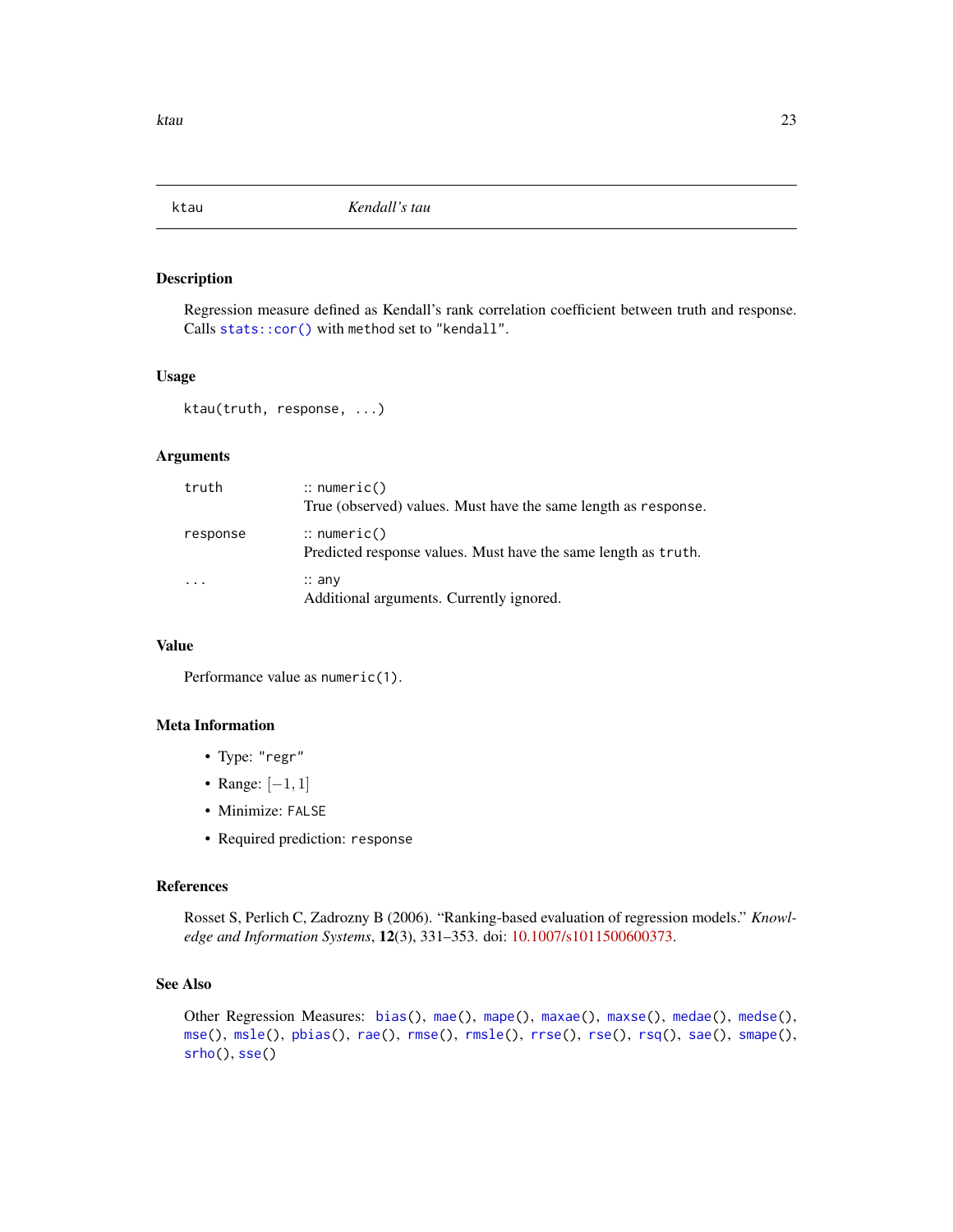<span id="page-22-1"></span><span id="page-22-0"></span>

#### Description

Regression measure defined as Kendall's rank correlation coefficient between truth and response. Calls [stats::cor\(\)](#page-0-0) with method set to "kendall".

### Usage

ktau(truth, response, ...)

### Arguments

| truth    | $\therefore$ numeric()<br>True (observed) values. Must have the same length as response. |
|----------|------------------------------------------------------------------------------------------|
| response | $\therefore$ numeric()<br>Predicted response values. Must have the same length as truth. |
|          | $\therefore$ any<br>Additional arguments. Currently ignored.                             |

### Value

Performance value as numeric(1).

#### Meta Information

- Type: "regr"
- Range: [−1, 1]
- Minimize: FALSE
- Required prediction: response

#### References

Rosset S, Perlich C, Zadrozny B (2006). "Ranking-based evaluation of regression models." *Knowledge and Information Systems*, 12(3), 331–353. doi: [10.1007/s1011500600373.](https://doi.org/10.1007/s10115-006-0037-3)

### See Also

```
bias(mae(mape(maxae(maxse(medae(medse(),
mse(), msle(), pbias(), rae(), rmse(), rmsle(), rrse(), rse(), rsq(), sae(), smape(),
srho(), sse()
```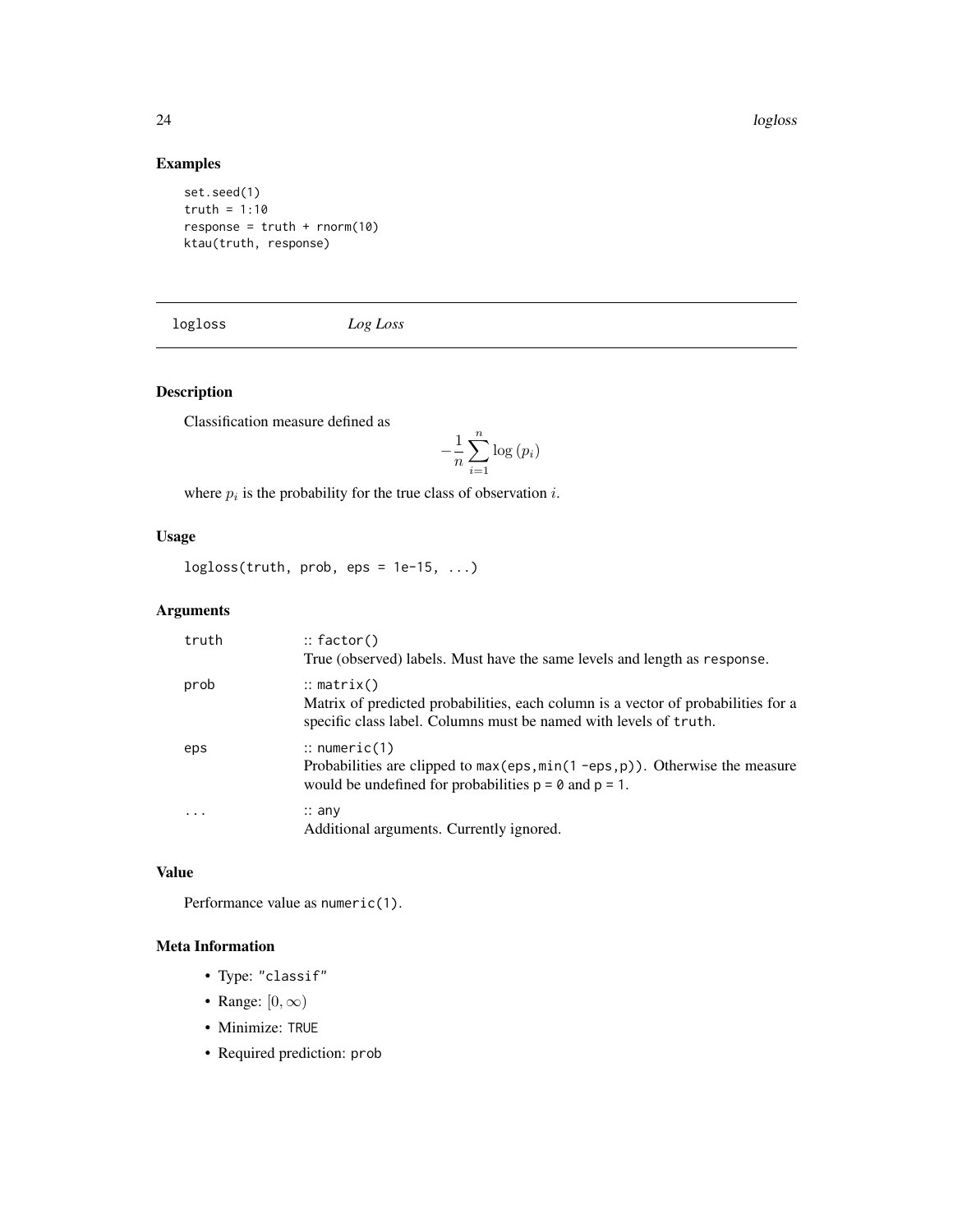24 logloss and the contract of the contract of the contract of the contract of the contract of the contract of the contract of the contract of the contract of the contract of the contract of the contract of the contract of

### Examples

set.seed(1) truth =  $1:10$  $response = truth + rnorm(10)$ ktau(truth, response)

<span id="page-23-1"></span>logloss *Log Loss*

### Description

Classification measure defined as

$$
-\frac{1}{n}\sum_{i=1}^{n}\log\left(p_{i}\right)
$$

where  $p_i$  is the probability for the true class of observation i.

### Usage

 $logloss(true, prob, esp = 1e-15, ...)$ 

### Arguments

| truth | $::$ factor()<br>True (observed) labels. Must have the same levels and length as response.                                                                                      |
|-------|---------------------------------------------------------------------------------------------------------------------------------------------------------------------------------|
| prob  | $\therefore$ matrix()<br>Matrix of predicted probabilities, each column is a vector of probabilities for a<br>specific class label. Columns must be named with levels of truth. |
| eps   | $\therefore$ numeric(1)<br>Probabilities are clipped to $max(eps, min(1 -eps, p))$ . Otherwise the measure<br>would be undefined for probabilities $p = 0$ and $p = 1$ .        |
|       | $\therefore$ any<br>Additional arguments. Currently ignored.                                                                                                                    |

### Value

Performance value as numeric(1).

- Type: "classif"
- Range:  $[0, \infty)$
- Minimize: TRUE
- Required prediction: prob

<span id="page-23-0"></span>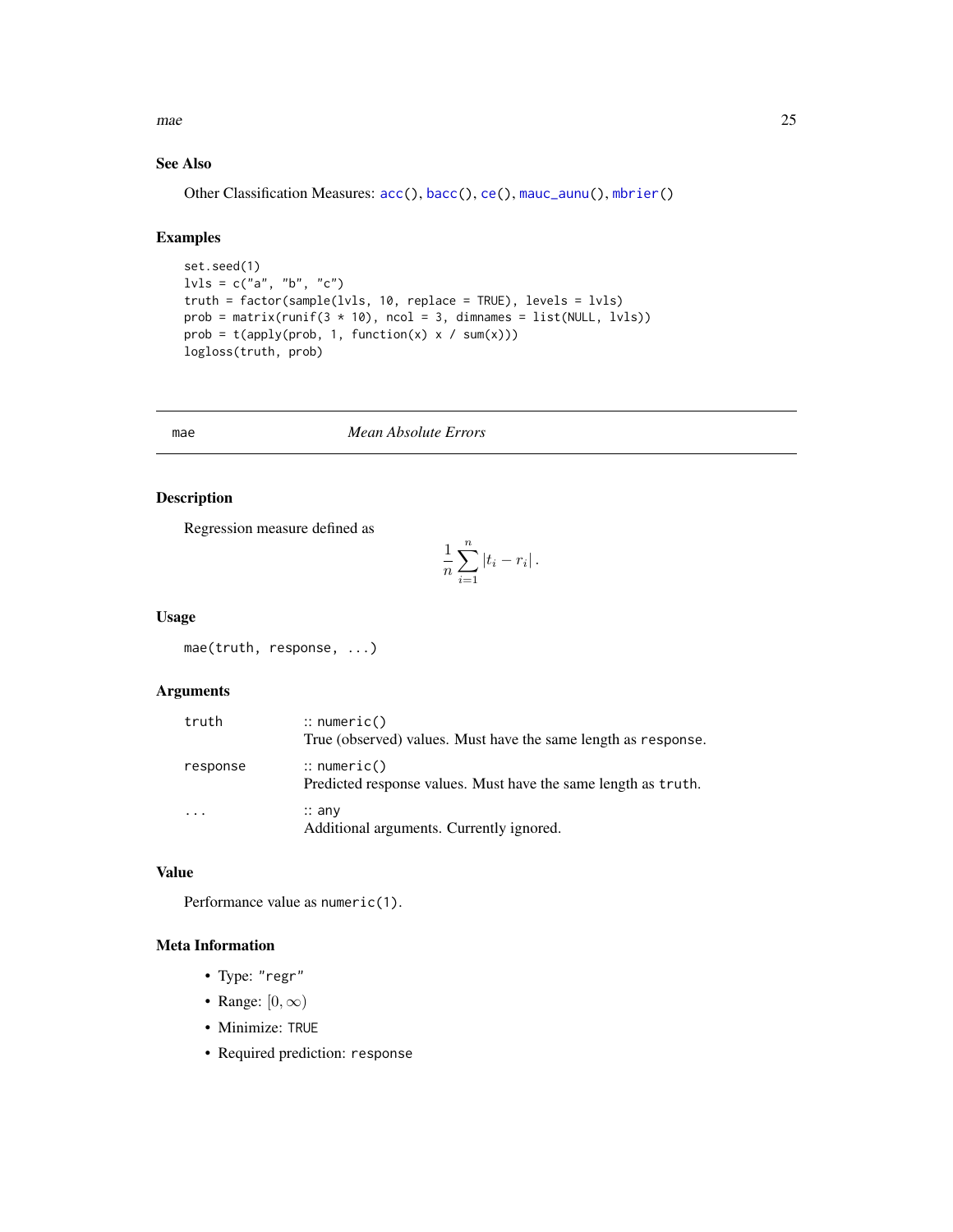<span id="page-24-0"></span> $\Box$ mae  $\Box$ 25

### See Also

Other Classification Measures: [acc\(](#page-3-1)), [bacc\(](#page-5-1)), [ce\(](#page-9-1)), [mauc\\_aunu\(](#page-26-1)), [mbrier\(](#page-30-1))

#### Examples

```
set.seed(1)
l\nu l s = c("a", "b", "c")truth = factor(sample(lvls, 10, replace = TRUE), levels = lvls)
prob = matrix(runif(3 * 10), ncol = 3, dimnames = list(NULL, lvls))
prob = t(apply(prob, 1, function(x) x / sum(x)))logloss(truth, prob)
```
<span id="page-24-1"></span>

#### mae *Mean Absolute Errors*

### Description

Regression measure defined as

$$
\frac{1}{n}\sum_{i=1}^n |t_i - r_i|.
$$

#### Usage

mae(truth, response, ...)

### Arguments

| truth    | $\therefore$ numeric()<br>True (observed) values. Must have the same length as response. |
|----------|------------------------------------------------------------------------------------------|
| response | $\therefore$ numeric()<br>Predicted response values. Must have the same length as truth. |
|          | $\therefore$ any<br>Additional arguments. Currently ignored.                             |

### Value

Performance value as numeric(1).

- Type: "regr"
- Range:  $[0, \infty)$
- Minimize: TRUE
- Required prediction: response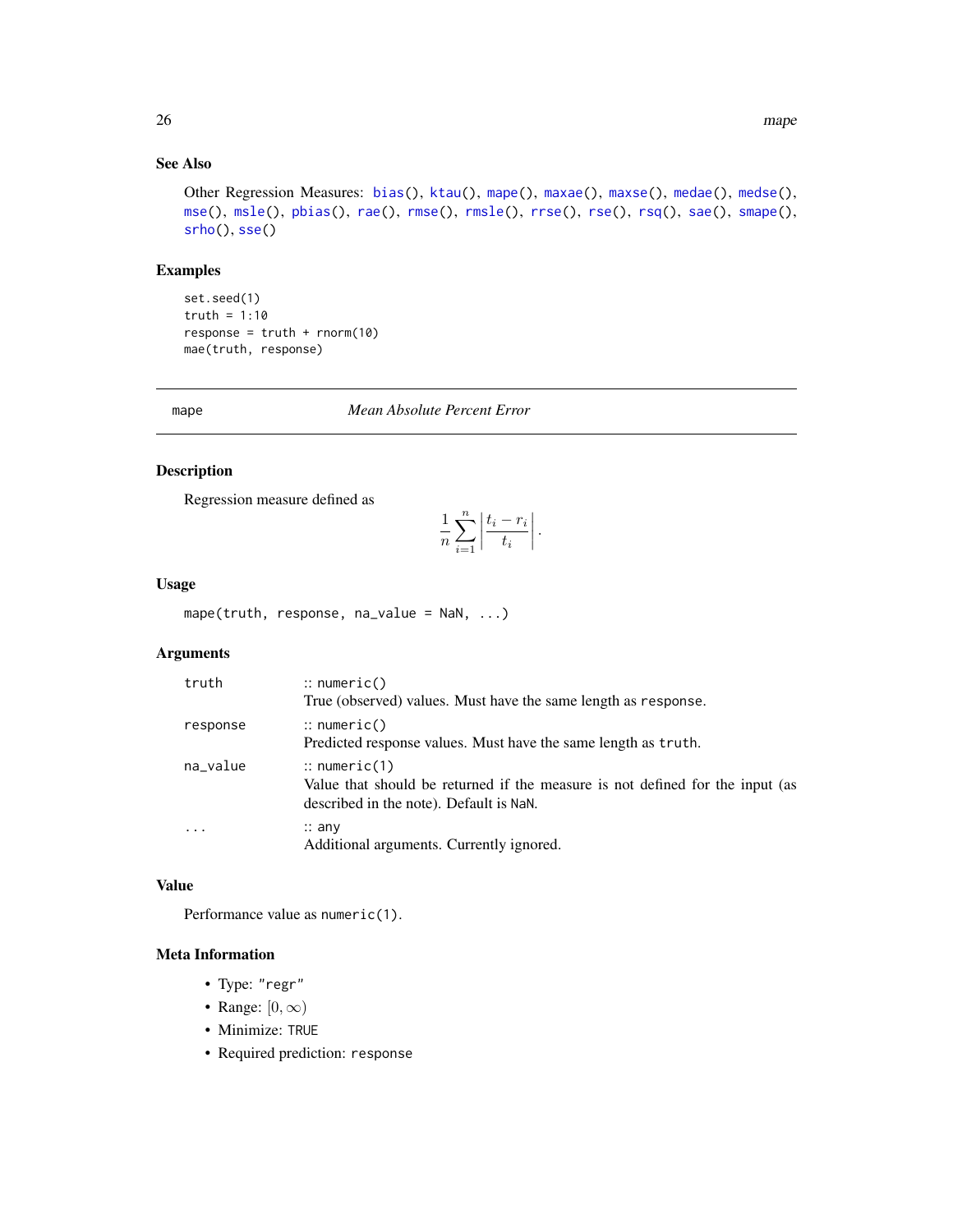### See Also

```
Other Regression Measures: bias(), ktau(), mape(), maxae(), maxse(), medae(), medse(),
mse(), msle(), pbias(), rae(), rmse(), rmsle(), rrse(), rse(), rsq(), sae(), smape(),
srho(), sse()
```
#### Examples

```
set.seed(1)
truth = 1:10
response = truth + rnorm(10)mae(truth, response)
```
#### <span id="page-25-1"></span>mape *Mean Absolute Percent Error*

### Description

Regression measure defined as

$$
\frac{1}{n}\sum_{i=1}^{n}\left|\frac{t_i-r_i}{t_i}\right|.
$$

#### Usage

mape(truth, response, na\_value = NaN, ...)

### Arguments

| truth     | $\therefore$ numeric()                                                                                                                              |
|-----------|-----------------------------------------------------------------------------------------------------------------------------------------------------|
|           | True (observed) values. Must have the same length as response.                                                                                      |
| response  | $\therefore$ numeric()<br>Predicted response values. Must have the same length as truth.                                                            |
|           |                                                                                                                                                     |
| na_value  | $\therefore$ numeric(1)<br>Value that should be returned if the measure is not defined for the input (as<br>described in the note). Default is NaN. |
| $\ddotsc$ | $\therefore$ any<br>Additional arguments. Currently ignored.                                                                                        |

### Value

Performance value as numeric(1).

- Type: "regr"
- Range:  $[0, \infty)$
- Minimize: TRUE
- Required prediction: response

<span id="page-25-0"></span>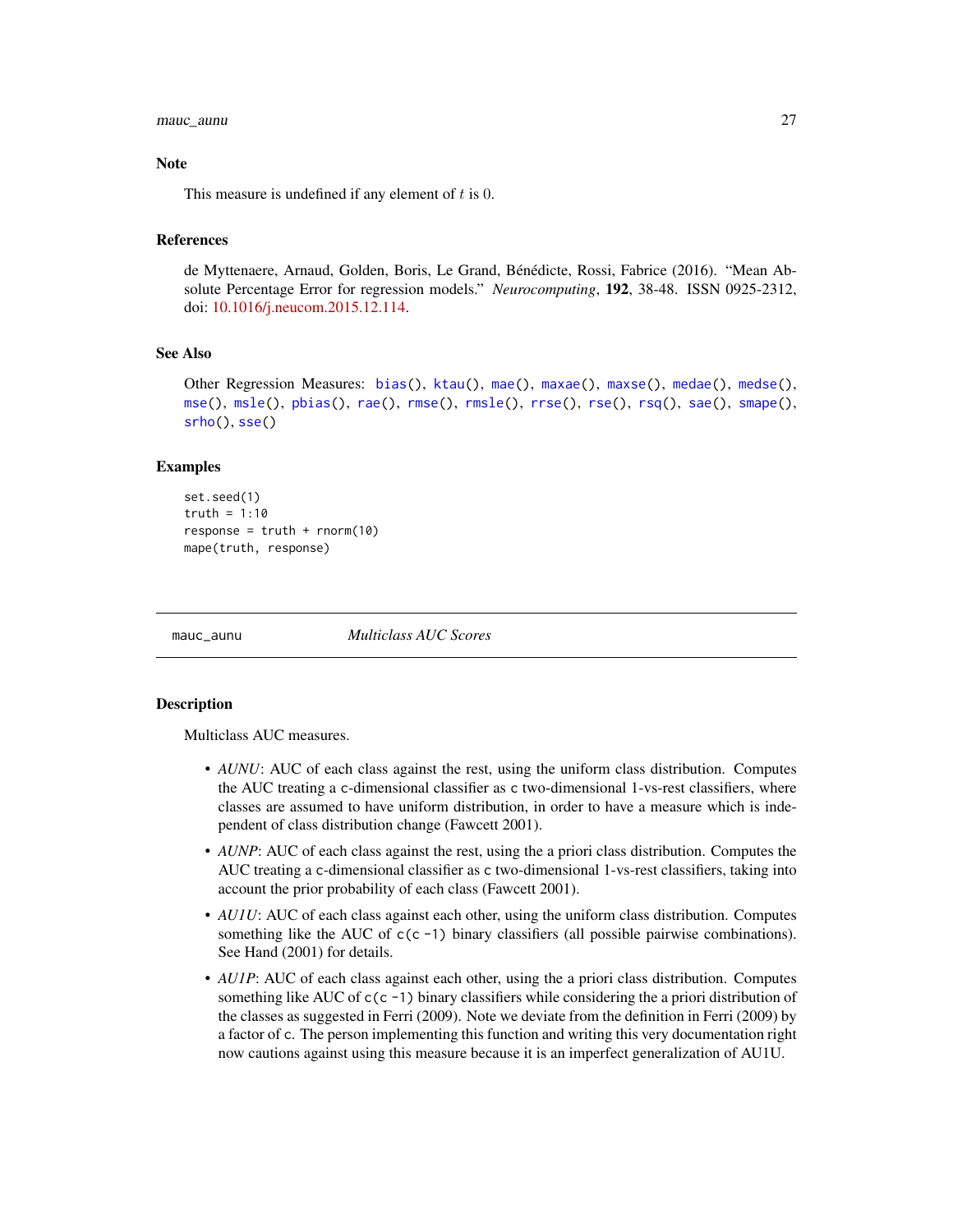#### <span id="page-26-0"></span>mauc\_aunu 27

#### **Note**

This measure is undefined if any element of  $t$  is 0.

### References

de Myttenaere, Arnaud, Golden, Boris, Le Grand, Bénédicte, Rossi, Fabrice (2016). "Mean Absolute Percentage Error for regression models." *Neurocomputing*, 192, 38-48. ISSN 0925-2312, doi: [10.1016/j.neucom.2015.12.114.](https://doi.org/10.1016/j.neucom.2015.12.114)

#### See Also

Other Regression Measures: [bias\(](#page-8-1)), [ktau\(](#page-22-1)), [mae\(](#page-24-1)), [maxae\(](#page-28-1)), [maxse\(](#page-29-1)), [medae\(](#page-33-1)), [medse\(](#page-34-1)), [mse\(](#page-35-1)), [msle\(](#page-36-1)), [pbias\(](#page-38-1)), [rae\(](#page-42-1)), [rmse\(](#page-43-1)), [rmsle\(](#page-44-1)), [rrse\(](#page-45-1)), [rse\(](#page-47-1)), [rsq\(](#page-48-1)), [sae\(](#page-49-1)), [smape\(](#page-50-1)), [srho\(](#page-51-1)), [sse\(](#page-52-1))

#### Examples

```
set.seed(1)
truth = 1:10response = truth + rnorm(10)mape(truth, response)
```
<span id="page-26-1"></span>

mauc\_aunu *Multiclass AUC Scores*

#### **Description**

Multiclass AUC measures.

- *AUNU*: AUC of each class against the rest, using the uniform class distribution. Computes the AUC treating a c-dimensional classifier as c two-dimensional 1-vs-rest classifiers, where classes are assumed to have uniform distribution, in order to have a measure which is independent of class distribution change (Fawcett 2001).
- *AUNP*: AUC of each class against the rest, using the a priori class distribution. Computes the AUC treating a c-dimensional classifier as c two-dimensional 1-vs-rest classifiers, taking into account the prior probability of each class (Fawcett 2001).
- *AU1U*: AUC of each class against each other, using the uniform class distribution. Computes something like the AUC of  $c(c - 1)$  binary classifiers (all possible pairwise combinations). See Hand (2001) for details.
- *AU1P*: AUC of each class against each other, using the a priori class distribution. Computes something like AUC of  $c(c -1)$  binary classifiers while considering the a priori distribution of the classes as suggested in Ferri (2009). Note we deviate from the definition in Ferri (2009) by a factor of c. The person implementing this function and writing this very documentation right now cautions against using this measure because it is an imperfect generalization of AU1U.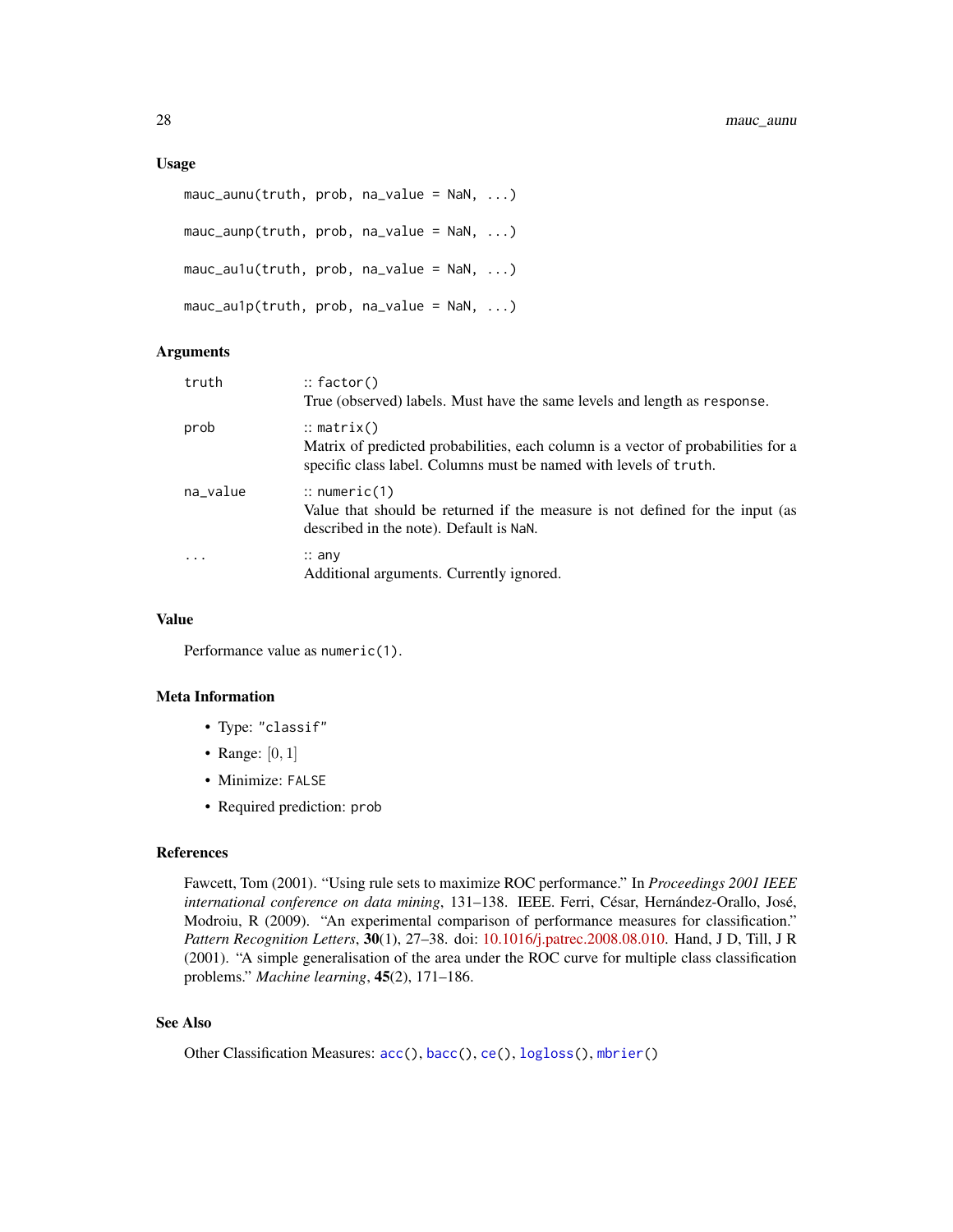#### <span id="page-27-0"></span>Usage

```
mauc_aunu(truth, prob, na_value = NaN, ...)mauc_aunp(truth, prob, na_value = NaN, ...)
mauc_aulu(truth, prob, na_value = NaN, ...)mauc_aulp(truth, prob, na_value = NaN, ...)
```
#### **Arguments**

| truth    | $::$ factor()                                                                                                                                                                   |
|----------|---------------------------------------------------------------------------------------------------------------------------------------------------------------------------------|
|          | True (observed) labels. Must have the same levels and length as response.                                                                                                       |
| prob     | $\therefore$ matrix()<br>Matrix of predicted probabilities, each column is a vector of probabilities for a<br>specific class label. Columns must be named with levels of truth. |
| na_value | $\therefore$ numeric(1)<br>Value that should be returned if the measure is not defined for the input (as<br>described in the note). Default is NaN.                             |
|          | $\therefore$ any<br>Additional arguments. Currently ignored.                                                                                                                    |

#### Value

Performance value as numeric(1).

#### Meta Information

- Type: "classif"
- Range:  $[0, 1]$
- Minimize: FALSE
- Required prediction: prob

#### References

Fawcett, Tom (2001). "Using rule sets to maximize ROC performance." In *Proceedings 2001 IEEE international conference on data mining*, 131–138. IEEE. Ferri, César, Hernández-Orallo, José, Modroiu, R (2009). "An experimental comparison of performance measures for classification." *Pattern Recognition Letters*, 30(1), 27–38. doi: [10.1016/j.patrec.2008.08.010.](https://doi.org/10.1016/j.patrec.2008.08.010) Hand, J D, Till, J R (2001). "A simple generalisation of the area under the ROC curve for multiple class classification problems." *Machine learning*, 45(2), 171–186.

### See Also

Other Classification Measures: [acc\(](#page-3-1)), [bacc\(](#page-5-1)), [ce\(](#page-9-1)), [logloss\(](#page-23-1)), [mbrier\(](#page-30-1))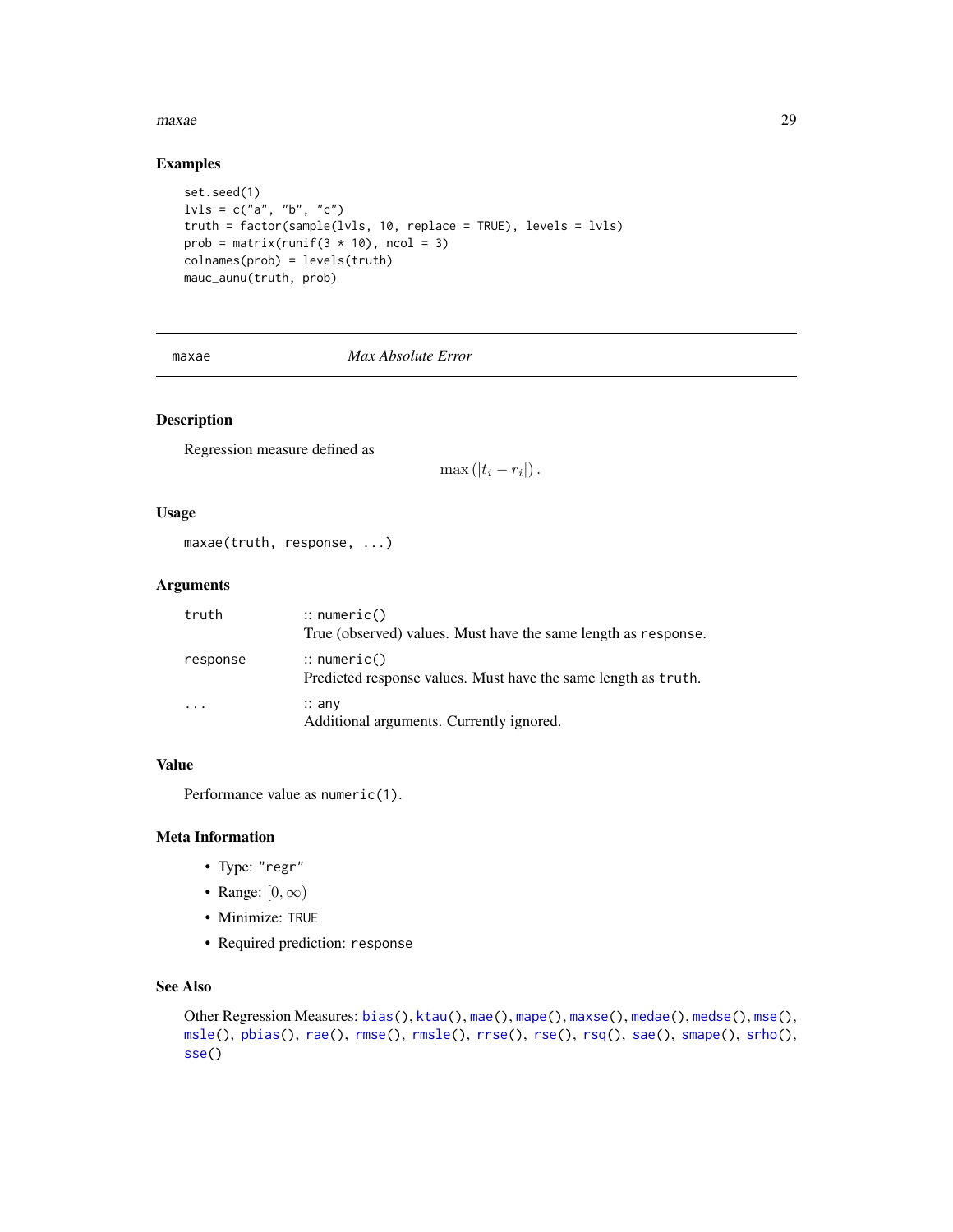#### <span id="page-28-0"></span>maxae 29

### Examples

```
set.seed(1)
l\nu l s = c("a", "b", "c")truth = factor(sample(lvls, 10, replace = TRUE), levels = lvls)
prob = matrix(runif(3 \times 10), ncol = 3)
colnames(prob) = levels(truth)
mauc_aunu(truth, prob)
```
<span id="page-28-1"></span>

maxae *Max Absolute Error*

### Description

Regression measure defined as

 $\max\left(|t_i-r_i|\right).$ 

#### Usage

maxae(truth, response, ...)

#### Arguments

| truth    | $\therefore$ numeric()<br>True (observed) values. Must have the same length as response. |
|----------|------------------------------------------------------------------------------------------|
| response | $\therefore$ numeric()<br>Predicted response values. Must have the same length as truth. |
| .        | $\therefore$ any<br>Additional arguments. Currently ignored.                             |

#### Value

Performance value as numeric(1).

#### Meta Information

- Type: "regr"
- Range:  $[0, \infty)$
- Minimize: TRUE
- Required prediction: response

#### See Also

```
Other Regression Measures: bias(), ktau(), mae(), mape(), maxse(), medae(), medse(), mse(),
msle(), pbias(), rae(), rmse(), rmsle(), rrse(), rse(), rsq(), sae(), smape(), srho(),
sse()
```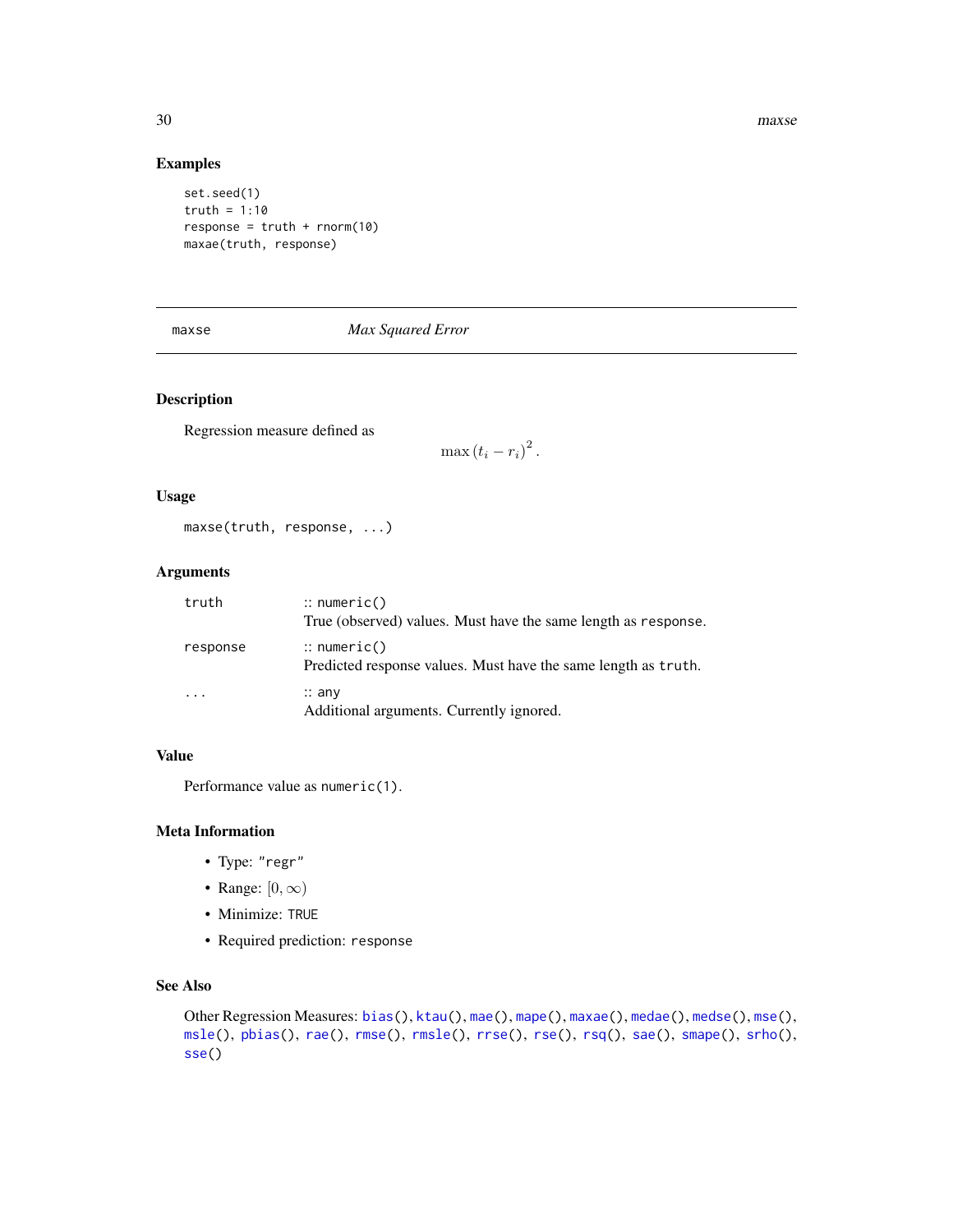<span id="page-29-0"></span>30 maxse

#### Examples

set.seed(1) truth =  $1:10$ response =  $truth + rnorm(10)$ maxae(truth, response)

<span id="page-29-1"></span>maxse *Max Squared Error*

### Description

Regression measure defined as

 $\max{(t_i-r_i)}^2$ .

#### Usage

```
maxse(truth, response, ...)
```
#### Arguments

| truth    | $\therefore$ numeric()<br>True (observed) values. Must have the same length as response. |
|----------|------------------------------------------------------------------------------------------|
| response | $\therefore$ numeric()<br>Predicted response values. Must have the same length as truth. |
| .        | $\therefore$ any<br>Additional arguments. Currently ignored.                             |

### Value

Performance value as numeric(1).

### Meta Information

- Type: "regr"
- Range:  $[0, \infty)$
- Minimize: TRUE
- Required prediction: response

### See Also

```
Other Regression Measures: bias(), ktau(), mae(), mape(), maxae(), medae(), medse(), mse(),
msle(), pbias(), rae(), rmse(), rmsle(), rrse(), rse(), rsq(), sae(), smape(), srho(),
sse()
```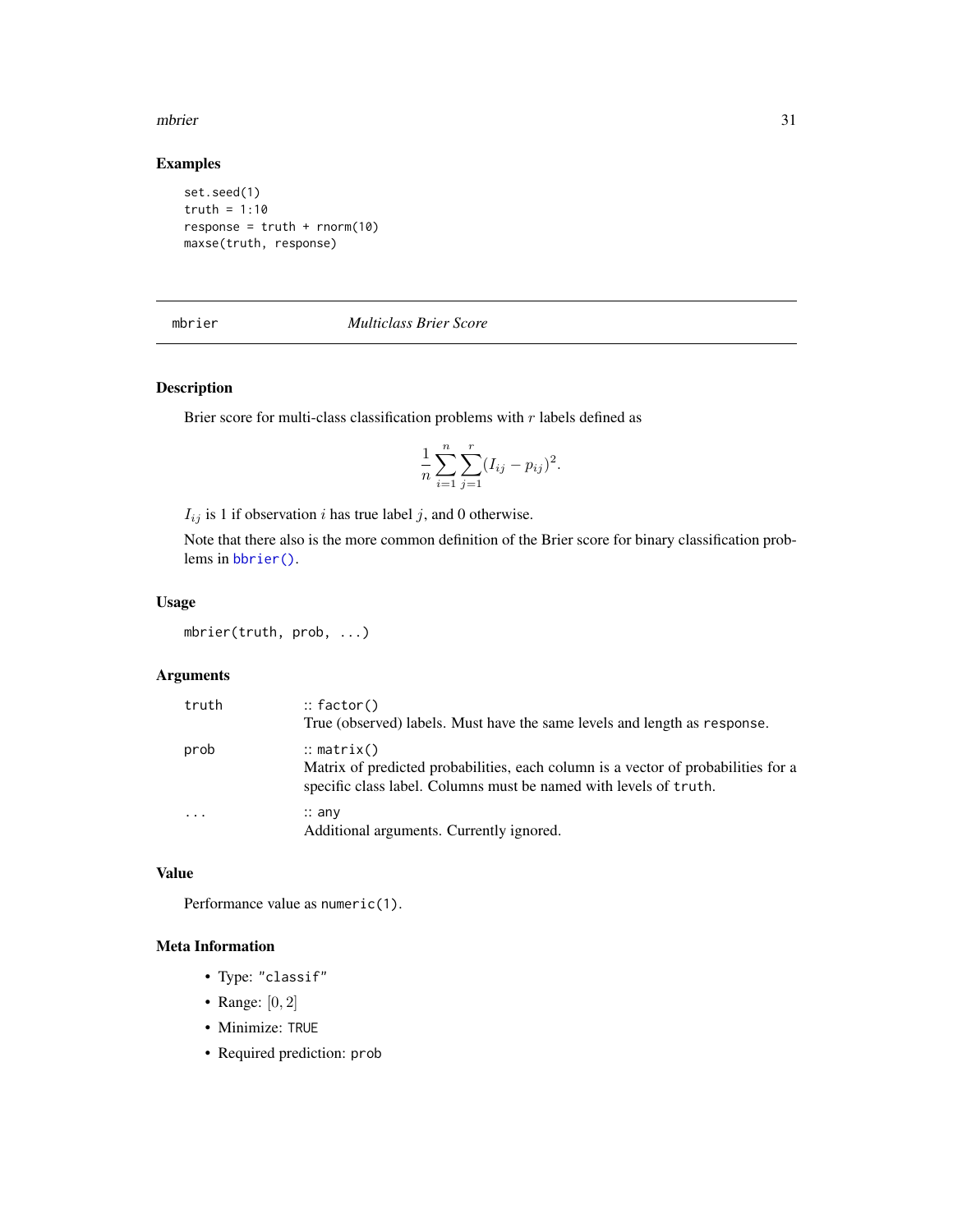#### <span id="page-30-0"></span>mbrier 31

### Examples

```
set.seed(1)
truth = 1:10response = truth + rnorm(10)maxse(truth, response)
```
<span id="page-30-1"></span>

mbrier *Multiclass Brier Score*

#### Description

Brier score for multi-class classification problems with  $r$  labels defined as

$$
\frac{1}{n}\sum_{i=1}^{n}\sum_{j=1}^{r}(I_{ij}-p_{ij})^{2}.
$$

 $I_{ij}$  is 1 if observation i has true label j, and 0 otherwise.

Note that there also is the more common definition of the Brier score for binary classification problems in [bbrier\(\)](#page-6-1).

#### Usage

mbrier(truth, prob, ...)

### Arguments

| truth                   | $::$ factor()<br>True (observed) labels. Must have the same levels and length as response.                                                                                      |
|-------------------------|---------------------------------------------------------------------------------------------------------------------------------------------------------------------------------|
| prob                    | $\therefore$ matrix()<br>Matrix of predicted probabilities, each column is a vector of probabilities for a<br>specific class label. Columns must be named with levels of truth. |
| $\cdot$ $\cdot$ $\cdot$ | $\therefore$ any<br>Additional arguments. Currently ignored.                                                                                                                    |

### Value

Performance value as numeric(1).

- Type: "classif"
- Range:  $[0, 2]$
- Minimize: TRUE
- Required prediction: prob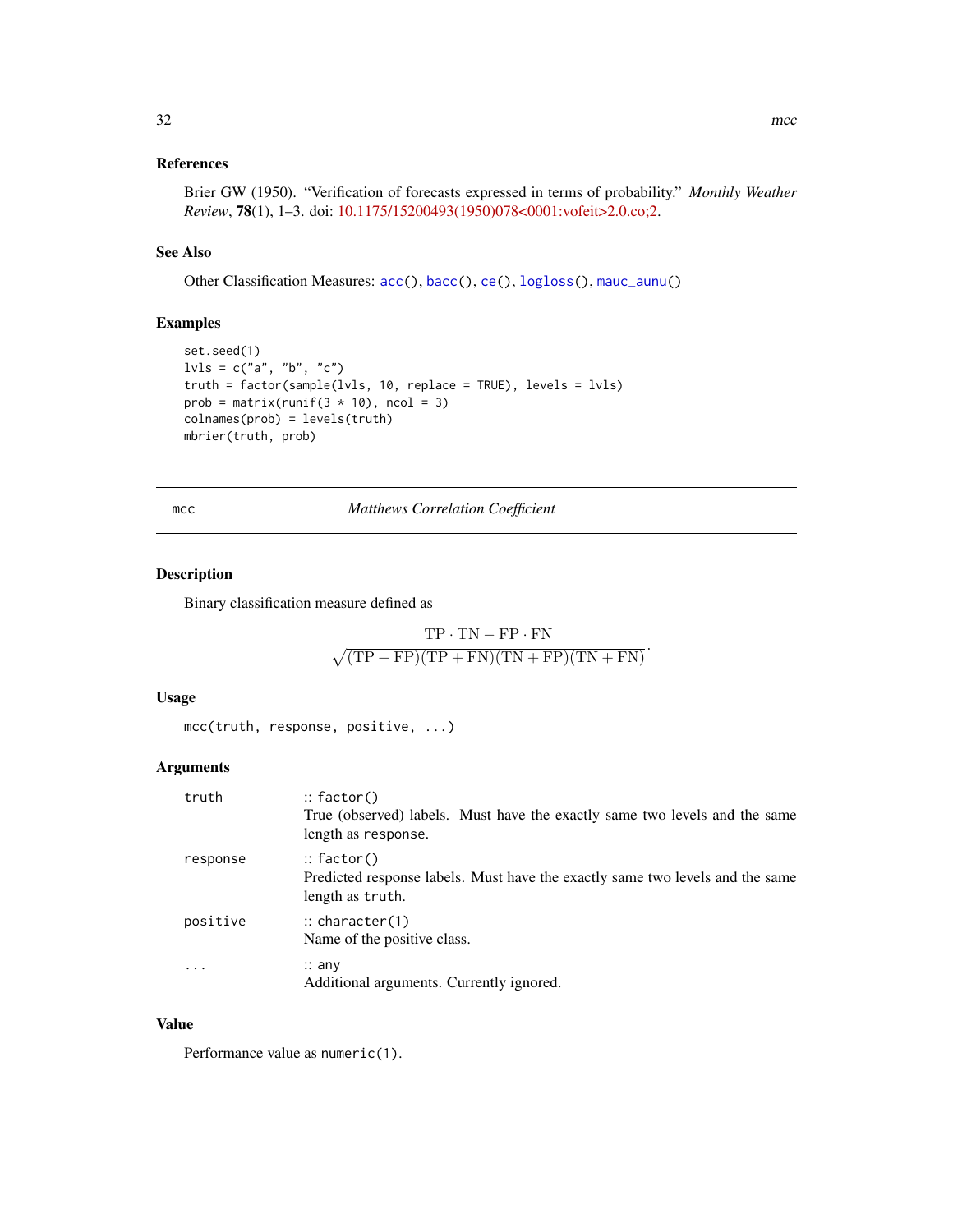### <span id="page-31-0"></span>References

Brier GW (1950). "Verification of forecasts expressed in terms of probability." *Monthly Weather Review*, 78(1), 1–3. doi: [10.1175/15200493\(1950\)078<0001:vofeit>2.0.co;2.](https://doi.org/10.1175/1520-0493(1950)078<0001:vofeit>2.0.co;2)

### See Also

Other Classification Measures: [acc\(](#page-3-1)), [bacc\(](#page-5-1)), [ce\(](#page-9-1)), [logloss\(](#page-23-1)), [mauc\\_aunu\(](#page-26-1))

#### Examples

```
set.seed(1)
l\nu l s = c("a", "b", "c")truth = factor(sample(lvls, 10, replace = TRUE), levels = lvls)
prob = matrix(runif(3 \times 10), ncol = 3)
colnames(prob) = levels(truth)
mbrier(truth, prob)
```
mcc *Matthews Correlation Coefficient*

#### Description

Binary classification measure defined as

$$
\frac{\text{TP}\cdot\text{TN} - \text{FP}\cdot\text{FN}}{\sqrt{(\text{TP} + \text{FP})(\text{TP} + \text{FN})(\text{TN} + \text{FP})(\text{TN} + \text{FN})}}
$$

.

#### Usage

mcc(truth, response, positive, ...)

#### Arguments

| truth    | $\therefore$ factor()<br>True (observed) labels. Must have the exactly same two levels and the same<br>length as response. |
|----------|----------------------------------------------------------------------------------------------------------------------------|
| response | $\therefore$ factor()<br>Predicted response labels. Must have the exactly same two levels and the same<br>length as truth. |
| positive | $\therefore$ character(1)<br>Name of the positive class.                                                                   |
| .        | $\therefore$ any<br>Additional arguments. Currently ignored.                                                               |

#### Value

Performance value as numeric(1).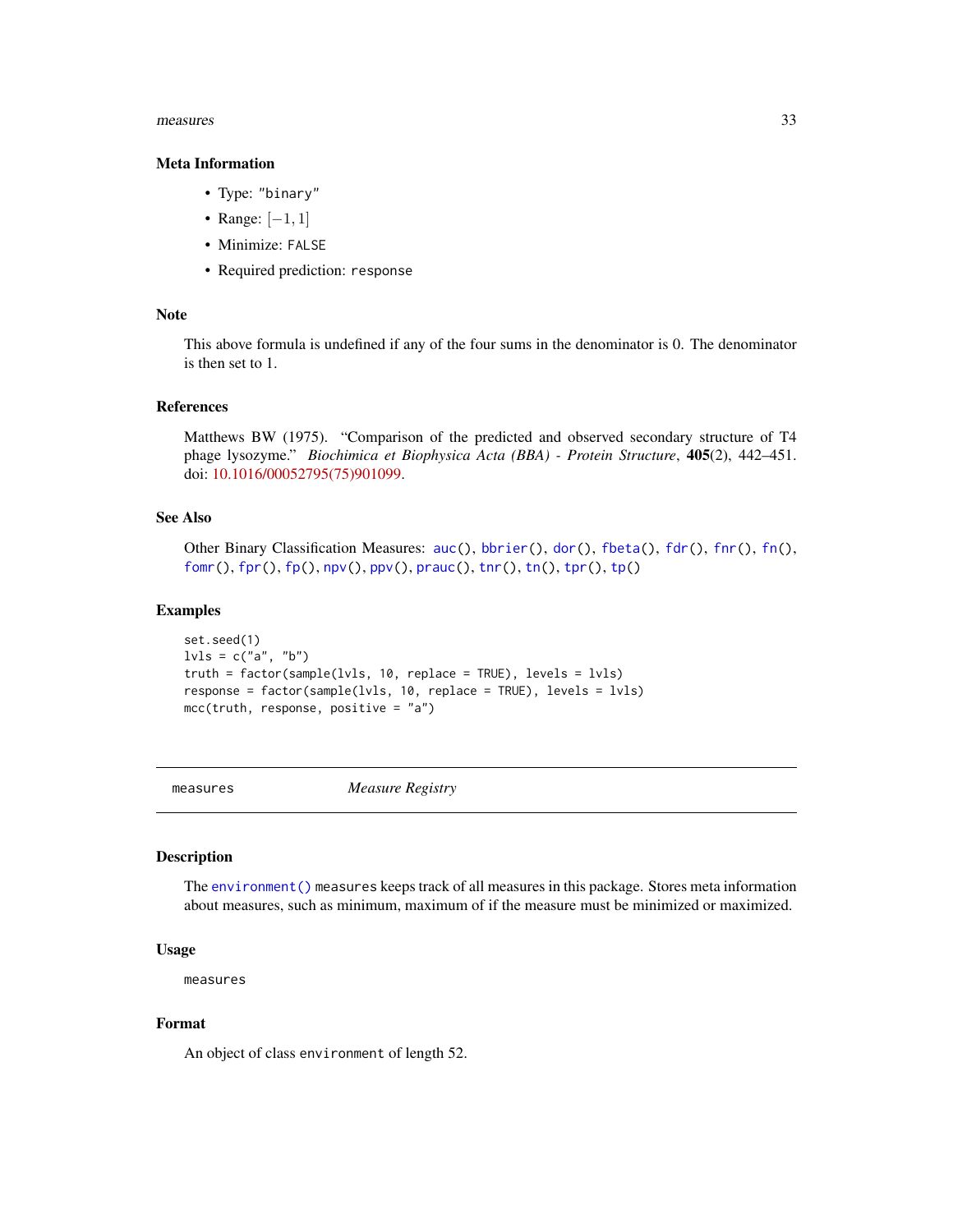#### <span id="page-32-0"></span>measures 33

#### Meta Information

- Type: "binary"
- Range: [−1, 1]
- Minimize: FALSE
- Required prediction: response

#### Note

This above formula is undefined if any of the four sums in the denominator is 0. The denominator is then set to 1.

#### References

Matthews BW (1975). "Comparison of the predicted and observed secondary structure of T4 phage lysozyme." *Biochimica et Biophysica Acta (BBA) - Protein Structure*, 405(2), 442–451. doi: [10.1016/00052795\(75\)901099.](https://doi.org/10.1016/0005-2795(75)90109-9)

#### See Also

Other Binary Classification Measures: [auc\(](#page-4-1)), [bbrier\(](#page-6-1)), [dor\(](#page-11-1)), [fbeta\(](#page-12-1)), [fdr\(](#page-14-1)), [fnr\(](#page-16-1)), [fn\(](#page-15-1)), [fomr\(](#page-18-1)), [fpr\(](#page-20-1)), [fp\(](#page-19-1)), [npv\(](#page-37-1)), [ppv\(](#page-39-1)), [prauc\(](#page-41-1)), [tnr\(](#page-54-1)), [tn\(](#page-53-1)), [tpr\(](#page-57-1)), [tp\(](#page-55-1))

#### Examples

```
set.seed(1)
lvls = c("a", "b")truth = factor(sample(lvls, 10, replace = TRUE), levels = lvls)
response = factor(sample(lvls, 10, replace = TRUE), levels = lvls)
mcc(truth, response, positive = "a")
```
measures *Measure Registry*

#### Description

The [environment\(\)](#page-0-0) measures keeps track of all measures in this package. Stores meta information about measures, such as minimum, maximum of if the measure must be minimized or maximized.

#### Usage

measures

#### Format

An object of class environment of length 52.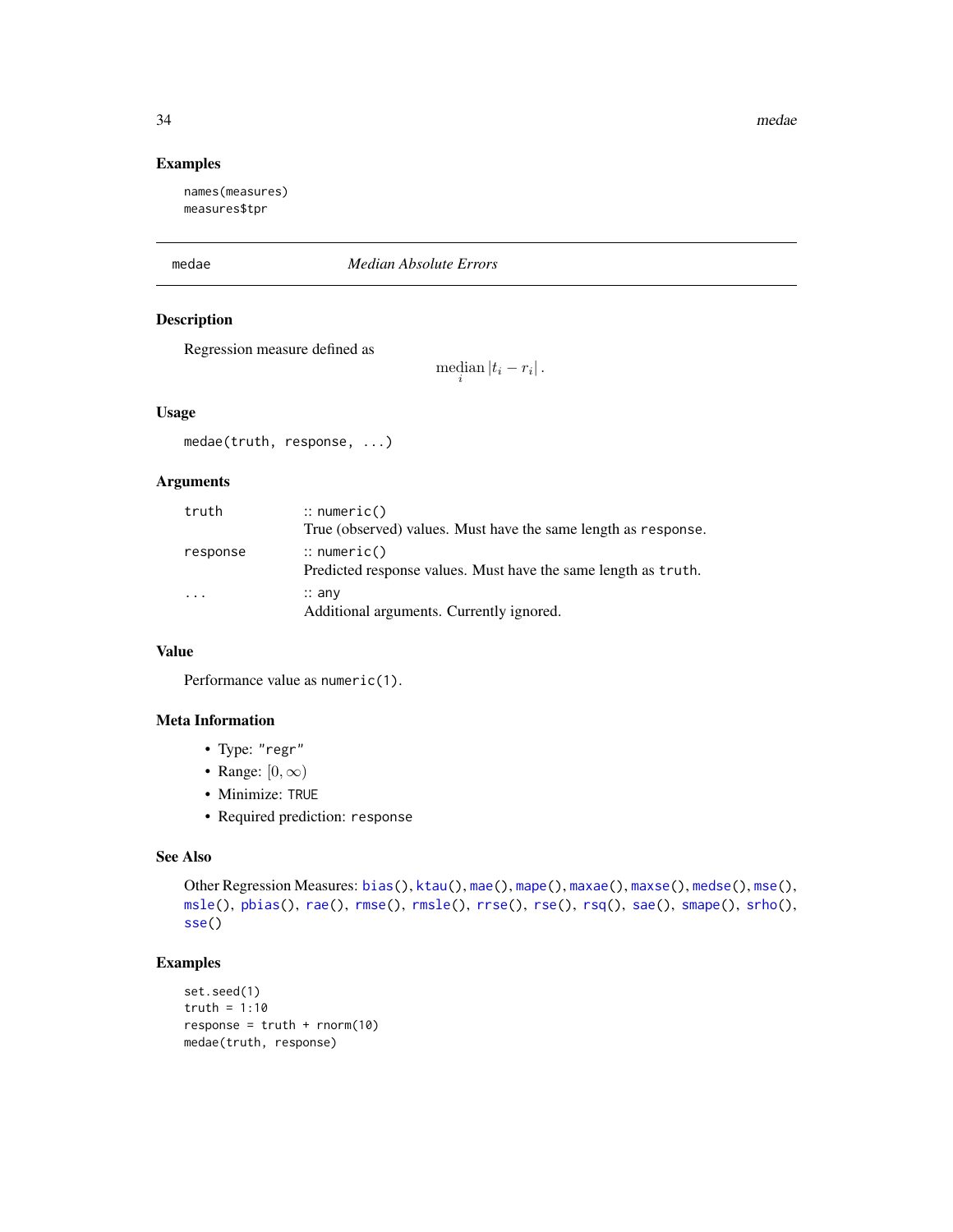#### Examples

names(measures) measures\$tpr

#### <span id="page-33-1"></span>medae *Median Absolute Errors*

#### Description

Regression measure defined as

median  $|t_i - r_i|$ .

#### Usage

medae(truth, response, ...)

### Arguments

| truth                   | $\therefore$ numeric()<br>True (observed) values. Must have the same length as response. |
|-------------------------|------------------------------------------------------------------------------------------|
| response                | $\therefore$ numeric()<br>Predicted response values. Must have the same length as truth. |
| $\cdot$ $\cdot$ $\cdot$ | $\therefore$ any<br>Additional arguments. Currently ignored.                             |

### Value

Performance value as numeric(1).

### Meta Information

- Type: "regr"
- Range:  $[0, \infty)$
- Minimize: TRUE
- Required prediction: response

### See Also

```
bias(ktau(mae(mape(maxae(maxse(medse(mse(),
msle(), pbias(), rae(), rmse(), rmsle(), rrse(), rse(), rsq(), sae(), smape(), srho(),
sse()
```

```
set.seed(1)
truth = 1:10
response = truth + rnorm(10)medae(truth, response)
```
<span id="page-33-0"></span>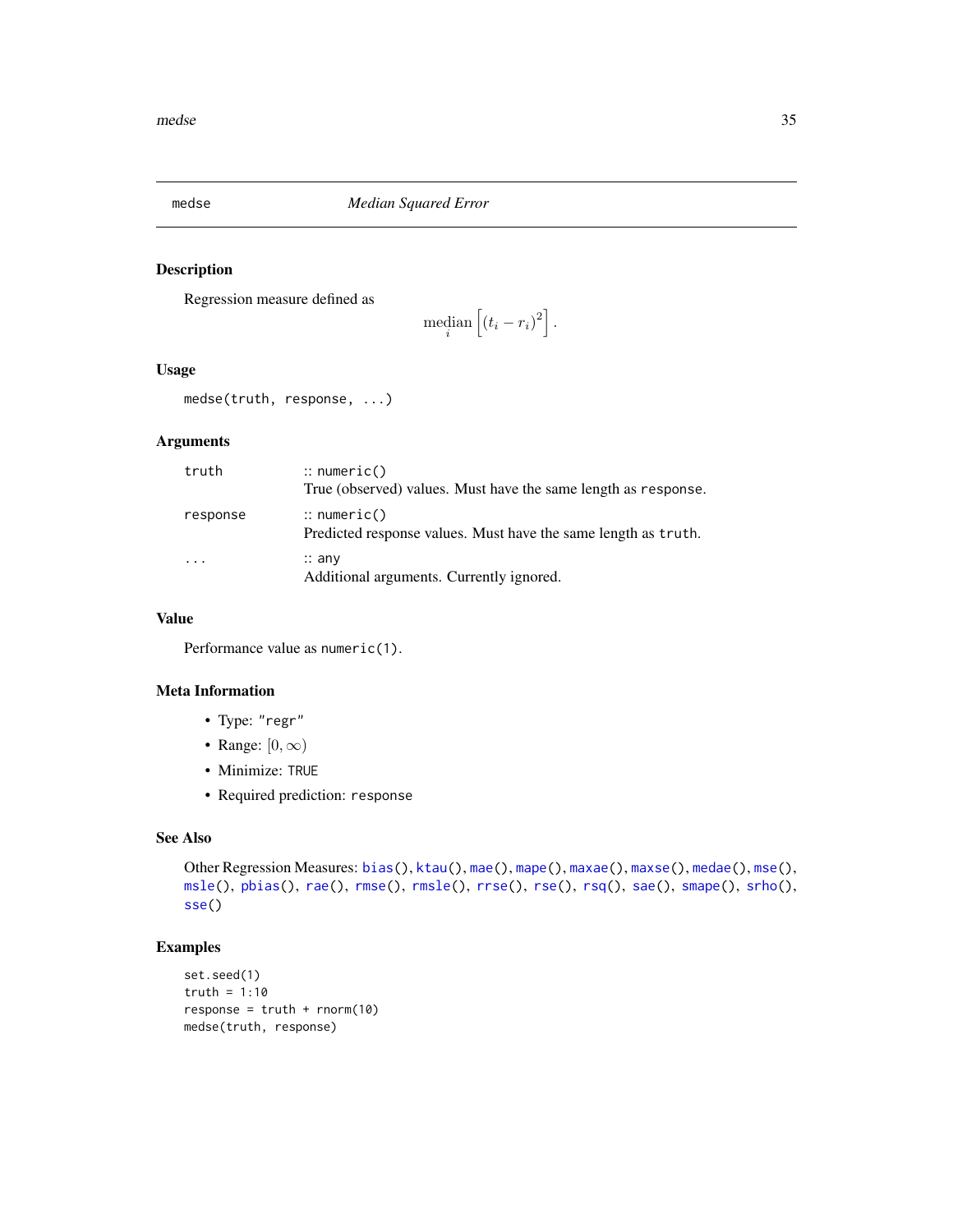<span id="page-34-1"></span><span id="page-34-0"></span>

### Description

Regression measure defined as

$$
\operatorname{median}\left[\left(t_i-r_i\right)^2\right].
$$

#### Usage

medse(truth, response, ...)

### Arguments

| truth    | $\therefore$ numeric()<br>True (observed) values. Must have the same length as response. |
|----------|------------------------------------------------------------------------------------------|
| response | $\therefore$ numeric()<br>Predicted response values. Must have the same length as truth. |
|          | $\therefore$ any<br>Additional arguments. Currently ignored.                             |

#### Value

Performance value as numeric(1).

#### Meta Information

- Type: "regr"
- Range:  $[0, \infty)$
- Minimize: TRUE
- Required prediction: response

#### See Also

```
Other Regression Measures: bias(), ktau(), mae(), mape(), maxae(), maxse(), medae(), mse(),
msle(), pbias(), rae(), rmse(), rmsle(), rrse(), rse(), rsq(), sae(), smape(), srho(),
sse()
```

```
set.seed(1)
truth = 1:10
response = truth + rnorm(10)medse(truth, response)
```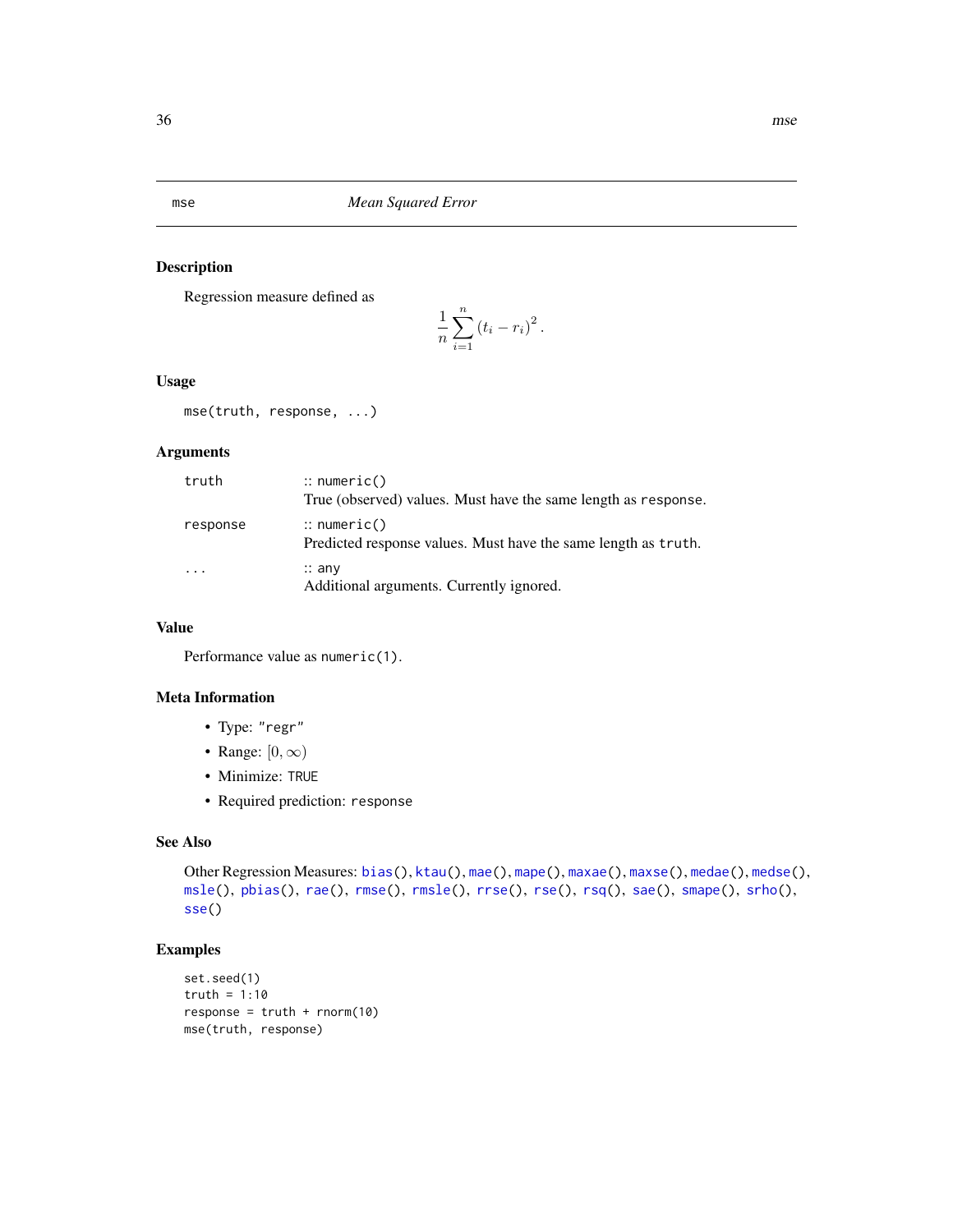<span id="page-35-1"></span><span id="page-35-0"></span>mse *Mean Squared Error*

#### Description

Regression measure defined as

$$
\frac{1}{n}\sum_{i=1}^n (t_i - r_i)^2.
$$

#### Usage

mse(truth, response, ...)

### Arguments

| truth                   | $\therefore$ numeric()<br>True (observed) values. Must have the same length as response. |
|-------------------------|------------------------------------------------------------------------------------------|
| response                | $\therefore$ numeric()<br>Predicted response values. Must have the same length as truth. |
| $\cdot$ $\cdot$ $\cdot$ | $\therefore$ any<br>Additional arguments. Currently ignored.                             |

#### Value

Performance value as numeric(1).

#### Meta Information

- Type: "regr"
- Range:  $[0, \infty)$
- Minimize: TRUE
- Required prediction: response

#### See Also

```
Other Regression Measures: bias(), ktau(), mae(), mape(), maxae(), maxse(), medae(), medse(),
msle(), pbias(), rae(), rmse(), rmsle(), rrse(), rse(), rsq(), sae(), smape(), srho(),
sse()
```

```
set.seed(1)
truth = 1:10response = truth + rnorm(10)mse(truth, response)
```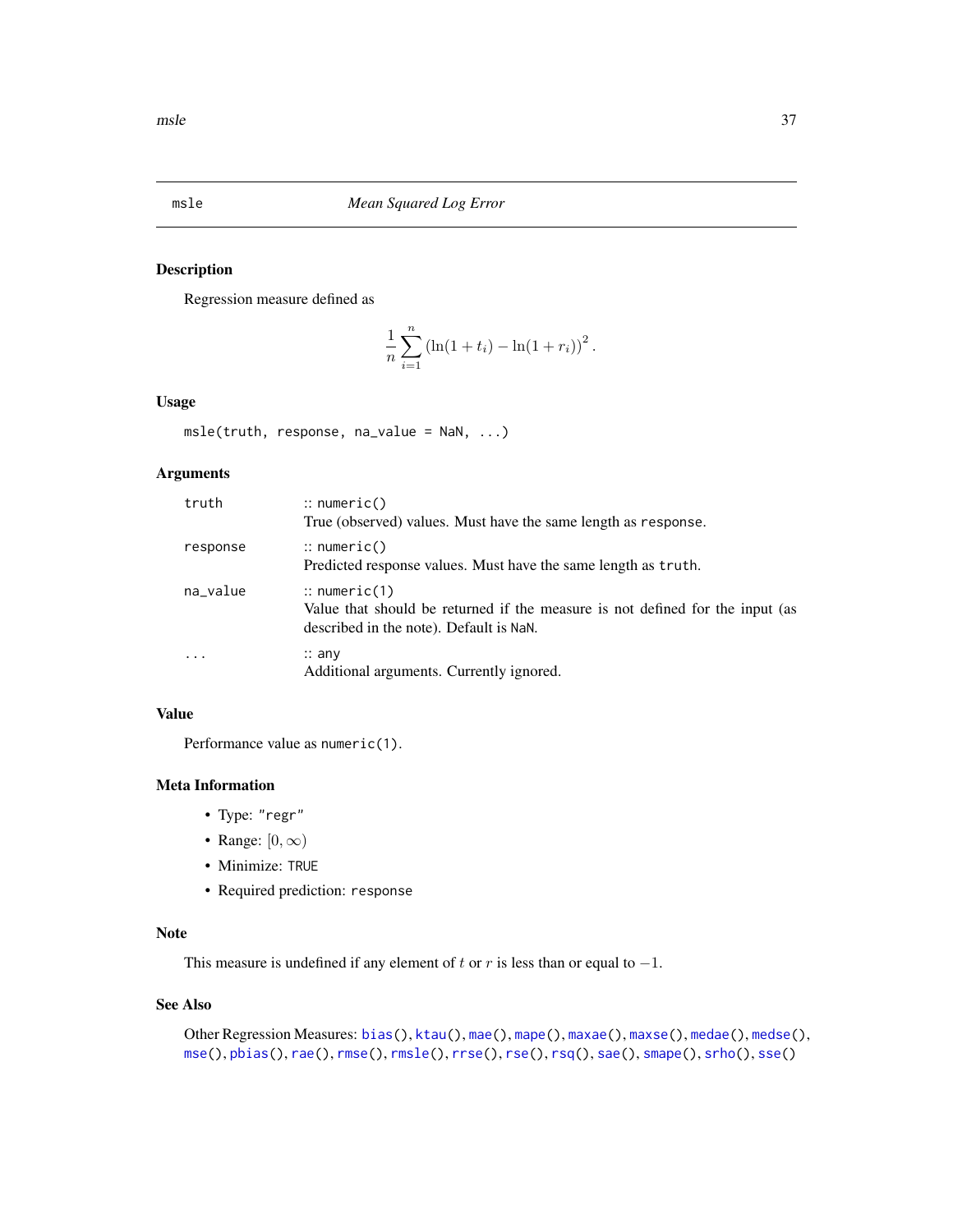<span id="page-36-1"></span><span id="page-36-0"></span>

#### Description

Regression measure defined as

$$
\frac{1}{n}\sum_{i=1}^{n} (\ln(1+t_i) - \ln(1+r_i))^2.
$$

#### Usage

msle(truth, response, na\_value = NaN, ...)

### Arguments

| truth    | $\therefore$ numeric()<br>True (observed) values. Must have the same length as response.                                                            |
|----------|-----------------------------------------------------------------------------------------------------------------------------------------------------|
| response | $\therefore$ numeric()<br>Predicted response values. Must have the same length as truth.                                                            |
| na_value | $\therefore$ numeric(1)<br>Value that should be returned if the measure is not defined for the input (as<br>described in the note). Default is NaN. |
|          | $\therefore$ any<br>Additional arguments. Currently ignored.                                                                                        |

### Value

Performance value as numeric(1).

#### Meta Information

- Type: "regr"
- Range:  $[0, \infty)$
- Minimize: TRUE
- Required prediction: response

### Note

This measure is undefined if any element of t or r is less than or equal to  $-1$ .

#### See Also

```
Other Regression Measures: bias(), ktau(), mae(), mape(), maxae(), maxse(), medae(), medse(),
mse(), pbias(), rae(), rmse(), rmsle(), rrse(), rse(), rsq(), sae(), smape(), srho(), sse()
```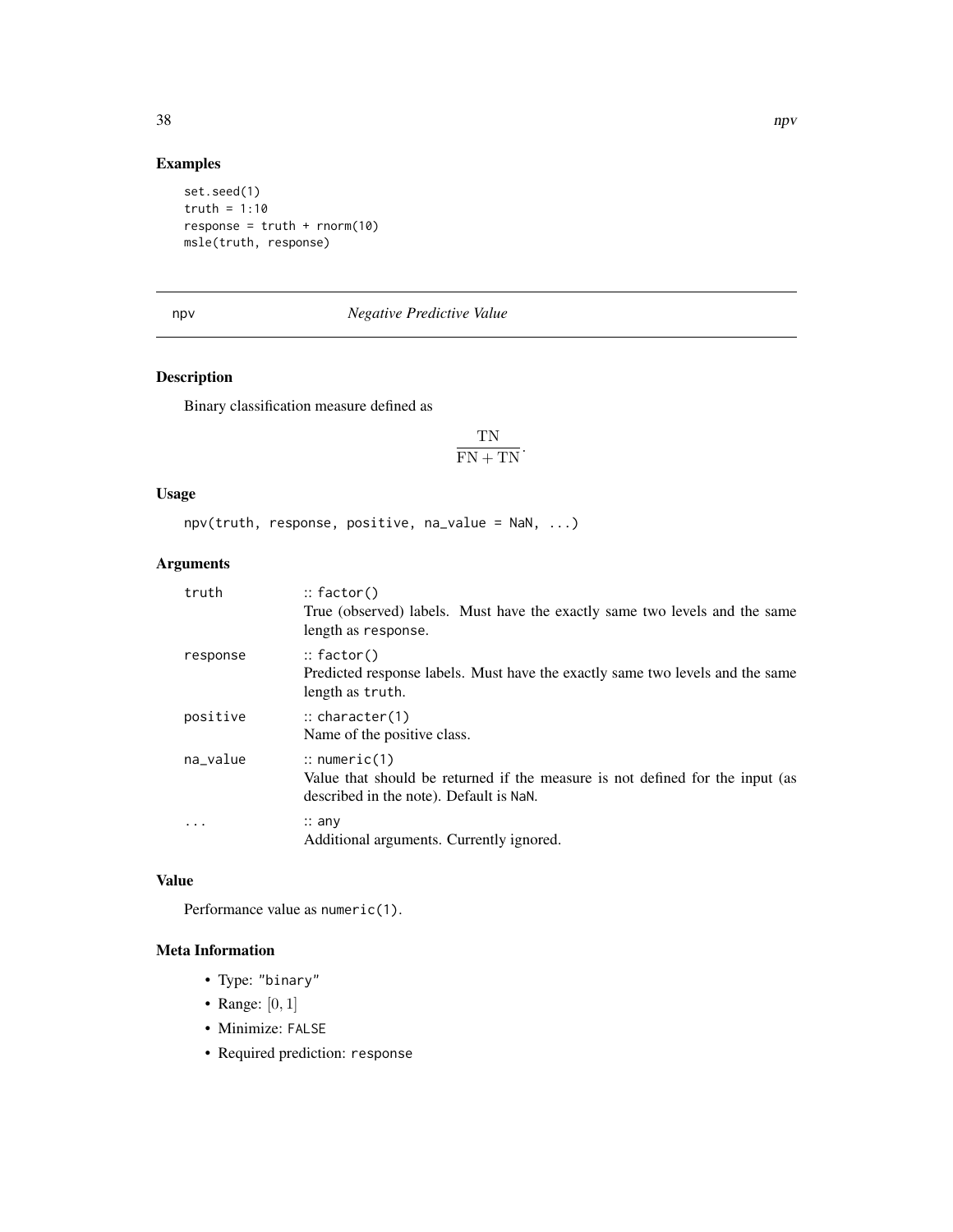### Examples

```
set.seed(1)
truth = 1:10response = truth + rnorm(10)msle(truth, response)
```
### <span id="page-37-1"></span>npv *Negative Predictive Value*

### Description

Binary classification measure defined as

$$
\frac{\text{TN}}{\text{FN} + \text{TN}}.
$$

#### Usage

npv(truth, response, positive, na\_value = NaN, ...)

### Arguments

| truth      | $::$ factor()<br>True (observed) labels. Must have the exactly same two levels and the same<br>length as response.                                  |
|------------|-----------------------------------------------------------------------------------------------------------------------------------------------------|
| response   | $::$ factor()<br>Predicted response labels. Must have the exactly same two levels and the same<br>length as truth.                                  |
| positive   | $\therefore$ character(1)<br>Name of the positive class.                                                                                            |
| na_value   | $\therefore$ numeric(1)<br>Value that should be returned if the measure is not defined for the input (as<br>described in the note). Default is NaN. |
| $\ddots$ . | $\therefore$ any<br>Additional arguments. Currently ignored.                                                                                        |

#### Value

Performance value as numeric(1).

- Type: "binary"
- Range:  $[0, 1]$
- Minimize: FALSE
- Required prediction: response

<span id="page-37-0"></span>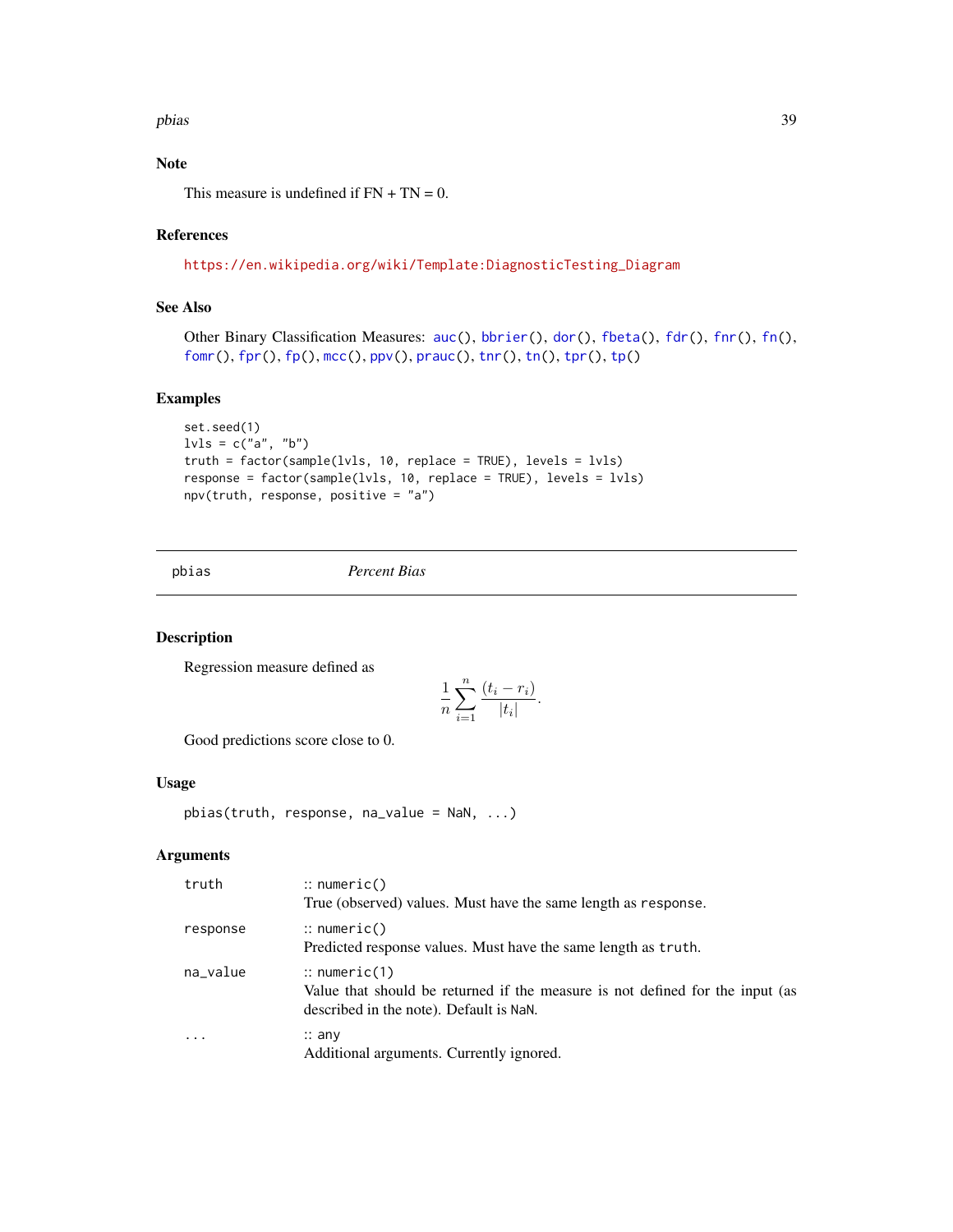#### <span id="page-38-0"></span>pbias 39

### Note

This measure is undefined if  $FN + TN = 0$ .

### References

### [https://en.wikipedia.org/wiki/Template:DiagnosticTesting\\_Diagram](https://en.wikipedia.org/wiki/Template:DiagnosticTesting_Diagram)

### See Also

```
auc(bbrier(dor(fbeta(fdr(fnr(fn(),
fomr(), fpr(), fp(), mcc(), ppv(), prauc(), tnr(), tn(), tpr(), tp()
```
#### Examples

```
set.seed(1)
lvls = c("a", "b")truth = factor(sample(lvls, 10, replace = TRUE), levels = lvls)
response = factor(sample(lvls, 10, replace = TRUE), levels = lvls)
npv(truth, response, positive = "a")
```
<span id="page-38-1"></span>pbias *Percent Bias*

#### Description

Regression measure defined as

$$
\frac{1}{n}\sum_{i=1}^n\frac{(t_i-r_i)}{|t_i|}.
$$

Good predictions score close to 0.

#### Usage

pbias(truth, response, na\_value = NaN, ...)

### Arguments

| truth                   | $\therefore$ numeric()<br>True (observed) values. Must have the same length as response.                                                            |
|-------------------------|-----------------------------------------------------------------------------------------------------------------------------------------------------|
| response                | $\therefore$ numeric()<br>Predicted response values. Must have the same length as truth.                                                            |
| na_value                | $\therefore$ numeric(1)<br>Value that should be returned if the measure is not defined for the input (as<br>described in the note). Default is NaN. |
| $\cdot$ $\cdot$ $\cdot$ | $\therefore$ any<br>Additional arguments. Currently ignored.                                                                                        |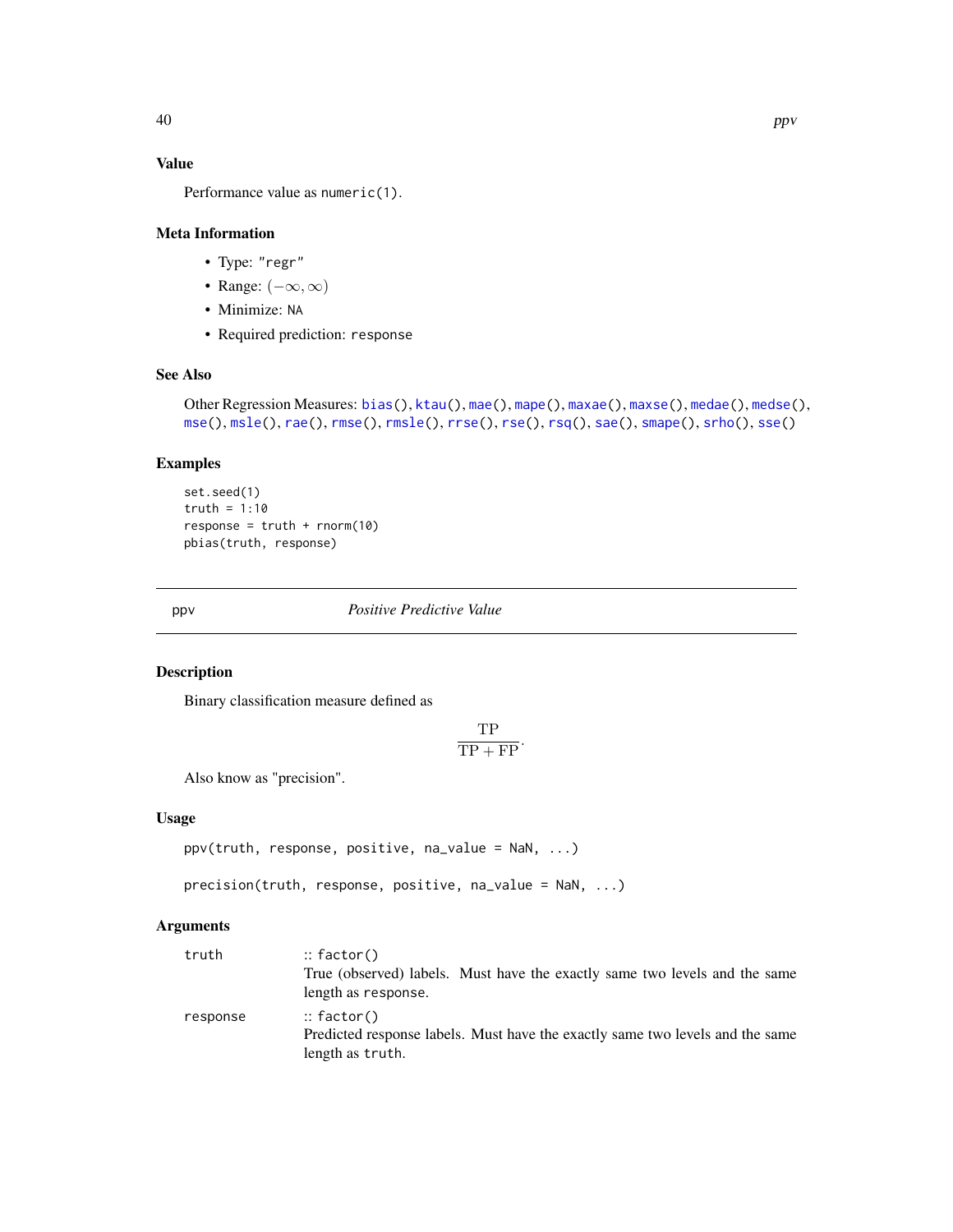### Value

Performance value as numeric(1).

#### Meta Information

- Type: "regr"
- Range:  $(-\infty, \infty)$
- Minimize: NA
- Required prediction: response

### See Also

```
bias(ktau(mae(mape(maxae(maxse(medae(medse(),
mse(), msle(), rae(), rmse(), rmsle(), rrse(), rse(), rsq(), sae(), smape(), srho(), sse()
```
#### Examples

```
set.seed(1)
truth = 1:10response = truth + rnorm(10)pbias(truth, response)
```
<span id="page-39-1"></span>ppv *Positive Predictive Value*

#### <span id="page-39-2"></span>Description

Binary classification measure defined as

$$
\frac{\text{TP}}{\text{TP} + \text{FP}}.
$$

Also know as "precision".

#### Usage

```
ppv(truth, response, positive, na_value = NaN, ...)
```

```
precision(truth, response, positive, na_value = NaN, ...)
```
### Arguments

| truth    | $::$ factor()                                                                 |
|----------|-------------------------------------------------------------------------------|
|          | True (observed) labels. Must have the exactly same two levels and the same    |
|          | length as response.                                                           |
| response | $::$ factor()                                                                 |
|          | Predicted response labels. Must have the exactly same two levels and the same |
|          | length as truth.                                                              |

<span id="page-39-0"></span>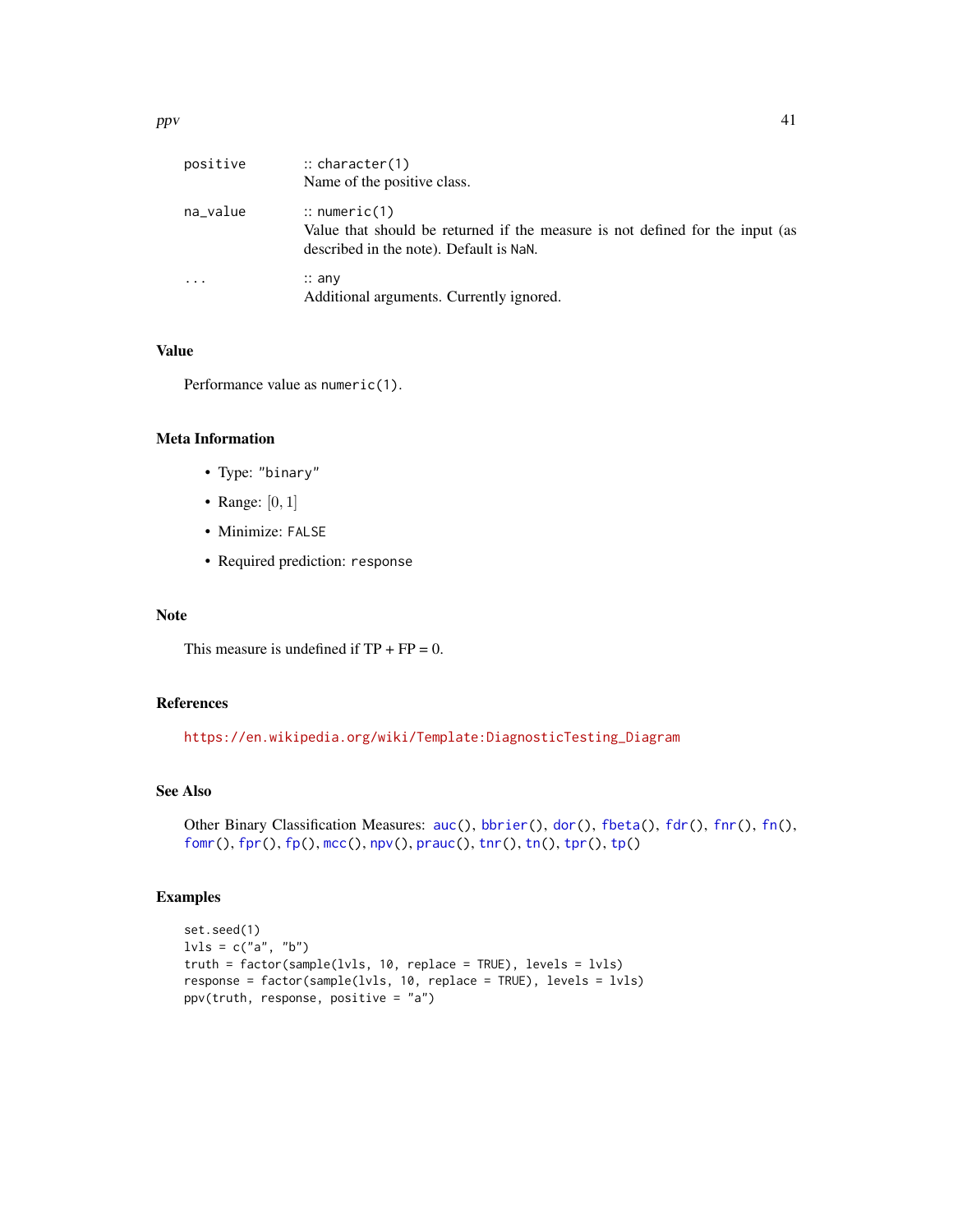<span id="page-40-0"></span>

| positive | $\therefore$ character(1)<br>Name of the positive class.                                                                                            |
|----------|-----------------------------------------------------------------------------------------------------------------------------------------------------|
| na_value | $\therefore$ numeric(1)<br>Value that should be returned if the measure is not defined for the input (as<br>described in the note). Default is NaN. |
| .        | $\therefore$ any<br>Additional arguments. Currently ignored.                                                                                        |

### Value

Performance value as numeric(1).

#### Meta Information

- Type: "binary"
- Range:  $[0, 1]$
- Minimize: FALSE
- Required prediction: response

### Note

This measure is undefined if  $TP + FP = 0$ .

### References

[https://en.wikipedia.org/wiki/Template:DiagnosticTesting\\_Diagram](https://en.wikipedia.org/wiki/Template:DiagnosticTesting_Diagram)

### See Also

```
auc(bbrier(dor(fbeta(fdr(fnr(fn(),
fomr(), fpr(), fp(), mcc(), npv(), prauc(), tnr(), tn(), tpr(), tp()
```

```
set.seed(1)
lvls = c("a", "b")truth = factor(sample(lvls, 10, replace = TRUE), levels = lvls)
response = factor(sample(lvls, 10, replace = TRUE), levels = lvls)
ppv(truth, response, positive = "a")
```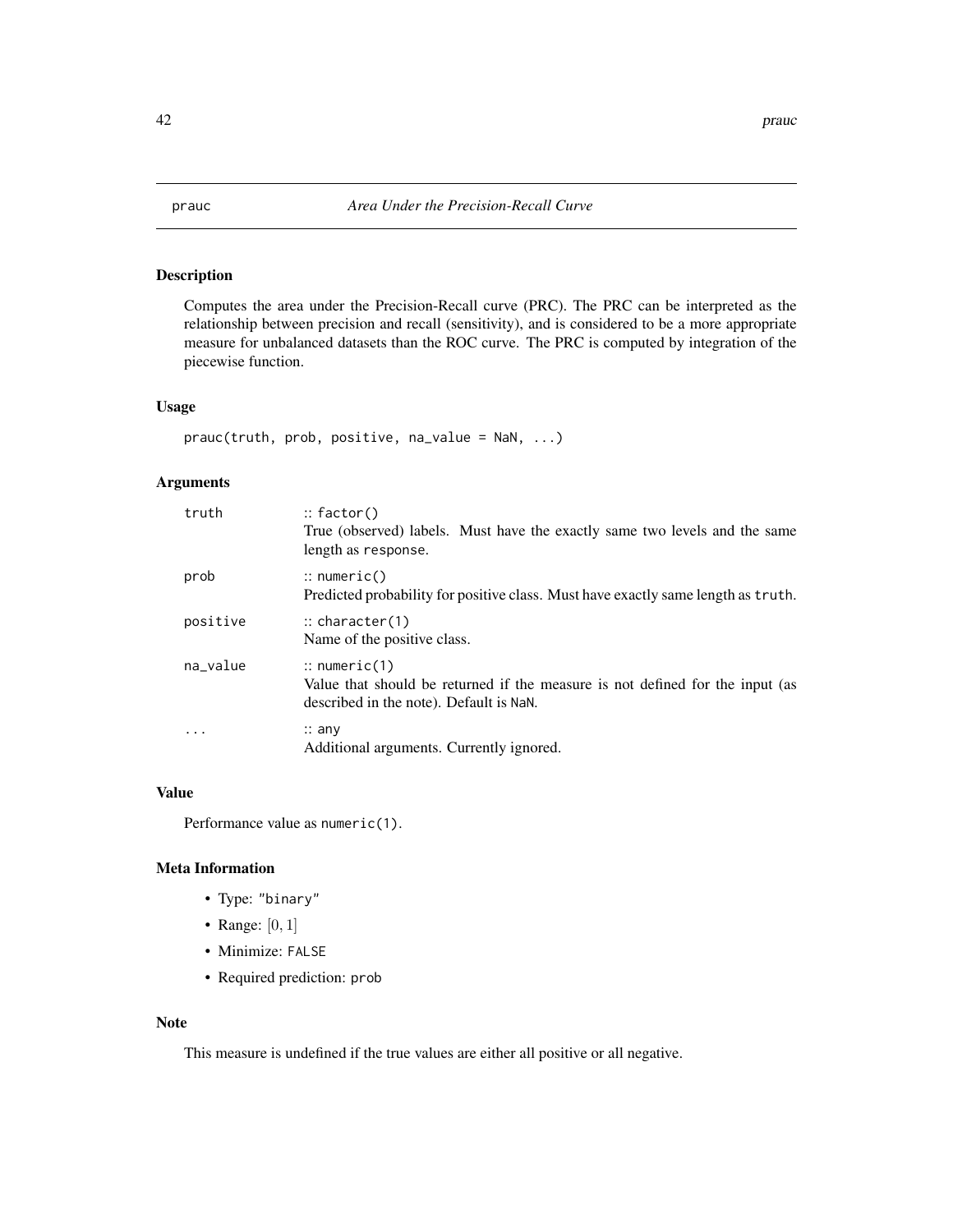<span id="page-41-1"></span><span id="page-41-0"></span>

### Description

Computes the area under the Precision-Recall curve (PRC). The PRC can be interpreted as the relationship between precision and recall (sensitivity), and is considered to be a more appropriate measure for unbalanced datasets than the ROC curve. The PRC is computed by integration of the piecewise function.

### Usage

```
prauc(truth, prob, positive, na_value = NaN, ...)
```
#### Arguments

| truth    | $::$ factor()<br>True (observed) labels. Must have the exactly same two levels and the same<br>length as response.                                  |
|----------|-----------------------------------------------------------------------------------------------------------------------------------------------------|
| prob     | $\therefore$ numeric()<br>Predicted probability for positive class. Must have exactly same length as truth.                                         |
| positive | $\therefore$ character(1)<br>Name of the positive class.                                                                                            |
| na_value | $\therefore$ numeric(1)<br>Value that should be returned if the measure is not defined for the input (as<br>described in the note). Default is NaN. |
|          | $\therefore$ any<br>Additional arguments. Currently ignored.                                                                                        |

#### Value

Performance value as numeric(1).

### Meta Information

- Type: "binary"
- Range:  $[0, 1]$
- Minimize: FALSE
- Required prediction: prob

#### Note

This measure is undefined if the true values are either all positive or all negative.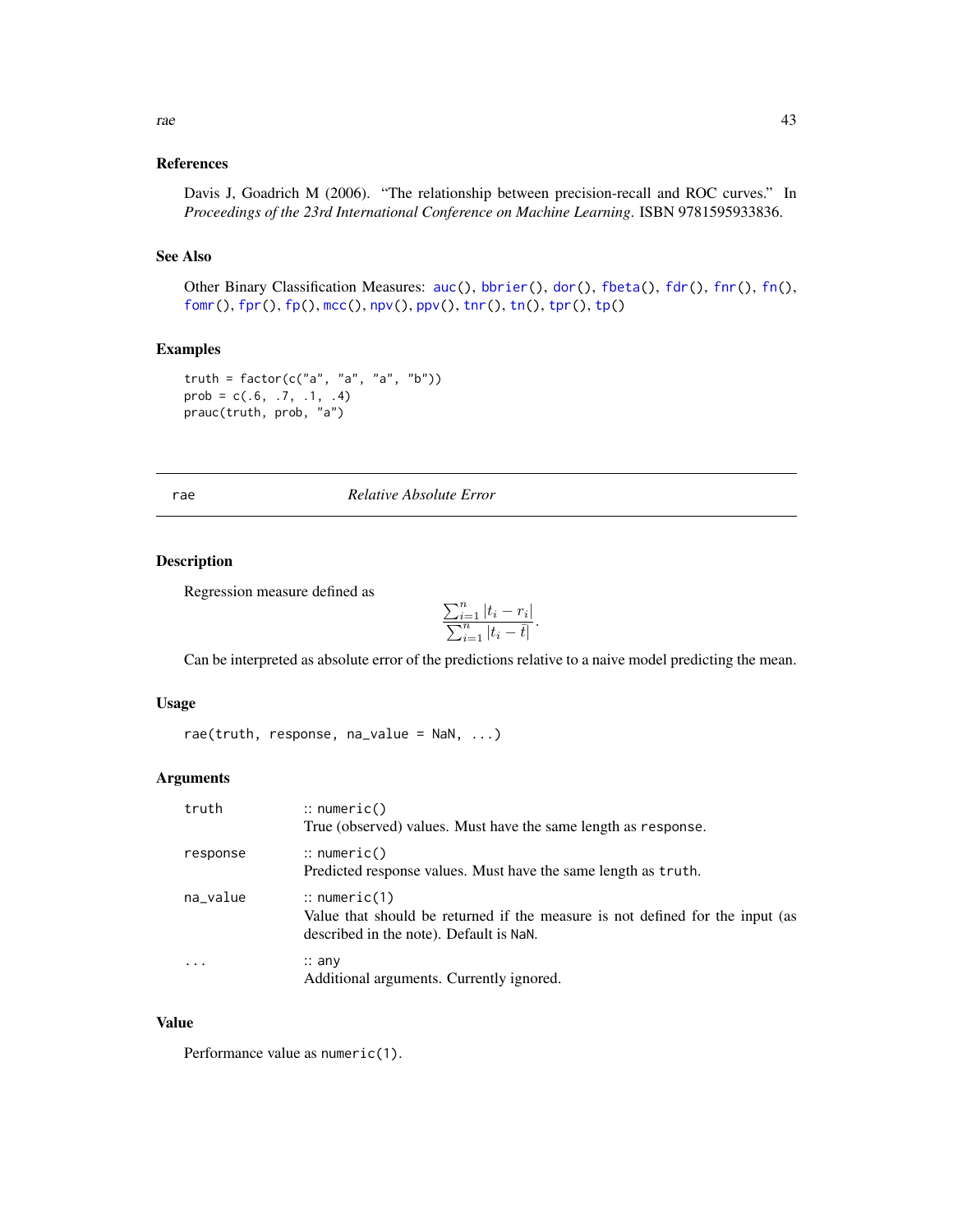#### <span id="page-42-0"></span>References

### See Also

Other Binary Classification Measures: [auc\(](#page-4-1)), [bbrier\(](#page-6-1)), [dor\(](#page-11-1)), [fbeta\(](#page-12-1)), [fdr\(](#page-14-1)), [fnr\(](#page-16-1)), [fn\(](#page-15-1)), [fomr\(](#page-18-1)), [fpr\(](#page-20-1)), [fp\(](#page-19-1)), [mcc\(](#page-31-1)), [npv\(](#page-37-1)), [ppv\(](#page-39-1)), [tnr\(](#page-54-1)), [tn\(](#page-53-1)), [tpr\(](#page-57-1)), [tp\(](#page-55-1))

#### Examples

```
truth = factor(c("a", "a", "a", "b"))prob = c(.6, .7, .1, .4)prauc(truth, prob, "a")
```
<span id="page-42-1"></span>rae *Relative Absolute Error*

#### Description

Regression measure defined as

$$
\frac{\sum_{i=1}^{n} |t_i - r_i|}{\sum_{i=1}^{n} |t_i - \overline{t}|}.
$$

Can be interpreted as absolute error of the predictions relative to a naive model predicting the mean.

#### Usage

rae(truth, response,  $na_value = NaN, ...$ )

#### Arguments

| truth    | $\therefore$ numeric()<br>True (observed) values. Must have the same length as response.                                                            |
|----------|-----------------------------------------------------------------------------------------------------------------------------------------------------|
| response | $\therefore$ numeric()<br>Predicted response values. Must have the same length as truth.                                                            |
| na_value | $\therefore$ numeric(1)<br>Value that should be returned if the measure is not defined for the input (as<br>described in the note). Default is NaN. |
| $\cdot$  | $\therefore$ any<br>Additional arguments. Currently ignored.                                                                                        |

#### Value

Performance value as numeric(1).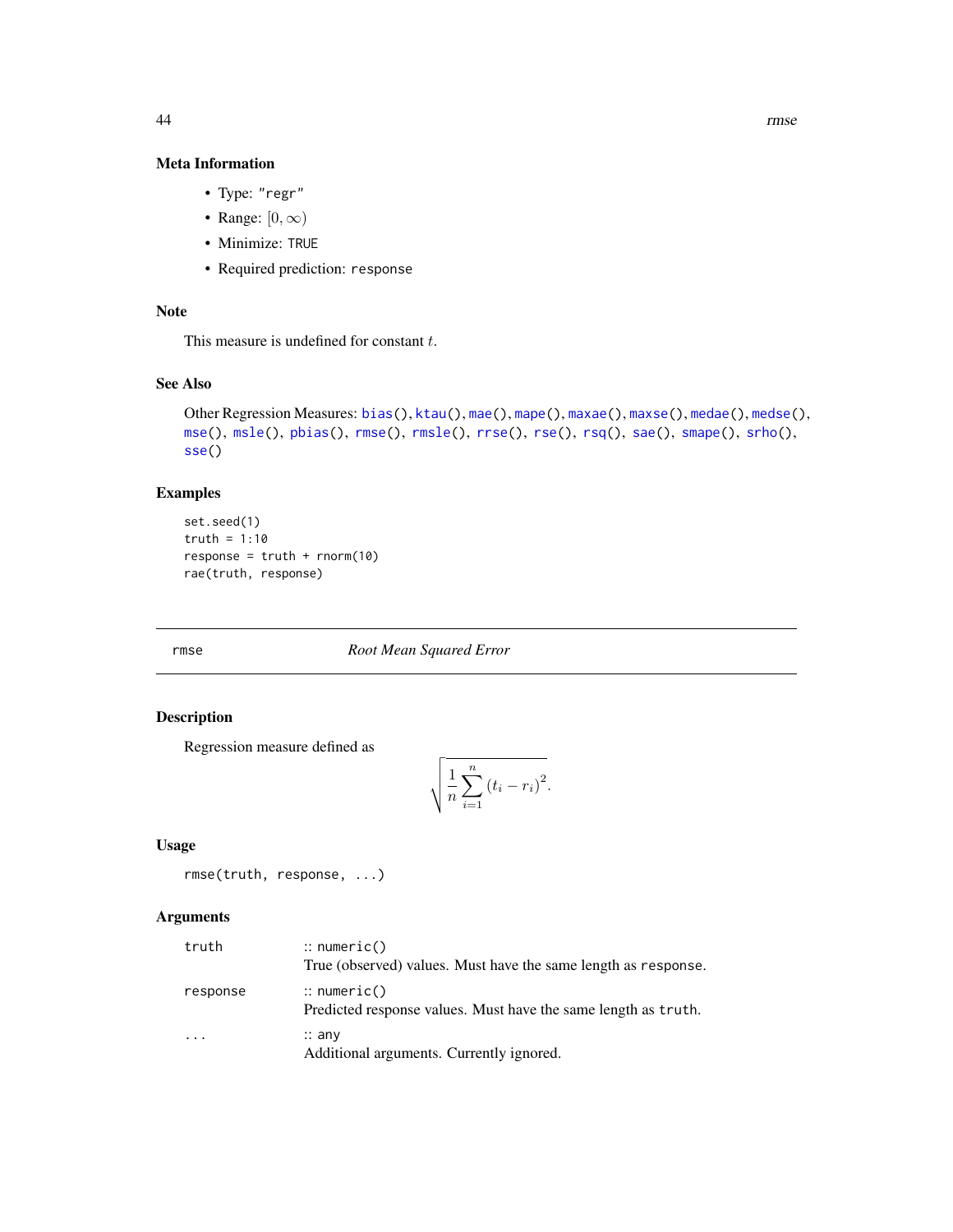### Meta Information

- Type: "regr"
- Range:  $[0, \infty)$
- Minimize: TRUE
- Required prediction: response

### Note

This measure is undefined for constant  $t$ .

### See Also

```
Other Regression Measures: bias(), ktau(), mae(), mape(), maxae(), maxse(), medae(), medse(),
mse(), msle(), pbias(), rmse(), rmsle(), rrse(), rse(), rsq(), sae(), smape(), srho(),
sse()
```
### Examples

```
set.seed(1)
truth = 1:10
response = truth + rnorm(10)rae(truth, response)
```
<span id="page-43-1"></span>rmse *Root Mean Squared Error*

### Description

Regression measure defined as

$$
\sqrt{\frac{1}{n}\sum_{i=1}^{n}(t_i-r_i)^2}.
$$

#### Usage

```
rmse(truth, response, ...)
```
#### Arguments

| truth    | $\therefore$ numeric()<br>True (observed) values. Must have the same length as response. |
|----------|------------------------------------------------------------------------------------------|
| response | $\therefore$ numeric()<br>Predicted response values. Must have the same length as truth. |
|          | $\therefore$ any<br>Additional arguments. Currently ignored.                             |

<span id="page-43-0"></span>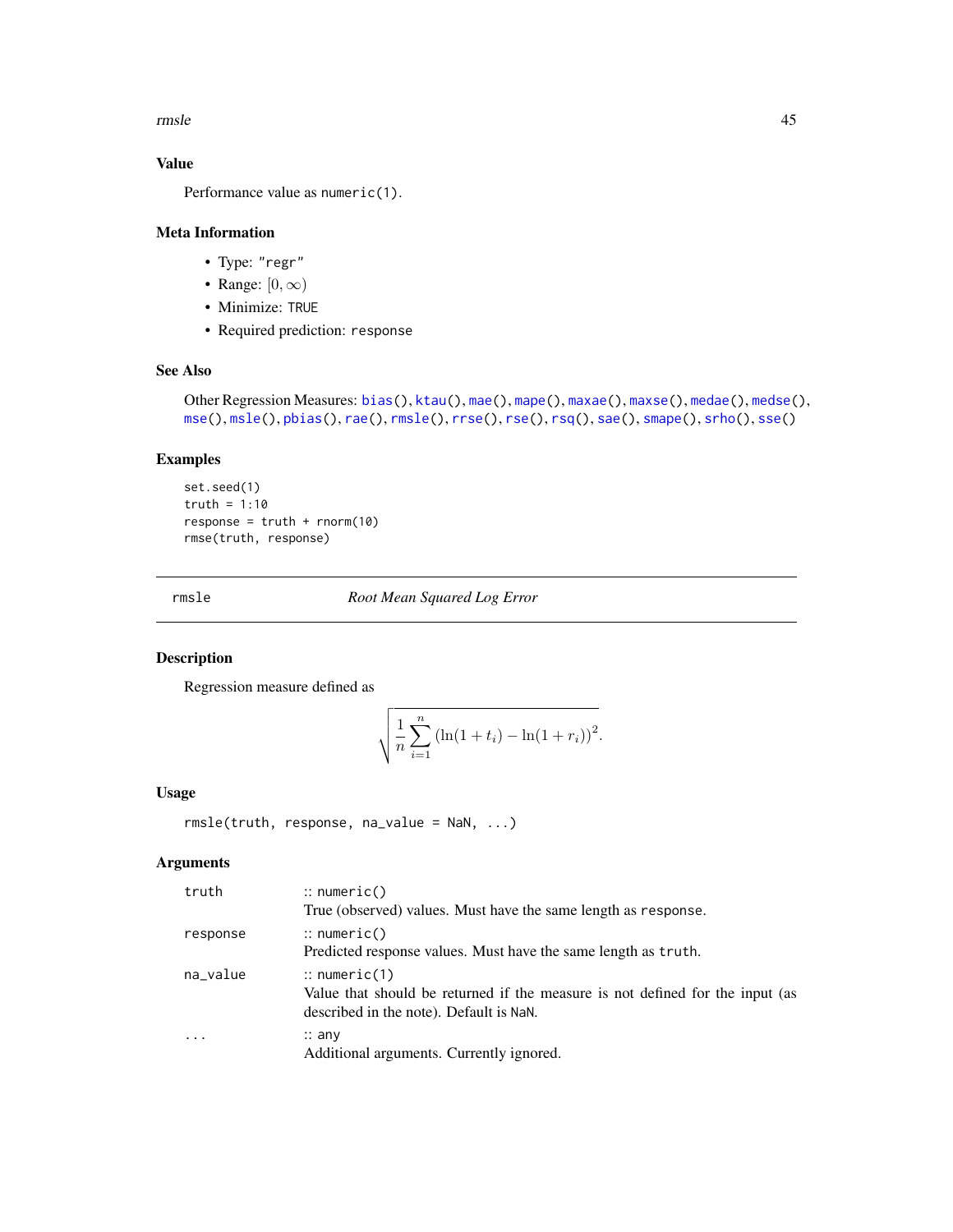<span id="page-44-0"></span>rmsle to the contract of the contract of the contract of the contract of the contract of the contract of the contract of the contract of the contract of the contract of the contract of the contract of the contract of the c

### Value

Performance value as numeric(1).

#### Meta Information

- Type: "regr"
- Range:  $[0, \infty)$
- Minimize: TRUE
- Required prediction: response

### See Also

```
Other Regression Measures: bias(), ktau(), mae(), mape(), maxae(), maxse(), medae(), medse(),
mse(), msle(), pbias(), rae(), rmsle(), rrse(), rse(), rsq(), sae(), smape(), srho(), sse()
```
#### Examples

```
set.seed(1)
truth = 1:10
response = truth + rnorm(10)rmse(truth, response)
```
<span id="page-44-1"></span>rmsle *Root Mean Squared Log Error*

### Description

Regression measure defined as

$$
\sqrt{\frac{1}{n}\sum_{i=1}^{n} (\ln(1+t_i) - \ln(1+r_i))^2}.
$$

#### Usage

rmsle(truth, response, na\_value = NaN, ...)

### Arguments

| truth     | $\therefore$ numeric()                                                                                                                              |
|-----------|-----------------------------------------------------------------------------------------------------------------------------------------------------|
|           | True (observed) values. Must have the same length as response.                                                                                      |
| response  | $\therefore$ numeric()                                                                                                                              |
|           | Predicted response values. Must have the same length as truth.                                                                                      |
| na_value  | $\therefore$ numeric(1)<br>Value that should be returned if the measure is not defined for the input (as<br>described in the note). Default is NaN. |
| $\ddotsc$ | $\therefore$ any<br>Additional arguments. Currently ignored.                                                                                        |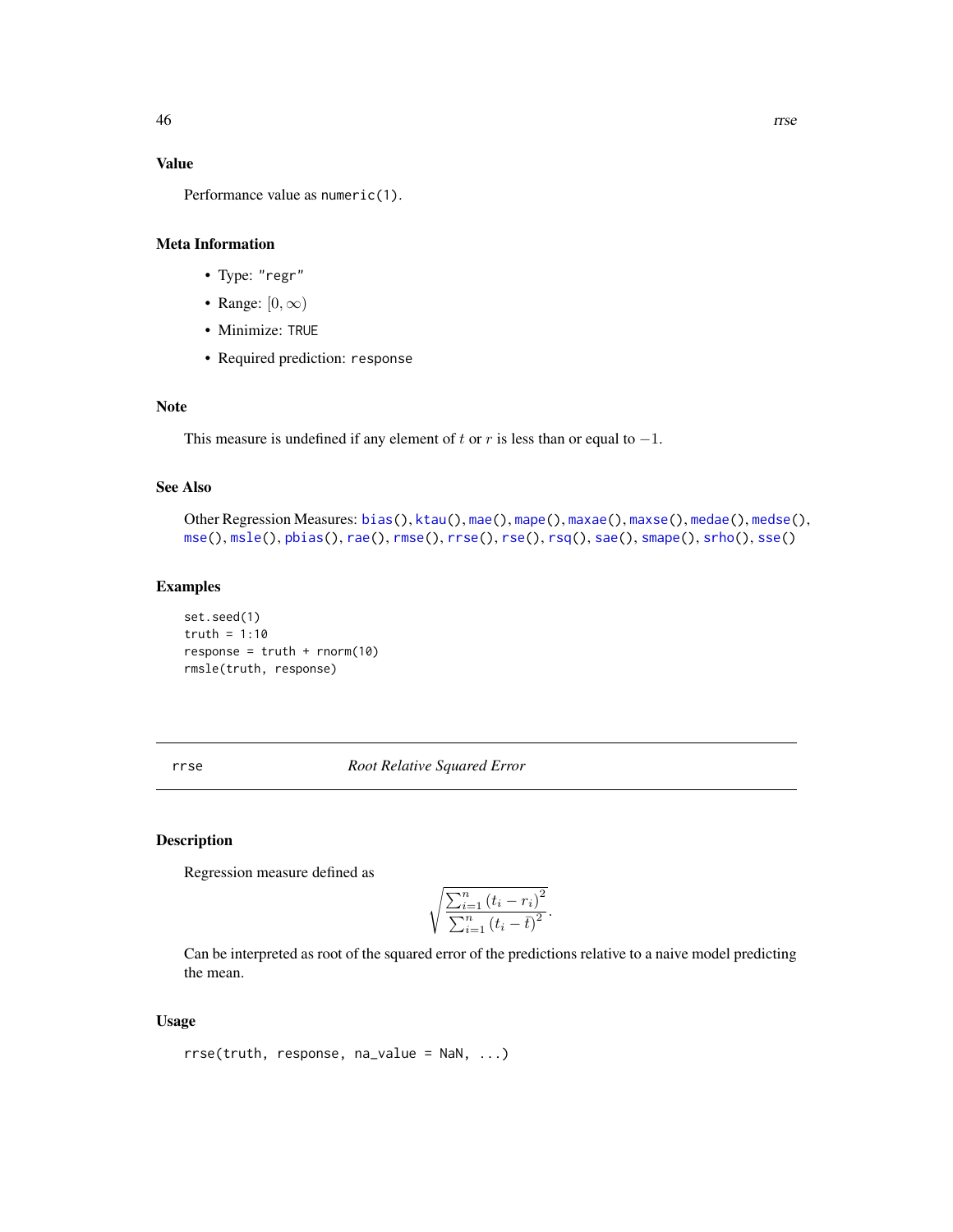#### <span id="page-45-0"></span>Value

Performance value as numeric(1).

#### Meta Information

- Type: "regr"
- Range:  $[0, \infty)$
- Minimize: TRUE
- Required prediction: response

### Note

This measure is undefined if any element of t or r is less than or equal to  $-1$ .

### See Also

```
Other Regression Measures: bias(), ktau(), mae(), mape(), maxae(), maxse(), medae(), medse(),
mse(), msle(), pbias(), rae(), rmse(), rrse(), rse(), rsq(), sae(), smape(), srho(), sse()
```
#### Examples

set.seed(1) truth =  $1:10$  $response = truth + rnorm(10)$ rmsle(truth, response)

<span id="page-45-1"></span>rrse *Root Relative Squared Error*

#### Description

Regression measure defined as

$$
\sqrt{\frac{\sum_{i=1}^{n} (t_i - r_i)^2}{\sum_{i=1}^{n} (t_i - \bar{t})^2}}.
$$

Can be interpreted as root of the squared error of the predictions relative to a naive model predicting the mean.

### Usage

```
rrse(truth, response, na_value = NaN, ...)
```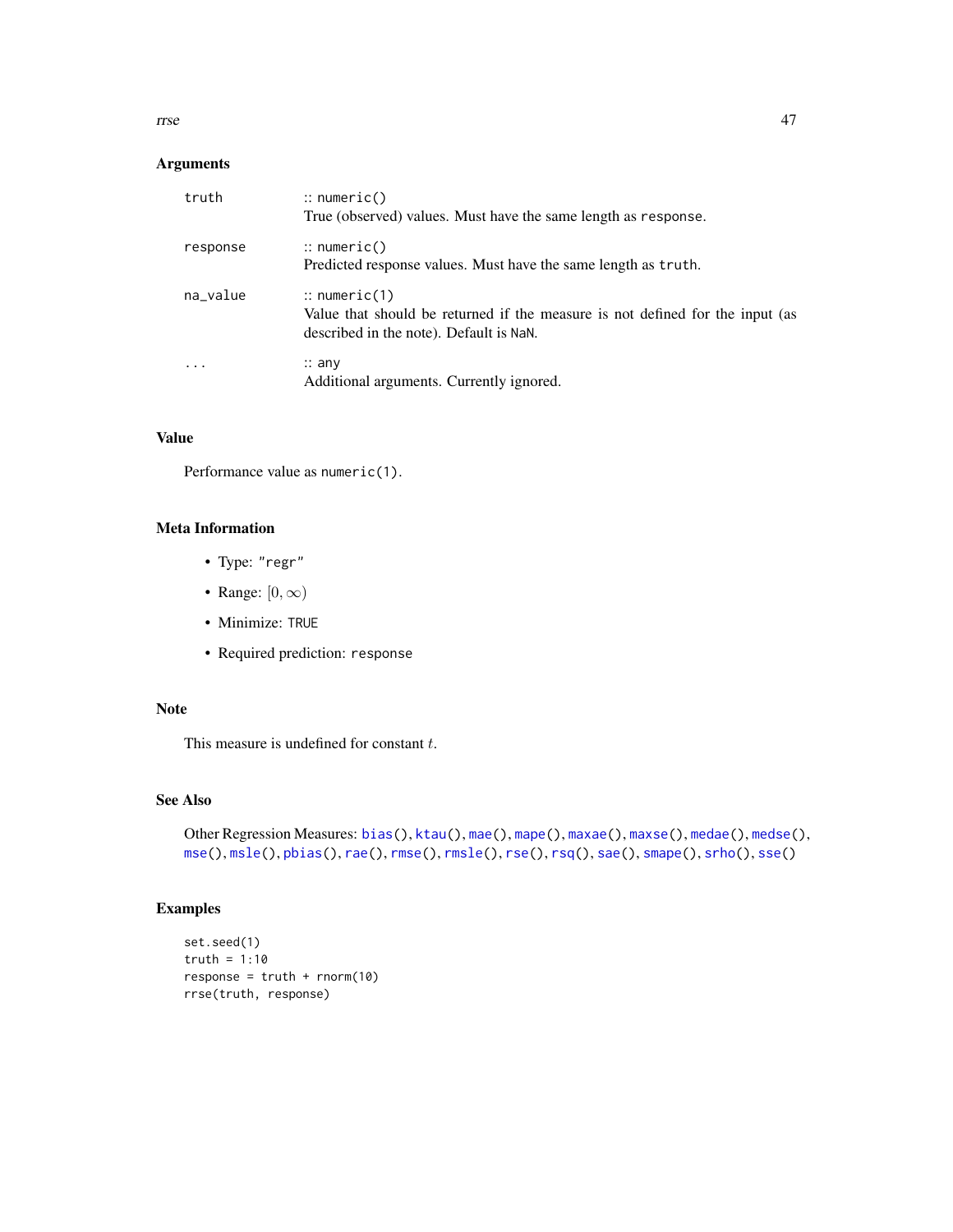<span id="page-46-0"></span>rrse 47

### Arguments

| truth    | $\therefore$ numeric()<br>True (observed) values. Must have the same length as response.                                                            |
|----------|-----------------------------------------------------------------------------------------------------------------------------------------------------|
| response | $\therefore$ numeric()<br>Predicted response values. Must have the same length as truth.                                                            |
| na_value | $\therefore$ numeric(1)<br>Value that should be returned if the measure is not defined for the input (as<br>described in the note). Default is NaN. |
|          | $\therefore$ any<br>Additional arguments. Currently ignored.                                                                                        |

### Value

Performance value as numeric(1).

### Meta Information

- Type: "regr"
- Range:  $[0, \infty)$
- Minimize: TRUE
- Required prediction: response

### Note

This measure is undefined for constant  $t$ .

### See Also

```
Other Regression Measures: bias(), ktau(), mae(), mape(), maxae(), maxse(), medae(), medse(),
mse(), msle(), pbias(), rae(), rmse(), rmsle(), rse(), rsq(), sae(), smape(), srho(), sse()
```

```
set.seed(1)
truth = 1:10
response = truth + rnorm(10)rrse(truth, response)
```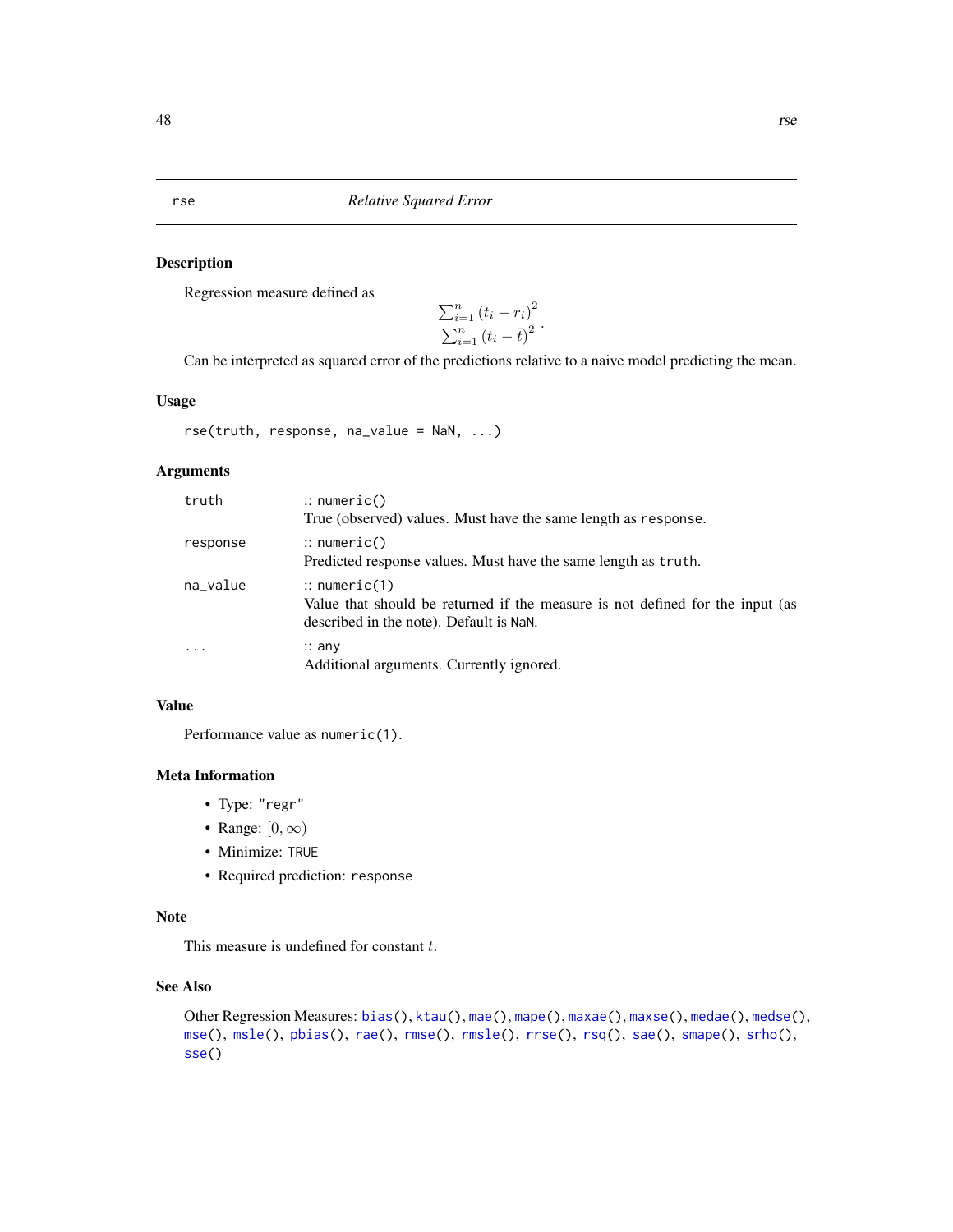<span id="page-47-0"></span>rse *Relative Squared Error*

#### Description

Regression measure defined as

$$
\frac{\sum_{i=1}^{n} (t_i - r_i)^2}{\sum_{i=1}^{n} (t_i - \bar{t})^2}.
$$

Can be interpreted as squared error of the predictions relative to a naive model predicting the mean.

#### Usage

rse(truth, response, na\_value = NaN, ...)

### Arguments

| truth     | $::$ numeric()<br>True (observed) values. Must have the same length as response.                                                                    |
|-----------|-----------------------------------------------------------------------------------------------------------------------------------------------------|
| response  | $\therefore$ numeric()<br>Predicted response values. Must have the same length as truth.                                                            |
| na_value  | $\therefore$ numeric(1)<br>Value that should be returned if the measure is not defined for the input (as<br>described in the note). Default is NaN. |
| $\ddotsc$ | $\therefore$ any<br>Additional arguments. Currently ignored.                                                                                        |

### Value

Performance value as numeric(1).

#### Meta Information

- Type: "regr"
- Range:  $[0, \infty)$
- Minimize: TRUE
- Required prediction: response

#### Note

This measure is undefined for constant  $t$ .

### See Also

```
Other Regression Measures: bias(), ktau(), mae(), mape(), maxae(), maxse(), medae(), medse(),
mse(), msle(), pbias(), rae(), rmse(), rmsle(), rrse(), rsq(), sae(), smape(), srho(),
sse()
```
<span id="page-47-1"></span>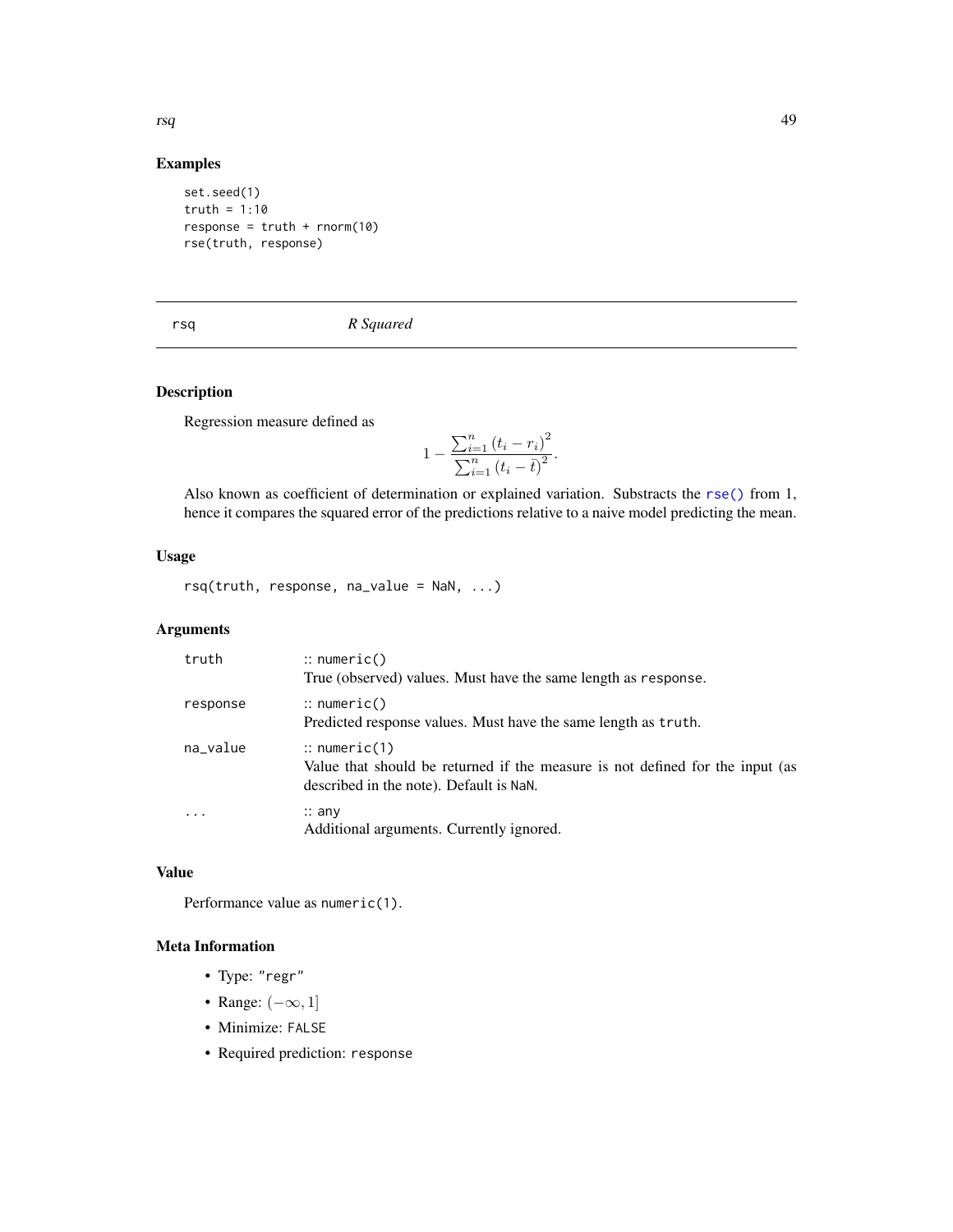### Examples

set.seed(1) truth =  $1:10$  $response = truth + rnorm(10)$ rse(truth, response)

<span id="page-48-1"></span>rsq *R Squared*

### Description

Regression measure defined as

$$
1 - \frac{\sum_{i=1}^{n} (t_i - r_i)^2}{\sum_{i=1}^{n} (t_i - \bar{t})^2}.
$$

Also known as coefficient of determination or explained variation. Substracts the [rse\(\)](#page-47-1) from 1, hence it compares the squared error of the predictions relative to a naive model predicting the mean.

### Usage

rsq(truth, response, na\_value = NaN, ...)

### Arguments

| truth                   | $\therefore$ numeric()<br>True (observed) values. Must have the same length as response.                                                            |
|-------------------------|-----------------------------------------------------------------------------------------------------------------------------------------------------|
| response                | $\therefore$ numeric()<br>Predicted response values. Must have the same length as truth.                                                            |
| na_value                | $\therefore$ numeric(1)<br>Value that should be returned if the measure is not defined for the input (as<br>described in the note). Default is NaN. |
| $\cdot$ $\cdot$ $\cdot$ | $\therefore$ any<br>Additional arguments. Currently ignored.                                                                                        |

### Value

Performance value as numeric(1).

### Meta Information

- Type: "regr"
- Range:  $(-\infty, 1]$
- Minimize: FALSE
- Required prediction: response

<span id="page-48-0"></span>rsq 49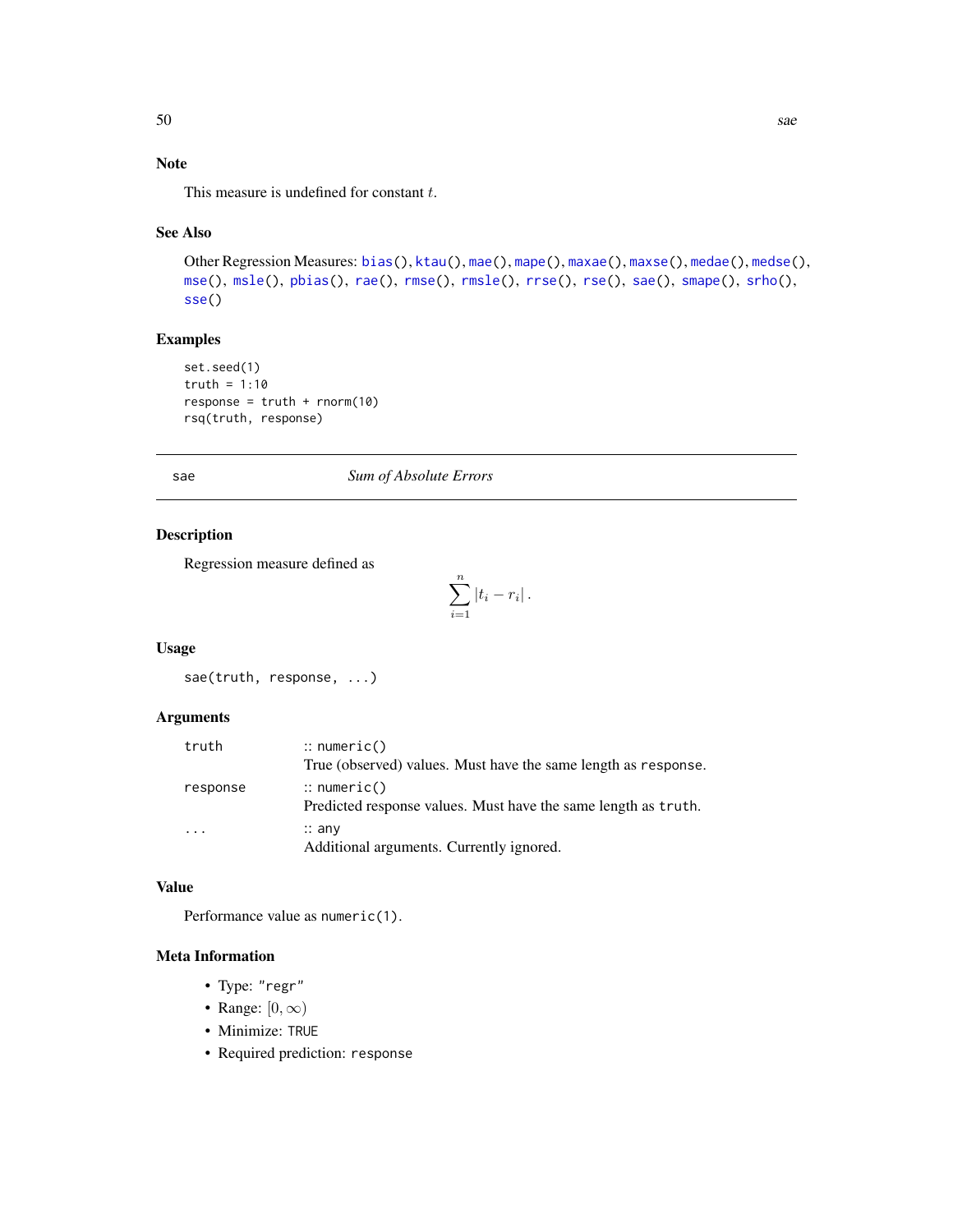## <span id="page-49-0"></span>Note

This measure is undefined for constant  $t$ .

### See Also

```
Other Regression Measures: bias(), ktau(), mae(), mape(), maxae(), maxse(), medae(), medse(),
mse(), msle(), pbias(), rae(), rmse(), rmsle(), rrse(), rse(), sae(), smape(), srho(),
sse()
```
### Examples

```
set.seed(1)
truth = 1:10response = truth + rnorm(10)rsq(truth, response)
```
#### <span id="page-49-1"></span>sae *Sum of Absolute Errors*

#### Description

Regression measure defined as

$$
\sum_{i=1}^{n} |t_i - r_i|.
$$

#### Usage

sae(truth, response, ...)

### Arguments

| truth    | $\therefore$ numeric()                                                                   |
|----------|------------------------------------------------------------------------------------------|
|          | True (observed) values. Must have the same length as response.                           |
| response | $\therefore$ numeric()<br>Predicted response values. Must have the same length as truth. |
| $\cdots$ | $\therefore$ any<br>Additional arguments. Currently ignored.                             |

#### Value

Performance value as numeric(1).

- Type: "regr"
- Range:  $[0, \infty)$
- Minimize: TRUE
- Required prediction: response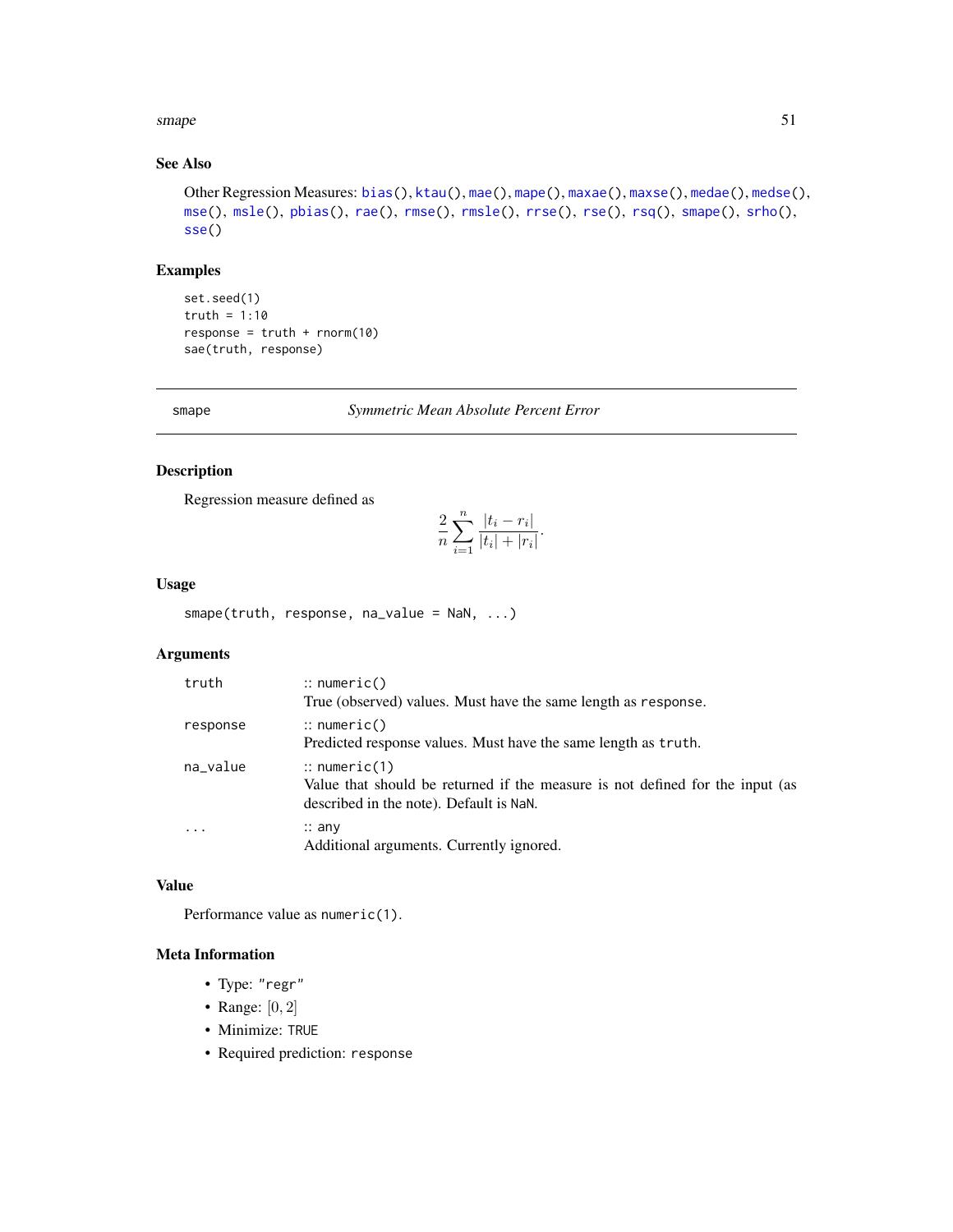#### <span id="page-50-0"></span>smape 51

### See Also

```
Other Regression Measures: bias(), ktau(), mae(), mape(), maxae(), maxse(), medae(), medse(),
mse(), msle(), pbias(), rae(), rmse(), rmsle(), rrse(), rse(), rsq(), smape(), srho(),
sse()
```
#### Examples

```
set.seed(1)
truth = 1:10
response = truth + rnorm(10)sae(truth, response)
```
<span id="page-50-1"></span>smape *Symmetric Mean Absolute Percent Error*

### Description

Regression measure defined as

$$
\frac{2}{n} \sum_{i=1}^{n} \frac{|t_i - r_i|}{|t_i| + |r_i|}.
$$

#### Usage

smape(truth, response, na\_value = NaN, ...)

### Arguments

| truth     | $::$ numeric()<br>True (observed) values. Must have the same length as response.                                                                    |
|-----------|-----------------------------------------------------------------------------------------------------------------------------------------------------|
| response  | $\therefore$ numeric()<br>Predicted response values. Must have the same length as truth.                                                            |
| na_value  | $\therefore$ numeric(1)<br>Value that should be returned if the measure is not defined for the input (as<br>described in the note). Default is NaN. |
| $\ddotsc$ | $\therefore$ any<br>Additional arguments. Currently ignored.                                                                                        |

### Value

Performance value as numeric(1).

- Type: "regr"
- Range:  $[0, 2]$
- Minimize: TRUE
- Required prediction: response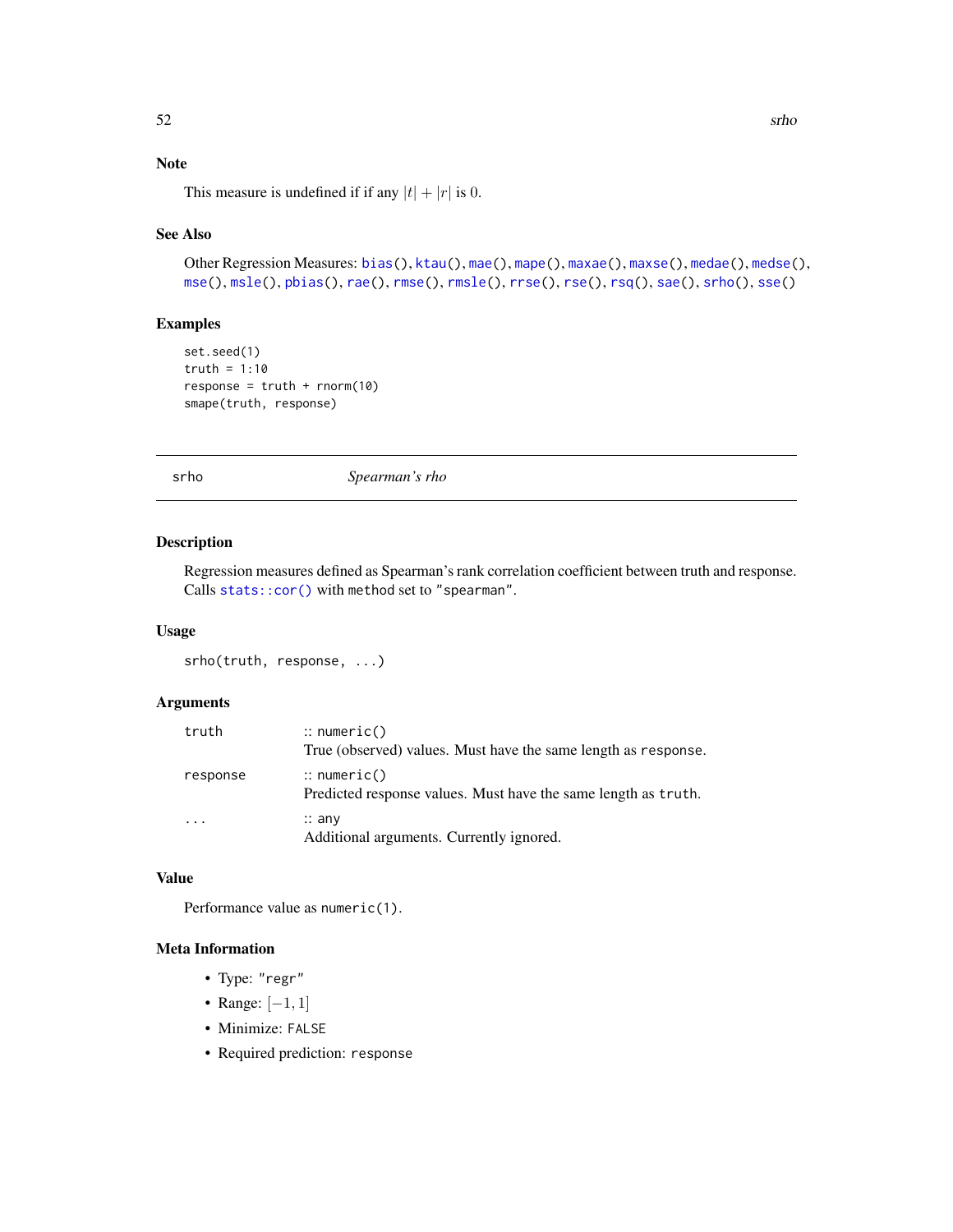## <span id="page-51-0"></span>Note

This measure is undefined if if any  $|t| + |r|$  is 0.

### See Also

```
Other Regression Measures: bias(), ktau(), mae(), mape(), maxae(), maxse(), medae(), medse(),
mse(), msle(), pbias(), rae(), rmse(), rmsle(), rrse(), rse(), rsq(), sae(), srho(), sse()
```
### Examples

```
set.seed(1)
truth = 1:10response = truth + rnorm(10)smape(truth, response)
```
<span id="page-51-1"></span>srho *Spearman's rho*

#### Description

Regression measures defined as Spearman's rank correlation coefficient between truth and response. Calls [stats::cor\(\)](#page-0-0) with method set to "spearman".

#### Usage

srho(truth, response, ...)

### Arguments

| truth    | $\therefore$ numeric()<br>True (observed) values. Must have the same length as response. |
|----------|------------------------------------------------------------------------------------------|
| response | $\therefore$ numeric()<br>Predicted response values. Must have the same length as truth. |
| .        | $\therefore$ any<br>Additional arguments. Currently ignored.                             |

#### Value

Performance value as numeric(1).

- Type: "regr"
- Range: [−1, 1]
- Minimize: FALSE
- Required prediction: response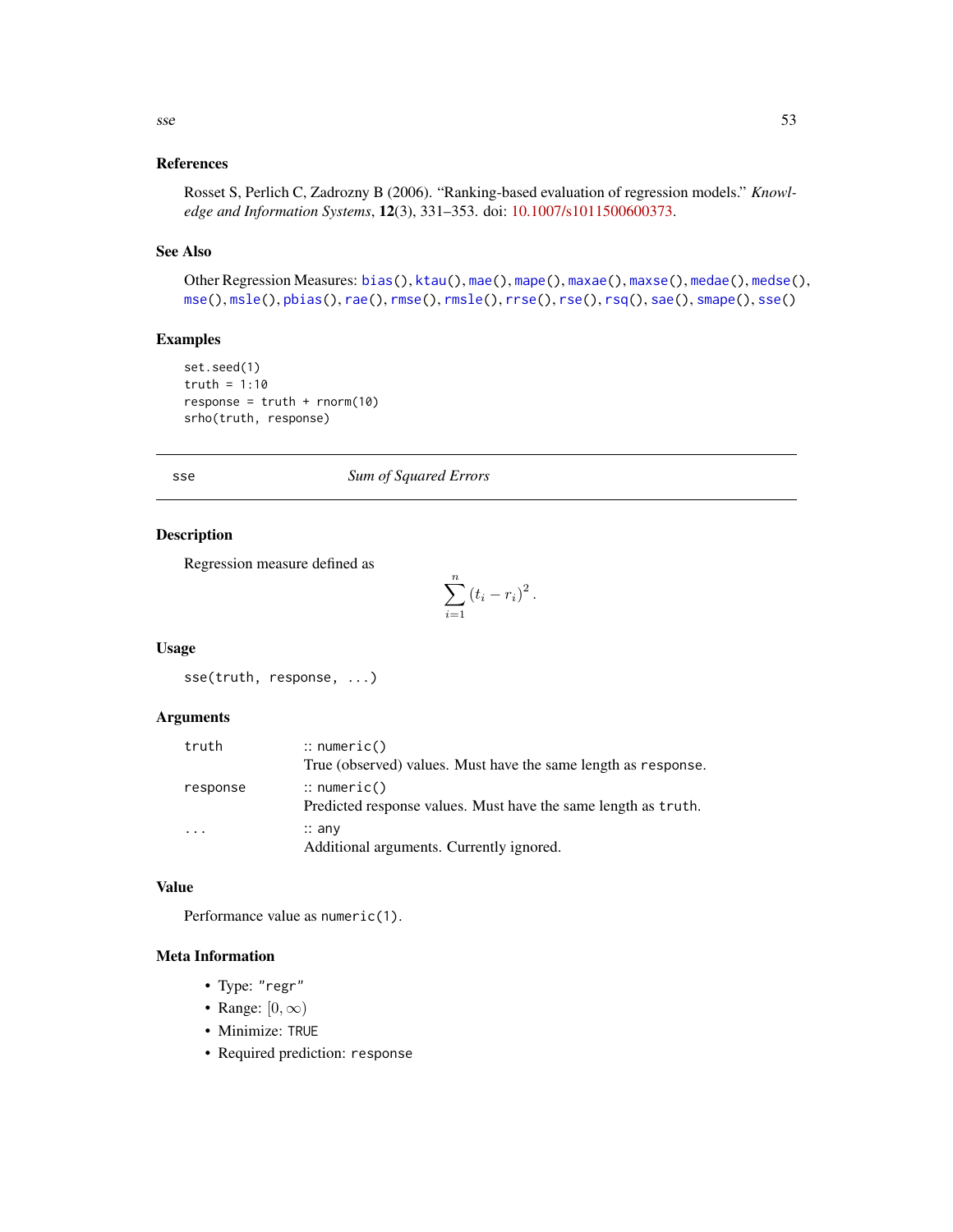#### <span id="page-52-0"></span>References

Rosset S, Perlich C, Zadrozny B (2006). "Ranking-based evaluation of regression models." *Knowledge and Information Systems*, 12(3), 331–353. doi: [10.1007/s1011500600373.](https://doi.org/10.1007/s10115-006-0037-3)

### See Also

```
Other Regression Measures: bias(), ktau(), mae(), mape(), maxae(), maxse(), medae(), medse(),
mse(), msle(), pbias(), rae(), rmse(), rmsle(), rrse(), rse(), rsq(), sae(), smape(), sse()
```
### Examples

```
set.seed(1)
truth = 1:10response = truth + rnorm(10)srho(truth, response)
```
#### <span id="page-52-1"></span>sse *Sum of Squared Errors*

#### Description

Regression measure defined as

$$
\sum_{i=1}^{n} (t_i - r_i)^2.
$$

#### Usage

sse(truth, response, ...)

### Arguments

| truth     | $\therefore$ numeric()                                                                   |
|-----------|------------------------------------------------------------------------------------------|
|           | True (observed) values. Must have the same length as response.                           |
| response  | $\therefore$ numeric()<br>Predicted response values. Must have the same length as truth. |
| $\ddotsc$ | $\therefore$ any<br>Additional arguments. Currently ignored.                             |

#### Value

Performance value as numeric(1).

- Type: "regr"
- Range:  $[0, \infty)$
- Minimize: TRUE
- Required prediction: response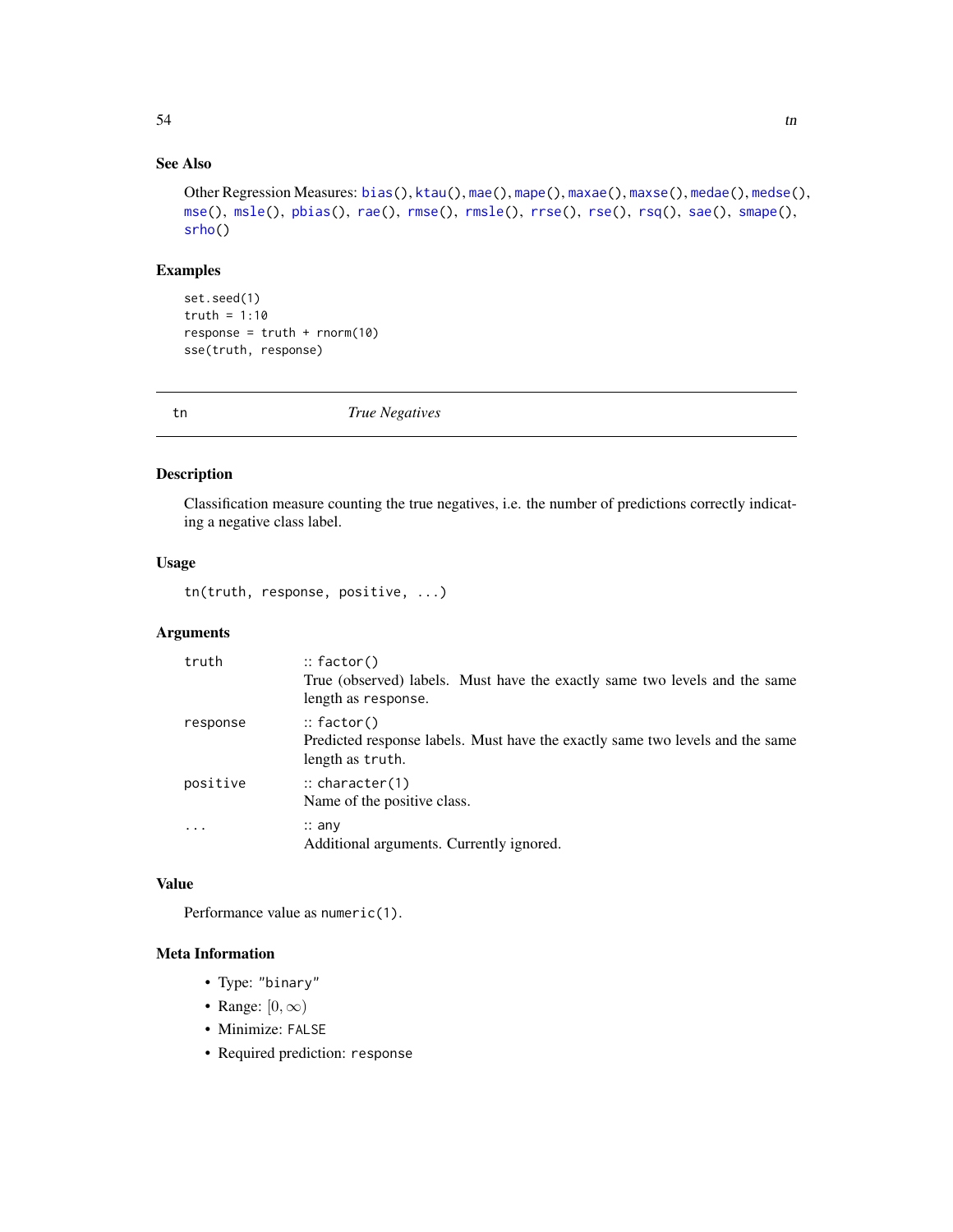## <span id="page-53-0"></span>See Also

```
Other Regression Measures: bias(), ktau(), mae(), mape(), maxae(), maxse(), medae(), medse(),
mse(), msle(), pbias(), rae(), rmse(), rmsle(), rrse(), rse(), rsq(), sae(), smape(),
srho()
```
#### Examples

set.seed(1) truth =  $1:10$  $response = truth + rnorm(10)$ sse(truth, response)

<span id="page-53-1"></span>tn *True Negatives*

#### Description

Classification measure counting the true negatives, i.e. the number of predictions correctly indicating a negative class label.

### Usage

tn(truth, response, positive, ...)

### Arguments

| truth      | $::$ factor()<br>True (observed) labels. Must have the exactly same two levels and the same<br>length as response. |
|------------|--------------------------------------------------------------------------------------------------------------------|
| response   | $::$ factor()<br>Predicted response labels. Must have the exactly same two levels and the same<br>length as truth. |
| positive   | $\therefore$ character(1)<br>Name of the positive class.                                                           |
| $\ddots$ . | $\therefore$ any<br>Additional arguments. Currently ignored.                                                       |

### Value

Performance value as numeric(1).

- Type: "binary"
- Range:  $[0, \infty)$
- Minimize: FALSE
- Required prediction: response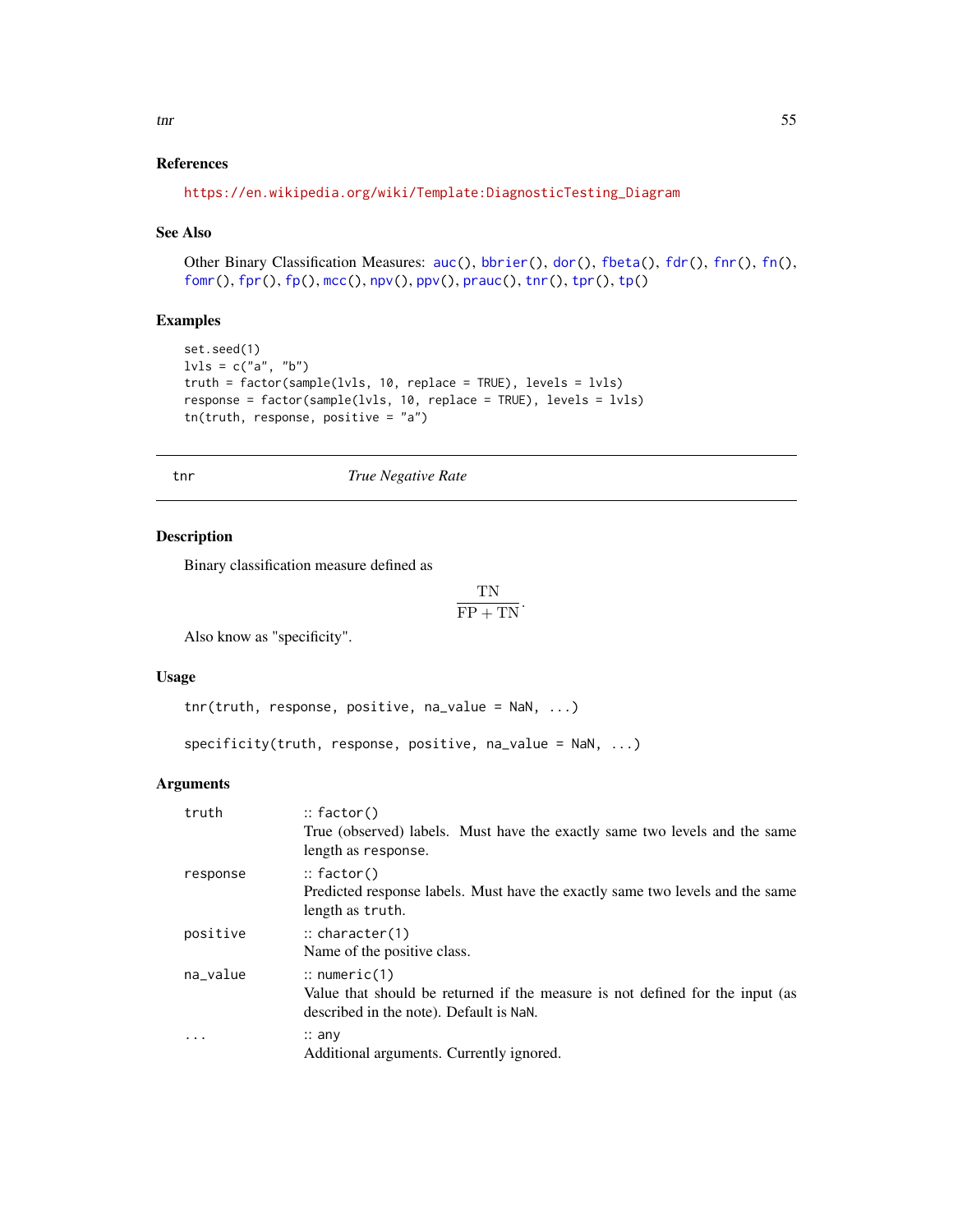### <span id="page-54-0"></span>References

```
https://en.wikipedia.org/wiki/Template:DiagnosticTesting_Diagram
```
#### See Also

Other Binary Classification Measures: [auc\(](#page-4-1)), [bbrier\(](#page-6-1)), [dor\(](#page-11-1)), [fbeta\(](#page-12-1)), [fdr\(](#page-14-1)), [fnr\(](#page-16-1)), [fn\(](#page-15-1)), [fomr\(](#page-18-1)), [fpr\(](#page-20-1)), [fp\(](#page-19-1)), [mcc\(](#page-31-1)), [npv\(](#page-37-1)), [ppv\(](#page-39-1)), [prauc\(](#page-41-1)), [tnr\(](#page-54-1)), [tpr\(](#page-57-1)), [tp\(](#page-55-1))

#### Examples

```
set.seed(1)
lvls = c("a", "b")truth = factor(sample(lvls, 10, replace = TRUE), levels = lvls)
response = factor(sample(lvls, 10, replace = TRUE), levels = lvls)
tn(truth, response, positive = "a")
```
<span id="page-54-1"></span>tnr *True Negative Rate*

#### Description

Binary classification measure defined as

$$
\frac{\text{TN}}{\text{FP} + \text{TN}}.
$$

Also know as "specificity".

#### Usage

```
tnr(truth, response, positive, na_value = NaN, ...)
```
specificity(truth, response, positive, na\_value = NaN, ...)

#### Arguments

| truth    | $::$ factor()<br>True (observed) labels. Must have the exactly same two levels and the same<br>length as response.                                  |
|----------|-----------------------------------------------------------------------------------------------------------------------------------------------------|
| response | $::$ factor()<br>Predicted response labels. Must have the exactly same two levels and the same<br>length as truth.                                  |
| positive | $\therefore$ character(1)<br>Name of the positive class.                                                                                            |
| na_value | $\therefore$ numeric(1)<br>Value that should be returned if the measure is not defined for the input (as<br>described in the note). Default is NaN. |
|          | $\therefore$ any<br>Additional arguments. Currently ignored.                                                                                        |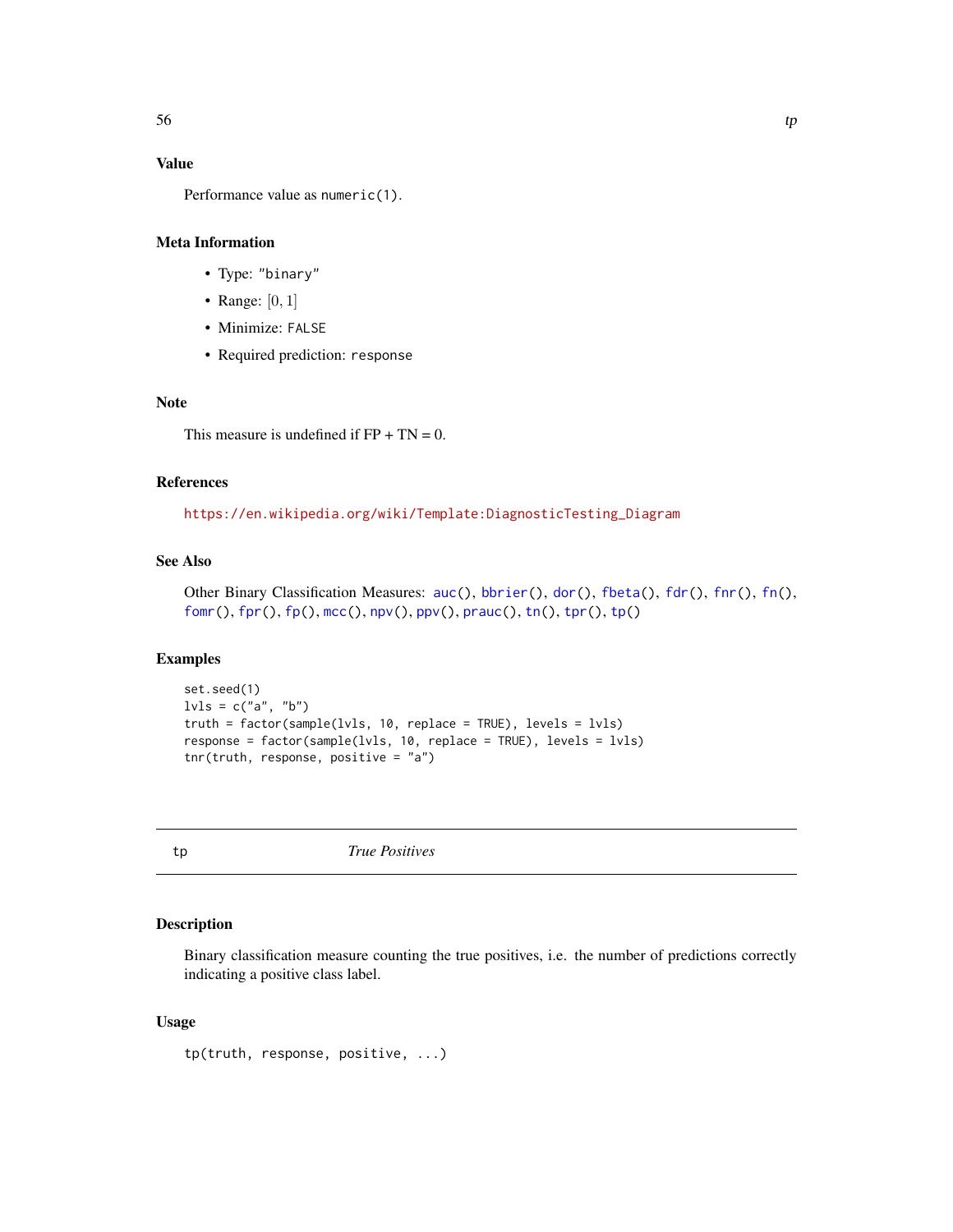#### <span id="page-55-0"></span>Value

Performance value as numeric(1).

#### Meta Information

- Type: "binary"
- Range:  $[0, 1]$
- Minimize: FALSE
- Required prediction: response

### Note

This measure is undefined if  $FP + TN = 0$ .

#### References

[https://en.wikipedia.org/wiki/Template:DiagnosticTesting\\_Diagram](https://en.wikipedia.org/wiki/Template:DiagnosticTesting_Diagram)

### See Also

```
auc(bbrier(dor(fbeta(fdr(fnr(fn(),
fomr(), fpr(), fp(), mcc(), npv(), ppv(), prauc(), tn(), tpr(), tp()
```
### Examples

```
set.seed(1)
lvls = c("a", "b")truth = factor(sample(lvls, 10, replace = TRUE), levels = lvls)
response = factor(sample(lvls, 10, replace = TRUE), levels = lvls)
tnr(truth, response, positive = "a")
```
<span id="page-55-1"></span>tp *True Positives*

### Description

Binary classification measure counting the true positives, i.e. the number of predictions correctly indicating a positive class label.

#### Usage

tp(truth, response, positive, ...)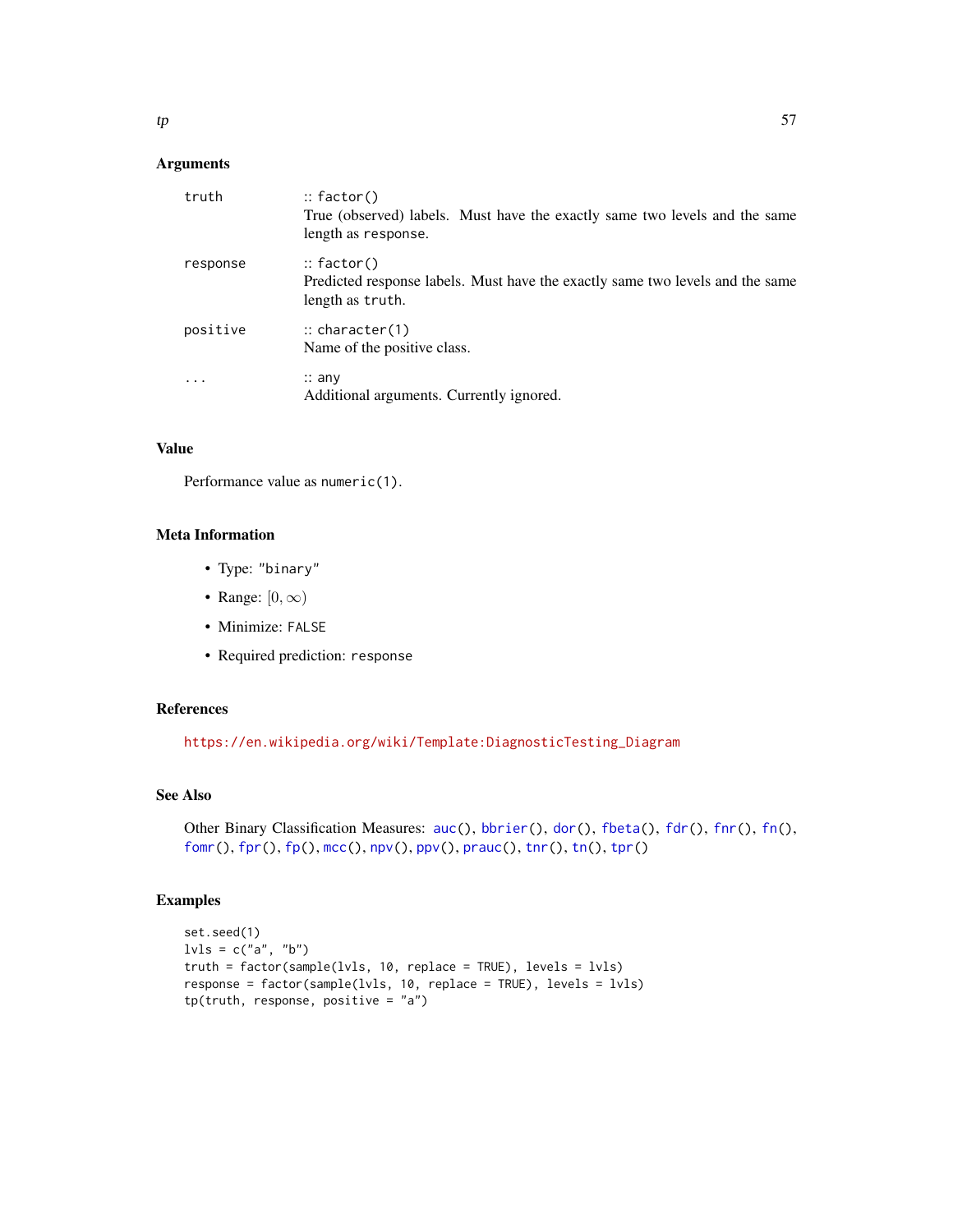| truth    | $::$ factor()<br>True (observed) labels. Must have the exactly same two levels and the same<br>length as response. |
|----------|--------------------------------------------------------------------------------------------------------------------|
| response | $::$ factor()<br>Predicted response labels. Must have the exactly same two levels and the same<br>length as truth. |
| positive | $\therefore$ character(1)<br>Name of the positive class.                                                           |
| .        | $\therefore$ any<br>Additional arguments. Currently ignored.                                                       |

### Value

Performance value as numeric(1).

#### Meta Information

- Type: "binary"
- Range:  $[0, \infty)$
- Minimize: FALSE
- Required prediction: response

### References

[https://en.wikipedia.org/wiki/Template:DiagnosticTesting\\_Diagram](https://en.wikipedia.org/wiki/Template:DiagnosticTesting_Diagram)

### See Also

```
auc(bbrier(dor(fbeta(fdr(fnr(fn(),
fomr(), fpr(), fp(), mcc(), npv(), ppv(), prauc(), tnr(), tn(), tpr()
```

```
set.seed(1)
\texttt{lvls = c("a", "b")}truth = factor(sample(lvls, 10, replace = TRUE), levels = lvls)
response = factor(sample(lvls, 10, replace = TRUE), levels = lvls)
tp(truth, response, positive = "a")
```
<span id="page-56-0"></span>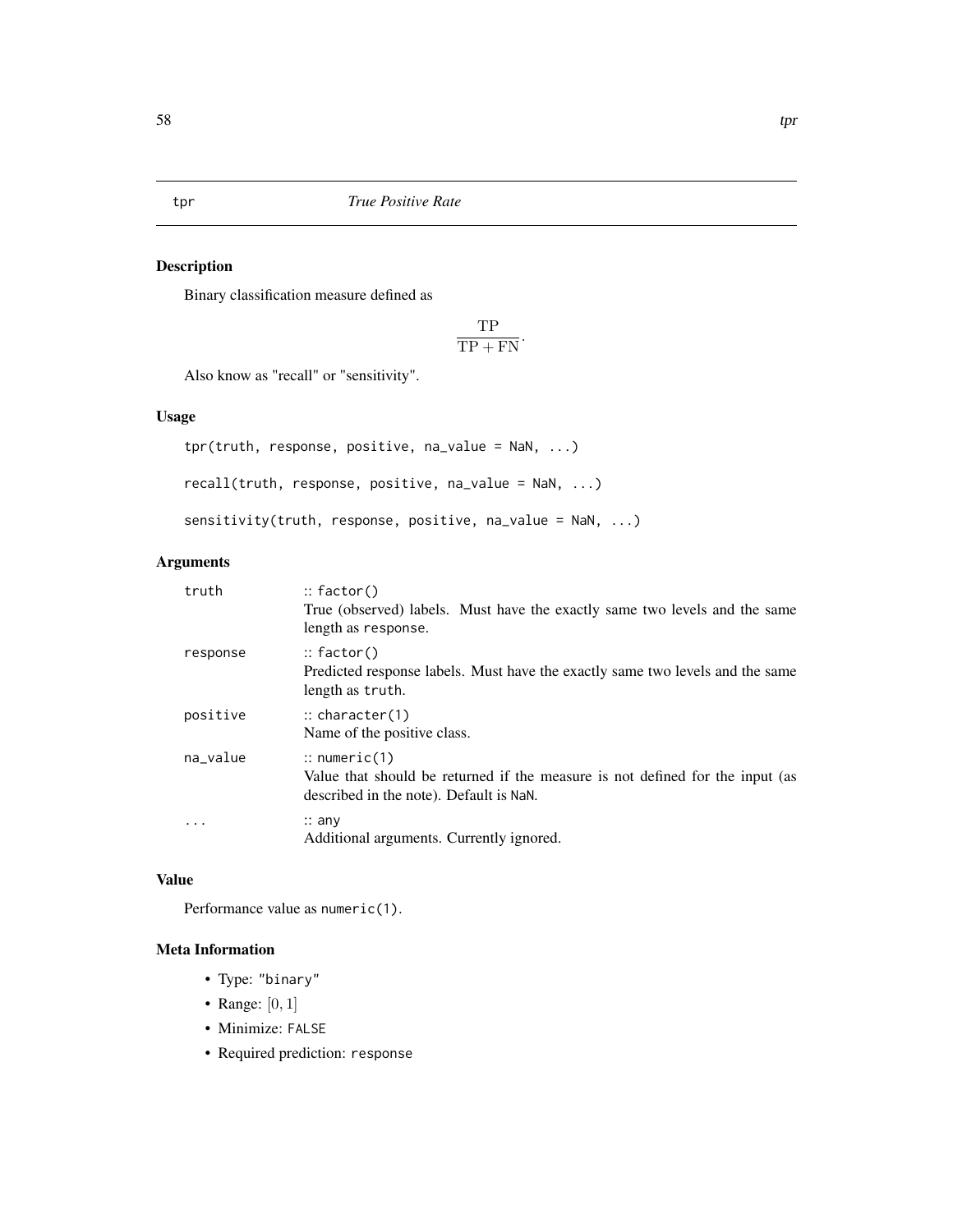<span id="page-57-1"></span><span id="page-57-0"></span>

### <span id="page-57-2"></span>Description

Binary classification measure defined as

$$
\frac{\text{TP}}{\text{TP} + \text{FN}}.
$$

Also know as "recall" or "sensitivity".

#### Usage

tpr(truth, response, positive, na\_value = NaN, ...) recall(truth, response, positive, na\_value = NaN, ...) sensitivity(truth, response, positive, na\_value = NaN, ...)

#### Arguments

| truth    | $::$ factor()<br>True (observed) labels. Must have the exactly same two levels and the same<br>length as response.                                  |
|----------|-----------------------------------------------------------------------------------------------------------------------------------------------------|
| response | $::$ factor()<br>Predicted response labels. Must have the exactly same two levels and the same<br>length as truth.                                  |
| positive | $\therefore$ character(1)<br>Name of the positive class.                                                                                            |
| na_value | $\therefore$ numeric(1)<br>Value that should be returned if the measure is not defined for the input (as<br>described in the note). Default is NaN. |
|          | $\therefore$ any<br>Additional arguments. Currently ignored.                                                                                        |

#### Value

Performance value as numeric(1).

- Type: "binary"
- Range:  $[0, 1]$
- Minimize: FALSE
- Required prediction: response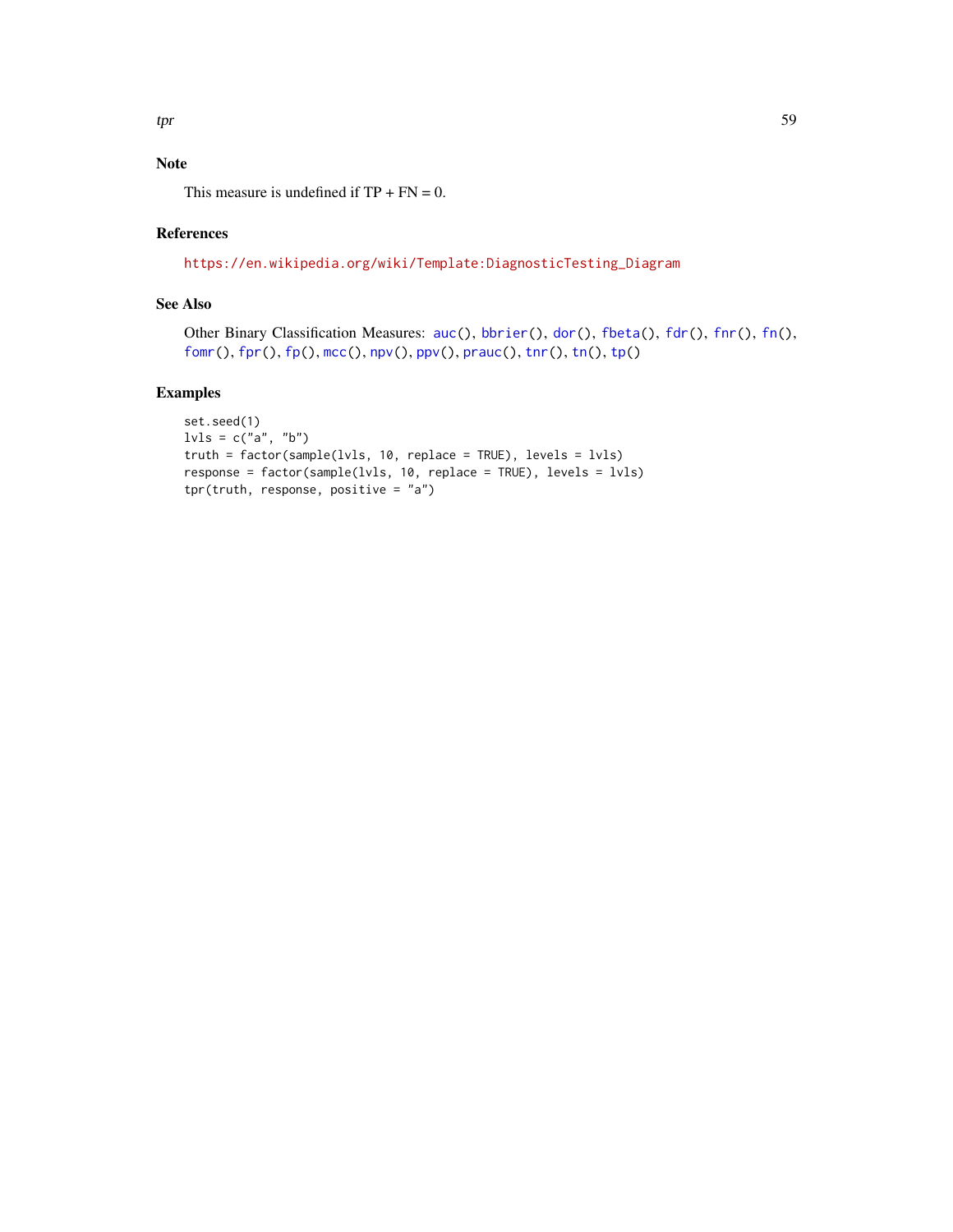## <span id="page-58-0"></span>Note

This measure is undefined if  $TP + FN = 0$ .

#### References

[https://en.wikipedia.org/wiki/Template:DiagnosticTesting\\_Diagram](https://en.wikipedia.org/wiki/Template:DiagnosticTesting_Diagram)

### See Also

Other Binary Classification Measures: [auc\(](#page-4-1)), [bbrier\(](#page-6-1)), [dor\(](#page-11-1)), [fbeta\(](#page-12-1)), [fdr\(](#page-14-1)), [fnr\(](#page-16-1)), [fn\(](#page-15-1)), [fomr\(](#page-18-1)), [fpr\(](#page-20-1)), [fp\(](#page-19-1)), [mcc\(](#page-31-1)), [npv\(](#page-37-1)), [ppv\(](#page-39-1)), [prauc\(](#page-41-1)), [tnr\(](#page-54-1)), [tn\(](#page-53-1)), [tp\(](#page-55-1))

```
set.seed(1)
\text{lvls} = \text{c}("a", "b")truth = factor(sample(lvls, 10, replace = TRUE), levels = lvls)
response = factor(sample(lvls, 10, replace = TRUE), levels = lvls)
tpr(truth, response, positive = "a")
```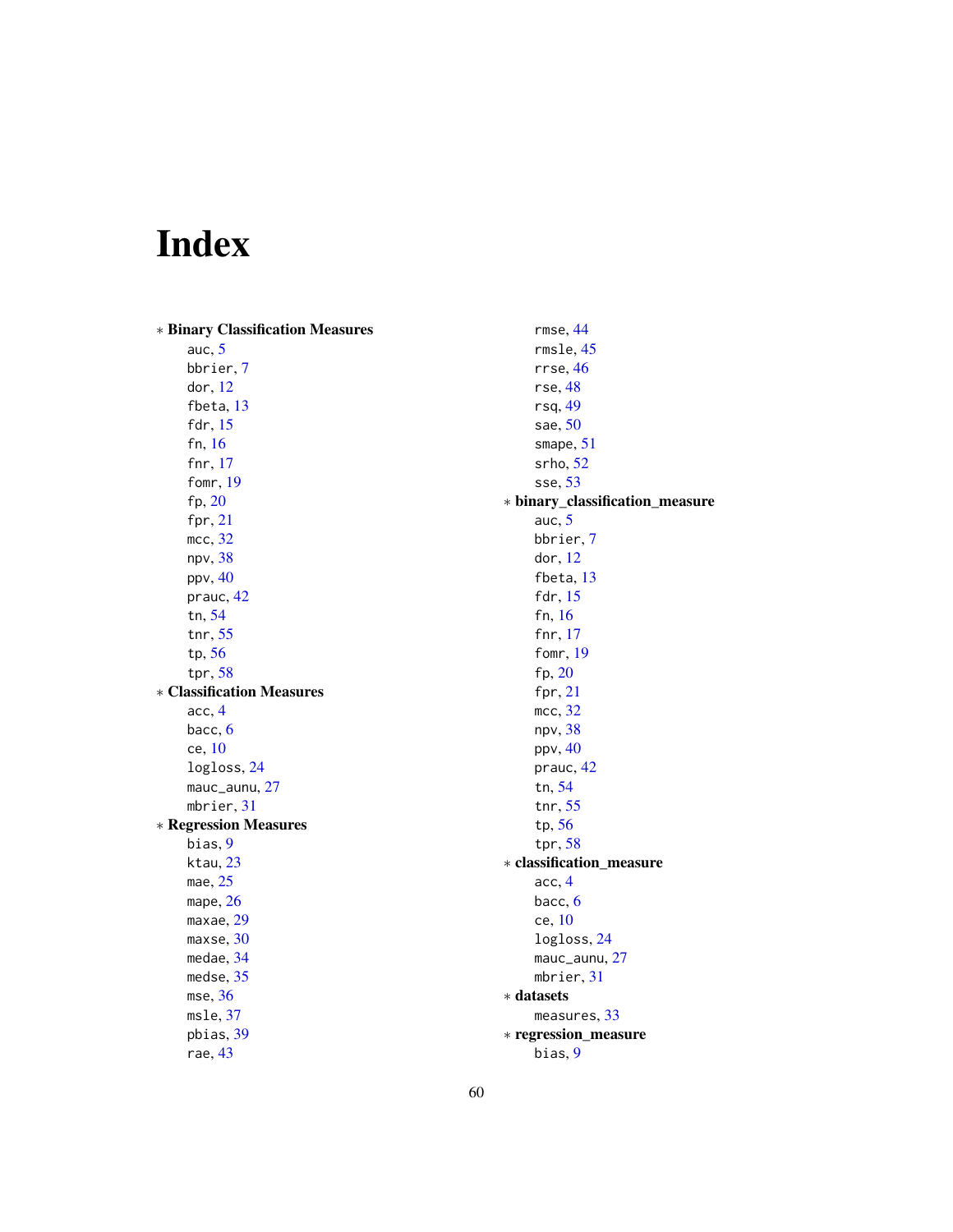# <span id="page-59-0"></span>Index

∗ Binary Classification Measures auc, [5](#page-4-0) bbrier, [7](#page-6-0) dor, [12](#page-11-0) fbeta, [13](#page-12-0) fdr, [15](#page-14-0) fn, [16](#page-15-0) fnr, [17](#page-16-0) fomr, [19](#page-18-0) fp, [20](#page-19-0) fpr, [21](#page-20-0) mcc, [32](#page-31-0) npv, [38](#page-37-0) ppv, [40](#page-39-0) prauc, [42](#page-41-0) tn, [54](#page-53-0) tnr, [55](#page-54-0) tp, [56](#page-55-0) tpr, [58](#page-57-0) ∗ Classification Measures acc, [4](#page-3-0) bacc, [6](#page-5-0) ce, [10](#page-9-0) logloss, [24](#page-23-0) mauc\_aunu, [27](#page-26-0) mbrier, [31](#page-30-0) ∗ Regression Measures bias, [9](#page-8-0) ktau, [23](#page-22-0) mae, [25](#page-24-0) mape, [26](#page-25-0) maxae, [29](#page-28-0) maxse, [30](#page-29-0) medae, [34](#page-33-0) medse, [35](#page-34-0) mse, [36](#page-35-0) msle, [37](#page-36-0) pbias, [39](#page-38-0) rae, [43](#page-42-0) rmse, [44](#page-43-0) rmsle, [45](#page-44-0) rrse, [46](#page-45-0) rse, [48](#page-47-0) rsq, [49](#page-48-0) sae, [50](#page-49-0) smape, [51](#page-50-0) srho, [52](#page-51-0) sse, [53](#page-52-0) ∗ binary\_classification\_measure auc, [5](#page-4-0) bbrier, [7](#page-6-0) dor, [12](#page-11-0) fbeta, [13](#page-12-0) fdr, [15](#page-14-0) fn, [16](#page-15-0) fnr, [17](#page-16-0) fomr, [19](#page-18-0) fp, [20](#page-19-0) fpr, [21](#page-20-0) mcc, [32](#page-31-0) npv, [38](#page-37-0) ppv, [40](#page-39-0) prauc, [42](#page-41-0) tn, [54](#page-53-0) tnr, [55](#page-54-0) tp, [56](#page-55-0) tpr, [58](#page-57-0) ∗ classification\_measure acc, [4](#page-3-0) bacc, [6](#page-5-0) ce, [10](#page-9-0) logloss, [24](#page-23-0) mauc\_aunu, [27](#page-26-0) mbrier, [31](#page-30-0) ∗ datasets measures, [33](#page-32-0) ∗ regression\_measure bias, [9](#page-8-0)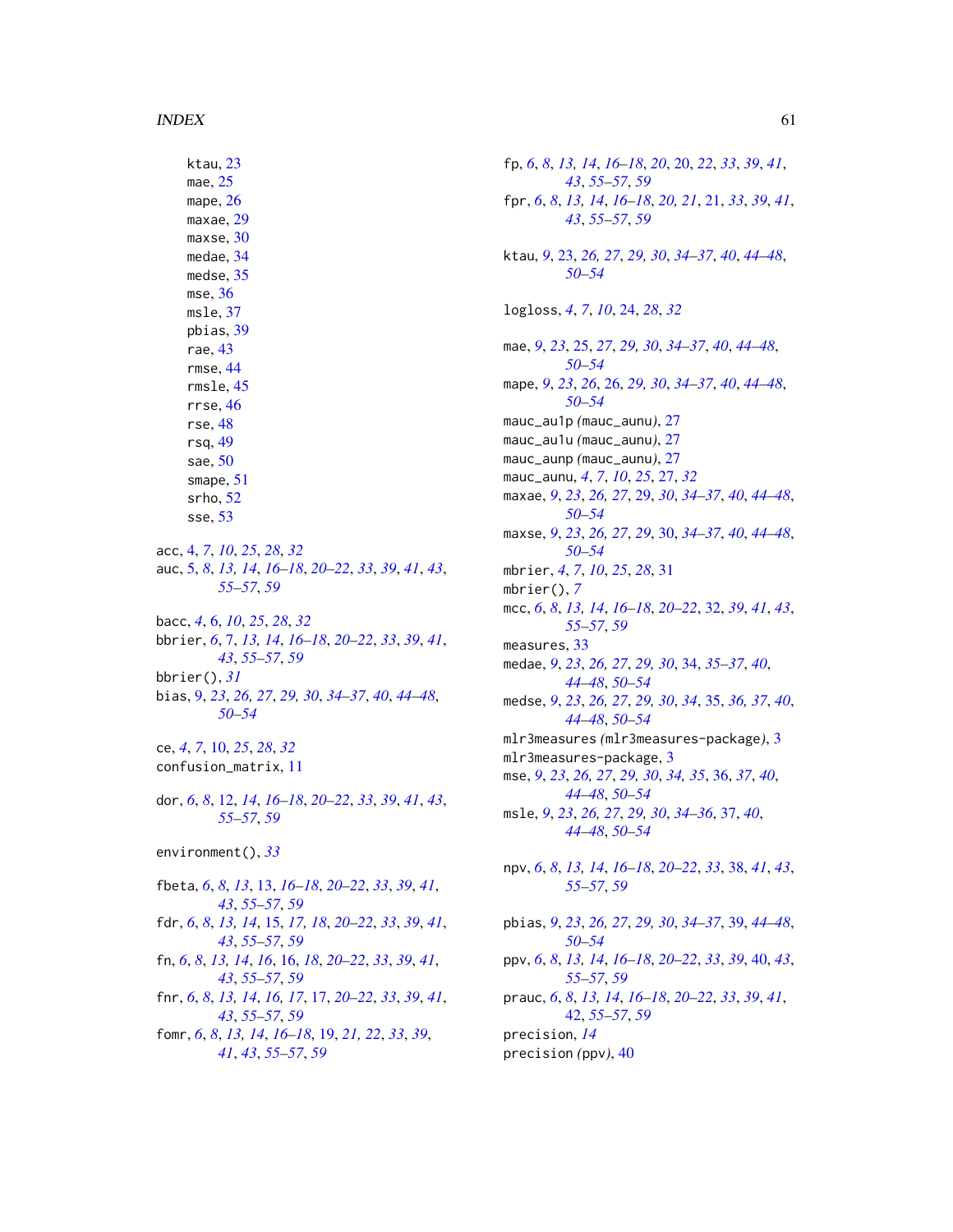#### $I$ NDEX 61

ktau, [23](#page-22-0) mae, [25](#page-24-0) mape, [26](#page-25-0) maxae, [29](#page-28-0) maxse, [30](#page-29-0) medae, [34](#page-33-0) medse, [35](#page-34-0) mse, [36](#page-35-0) msle, [37](#page-36-0) pbias, [39](#page-38-0) rae, [43](#page-42-0) rmse, [44](#page-43-0) rmsle, [45](#page-44-0) rrse, [46](#page-45-0) rse, [48](#page-47-0) rsq, [49](#page-48-0) sae, [50](#page-49-0) smape, [51](#page-50-0) srho, [52](#page-51-0) sse, [53](#page-52-0) acc, [4,](#page-3-0) *[7](#page-6-0)*, *[10](#page-9-0)*, *[25](#page-24-0)*, *[28](#page-27-0)*, *[32](#page-31-0)* auc, [5,](#page-4-0) *[8](#page-7-0)*, *[13,](#page-12-0) [14](#page-13-0)*, *[16](#page-15-0)[–18](#page-17-0)*, *[20–](#page-19-0)[22](#page-21-0)*, *[33](#page-32-0)*, *[39](#page-38-0)*, *[41](#page-40-0)*, *[43](#page-42-0)*, *[55](#page-54-0)[–57](#page-56-0)*, *[59](#page-58-0)* bacc, *[4](#page-3-0)*, [6,](#page-5-0) *[10](#page-9-0)*, *[25](#page-24-0)*, *[28](#page-27-0)*, *[32](#page-31-0)* bbrier, *[6](#page-5-0)*, [7,](#page-6-0) *[13,](#page-12-0) [14](#page-13-0)*, *[16–](#page-15-0)[18](#page-17-0)*, *[20–](#page-19-0)[22](#page-21-0)*, *[33](#page-32-0)*, *[39](#page-38-0)*, *[41](#page-40-0)*, *[43](#page-42-0)*, *[55](#page-54-0)[–57](#page-56-0)*, *[59](#page-58-0)* bbrier(), *[31](#page-30-0)* bias, [9,](#page-8-0) *[23](#page-22-0)*, *[26,](#page-25-0) [27](#page-26-0)*, *[29,](#page-28-0) [30](#page-29-0)*, *[34–](#page-33-0)[37](#page-36-0)*, *[40](#page-39-0)*, *[44–](#page-43-0)[48](#page-47-0)*, *[50](#page-49-0)[–54](#page-53-0)* ce, *[4](#page-3-0)*, *[7](#page-6-0)*, [10,](#page-9-0) *[25](#page-24-0)*, *[28](#page-27-0)*, *[32](#page-31-0)* confusion\_matrix, [11](#page-10-0) dor, *[6](#page-5-0)*, *[8](#page-7-0)*, [12,](#page-11-0) *[14](#page-13-0)*, *[16](#page-15-0)[–18](#page-17-0)*, *[20–](#page-19-0)[22](#page-21-0)*, *[33](#page-32-0)*, *[39](#page-38-0)*, *[41](#page-40-0)*, *[43](#page-42-0)*, *[55](#page-54-0)[–57](#page-56-0)*, *[59](#page-58-0)* environment(), *[33](#page-32-0)* fbeta, *[6](#page-5-0)*, *[8](#page-7-0)*, *[13](#page-12-0)*, [13,](#page-12-0) *[16](#page-15-0)[–18](#page-17-0)*, *[20–](#page-19-0)[22](#page-21-0)*, *[33](#page-32-0)*, *[39](#page-38-0)*, *[41](#page-40-0)*, *[43](#page-42-0)*, *[55](#page-54-0)[–57](#page-56-0)*, *[59](#page-58-0)* fdr, *[6](#page-5-0)*, *[8](#page-7-0)*, *[13,](#page-12-0) [14](#page-13-0)*, [15,](#page-14-0) *[17,](#page-16-0) [18](#page-17-0)*, *[20–](#page-19-0)[22](#page-21-0)*, *[33](#page-32-0)*, *[39](#page-38-0)*, *[41](#page-40-0)*, *[43](#page-42-0)*, *[55](#page-54-0)[–57](#page-56-0)*, *[59](#page-58-0)* fn, *[6](#page-5-0)*, *[8](#page-7-0)*, *[13,](#page-12-0) [14](#page-13-0)*, *[16](#page-15-0)*, [16,](#page-15-0) *[18](#page-17-0)*, *[20–](#page-19-0)[22](#page-21-0)*, *[33](#page-32-0)*, *[39](#page-38-0)*, *[41](#page-40-0)*, *[43](#page-42-0)*, *[55](#page-54-0)[–57](#page-56-0)*, *[59](#page-58-0)* fnr, *[6](#page-5-0)*, *[8](#page-7-0)*, *[13,](#page-12-0) [14](#page-13-0)*, *[16,](#page-15-0) [17](#page-16-0)*, [17,](#page-16-0) *[20–](#page-19-0)[22](#page-21-0)*, *[33](#page-32-0)*, *[39](#page-38-0)*, *[41](#page-40-0)*, *[43](#page-42-0)*, *[55](#page-54-0)[–57](#page-56-0)*, *[59](#page-58-0)* fomr, *[6](#page-5-0)*, *[8](#page-7-0)*, *[13,](#page-12-0) [14](#page-13-0)*, *[16](#page-15-0)[–18](#page-17-0)*, [19,](#page-18-0) *[21,](#page-20-0) [22](#page-21-0)*, *[33](#page-32-0)*, *[39](#page-38-0)*, *[41](#page-40-0)*, *[43](#page-42-0)*, *[55](#page-54-0)[–57](#page-56-0)*, *[59](#page-58-0)*

fp, *[6](#page-5-0)*, *[8](#page-7-0)*, *[13,](#page-12-0) [14](#page-13-0)*, *[16](#page-15-0)[–18](#page-17-0)*, *[20](#page-19-0)*, [20,](#page-19-0) *[22](#page-21-0)*, *[33](#page-32-0)*, *[39](#page-38-0)*, *[41](#page-40-0)*, *[43](#page-42-0)*, *[55](#page-54-0)[–57](#page-56-0)*, *[59](#page-58-0)* fpr, *[6](#page-5-0)*, *[8](#page-7-0)*, *[13,](#page-12-0) [14](#page-13-0)*, *[16](#page-15-0)[–18](#page-17-0)*, *[20,](#page-19-0) [21](#page-20-0)*, [21,](#page-20-0) *[33](#page-32-0)*, *[39](#page-38-0)*, *[41](#page-40-0)*, *[43](#page-42-0)*, *[55](#page-54-0)[–57](#page-56-0)*, *[59](#page-58-0)* ktau, *[9](#page-8-0)*, [23,](#page-22-0) *[26,](#page-25-0) [27](#page-26-0)*, *[29,](#page-28-0) [30](#page-29-0)*, *[34](#page-33-0)[–37](#page-36-0)*, *[40](#page-39-0)*, *[44](#page-43-0)[–48](#page-47-0)*, *[50](#page-49-0)[–54](#page-53-0)* logloss, *[4](#page-3-0)*, *[7](#page-6-0)*, *[10](#page-9-0)*, [24,](#page-23-0) *[28](#page-27-0)*, *[32](#page-31-0)* mae, *[9](#page-8-0)*, *[23](#page-22-0)*, [25,](#page-24-0) *[27](#page-26-0)*, *[29,](#page-28-0) [30](#page-29-0)*, *[34](#page-33-0)[–37](#page-36-0)*, *[40](#page-39-0)*, *[44](#page-43-0)[–48](#page-47-0)*, *[50](#page-49-0)[–54](#page-53-0)* mape, *[9](#page-8-0)*, *[23](#page-22-0)*, *[26](#page-25-0)*, [26,](#page-25-0) *[29,](#page-28-0) [30](#page-29-0)*, *[34](#page-33-0)[–37](#page-36-0)*, *[40](#page-39-0)*, *[44](#page-43-0)[–48](#page-47-0)*, *[50](#page-49-0)[–54](#page-53-0)* mauc\_au1p *(*mauc\_aunu*)*, [27](#page-26-0) mauc\_au1u *(*mauc\_aunu*)*, [27](#page-26-0) mauc\_aunp *(*mauc\_aunu*)*, [27](#page-26-0) mauc\_aunu, *[4](#page-3-0)*, *[7](#page-6-0)*, *[10](#page-9-0)*, *[25](#page-24-0)*, [27,](#page-26-0) *[32](#page-31-0)* maxae, *[9](#page-8-0)*, *[23](#page-22-0)*, *[26,](#page-25-0) [27](#page-26-0)*, [29,](#page-28-0) *[30](#page-29-0)*, *[34](#page-33-0)[–37](#page-36-0)*, *[40](#page-39-0)*, *[44](#page-43-0)[–48](#page-47-0)*, *[50](#page-49-0)[–54](#page-53-0)* maxse, *[9](#page-8-0)*, *[23](#page-22-0)*, *[26,](#page-25-0) [27](#page-26-0)*, *[29](#page-28-0)*, [30,](#page-29-0) *[34](#page-33-0)[–37](#page-36-0)*, *[40](#page-39-0)*, *[44](#page-43-0)[–48](#page-47-0)*, *[50](#page-49-0)[–54](#page-53-0)* mbrier, *[4](#page-3-0)*, *[7](#page-6-0)*, *[10](#page-9-0)*, *[25](#page-24-0)*, *[28](#page-27-0)*, [31](#page-30-0) mbrier(), *[7](#page-6-0)* mcc, *[6](#page-5-0)*, *[8](#page-7-0)*, *[13,](#page-12-0) [14](#page-13-0)*, *[16](#page-15-0)[–18](#page-17-0)*, *[20](#page-19-0)[–22](#page-21-0)*, [32,](#page-31-0) *[39](#page-38-0)*, *[41](#page-40-0)*, *[43](#page-42-0)*, *[55](#page-54-0)[–57](#page-56-0)*, *[59](#page-58-0)* measures, [33](#page-32-0) medae, *[9](#page-8-0)*, *[23](#page-22-0)*, *[26,](#page-25-0) [27](#page-26-0)*, *[29,](#page-28-0) [30](#page-29-0)*, [34,](#page-33-0) *[35](#page-34-0)[–37](#page-36-0)*, *[40](#page-39-0)*, *[44](#page-43-0)[–48](#page-47-0)*, *[50](#page-49-0)[–54](#page-53-0)* medse, *[9](#page-8-0)*, *[23](#page-22-0)*, *[26,](#page-25-0) [27](#page-26-0)*, *[29,](#page-28-0) [30](#page-29-0)*, *[34](#page-33-0)*, [35,](#page-34-0) *[36,](#page-35-0) [37](#page-36-0)*, *[40](#page-39-0)*, *[44](#page-43-0)[–48](#page-47-0)*, *[50](#page-49-0)[–54](#page-53-0)* mlr3measures *(*mlr3measures-package*)*, [3](#page-2-0) mlr3measures-package, [3](#page-2-0) mse, *[9](#page-8-0)*, *[23](#page-22-0)*, *[26,](#page-25-0) [27](#page-26-0)*, *[29,](#page-28-0) [30](#page-29-0)*, *[34,](#page-33-0) [35](#page-34-0)*, [36,](#page-35-0) *[37](#page-36-0)*, *[40](#page-39-0)*, *[44](#page-43-0)[–48](#page-47-0)*, *[50](#page-49-0)[–54](#page-53-0)* msle, *[9](#page-8-0)*, *[23](#page-22-0)*, *[26,](#page-25-0) [27](#page-26-0)*, *[29,](#page-28-0) [30](#page-29-0)*, *[34](#page-33-0)[–36](#page-35-0)*, [37,](#page-36-0) *[40](#page-39-0)*, *[44](#page-43-0)[–48](#page-47-0)*, *[50](#page-49-0)[–54](#page-53-0)* npv, *[6](#page-5-0)*, *[8](#page-7-0)*, *[13,](#page-12-0) [14](#page-13-0)*, *[16](#page-15-0)[–18](#page-17-0)*, *[20](#page-19-0)[–22](#page-21-0)*, *[33](#page-32-0)*, [38,](#page-37-0) *[41](#page-40-0)*, *[43](#page-42-0)*, *[55](#page-54-0)[–57](#page-56-0)*, *[59](#page-58-0)* pbias, *[9](#page-8-0)*, *[23](#page-22-0)*, *[26,](#page-25-0) [27](#page-26-0)*, *[29,](#page-28-0) [30](#page-29-0)*, *[34](#page-33-0)[–37](#page-36-0)*, [39,](#page-38-0) *[44](#page-43-0)[–48](#page-47-0)*, *[50](#page-49-0)[–54](#page-53-0)* ppv, *[6](#page-5-0)*, *[8](#page-7-0)*, *[13,](#page-12-0) [14](#page-13-0)*, *[16](#page-15-0)[–18](#page-17-0)*, *[20](#page-19-0)[–22](#page-21-0)*, *[33](#page-32-0)*, *[39](#page-38-0)*, [40,](#page-39-0) *[43](#page-42-0)*, *[55](#page-54-0)[–57](#page-56-0)*, *[59](#page-58-0)* prauc, *[6](#page-5-0)*, *[8](#page-7-0)*, *[13,](#page-12-0) [14](#page-13-0)*, *[16](#page-15-0)[–18](#page-17-0)*, *[20](#page-19-0)[–22](#page-21-0)*, *[33](#page-32-0)*, *[39](#page-38-0)*, *[41](#page-40-0)*, [42,](#page-41-0) *[55](#page-54-0)[–57](#page-56-0)*, *[59](#page-58-0)* precision, *[14](#page-13-0)* precision *(*ppv*)*, [40](#page-39-0)